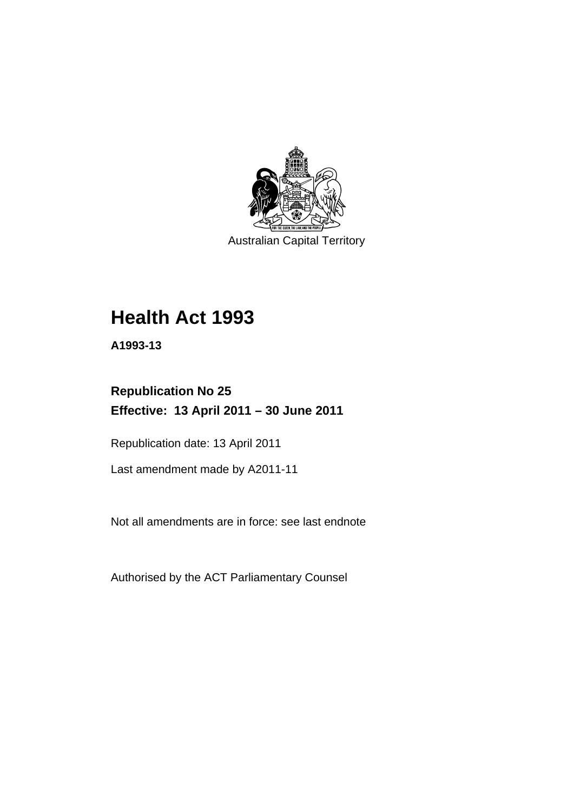

Australian Capital Territory

# **Health Act 1993**

**A1993-13** 

## **Republication No 25 Effective: 13 April 2011 – 30 June 2011**

Republication date: 13 April 2011

Last amendment made by A2011-11

Not all amendments are in force: see last endnote

Authorised by the ACT Parliamentary Counsel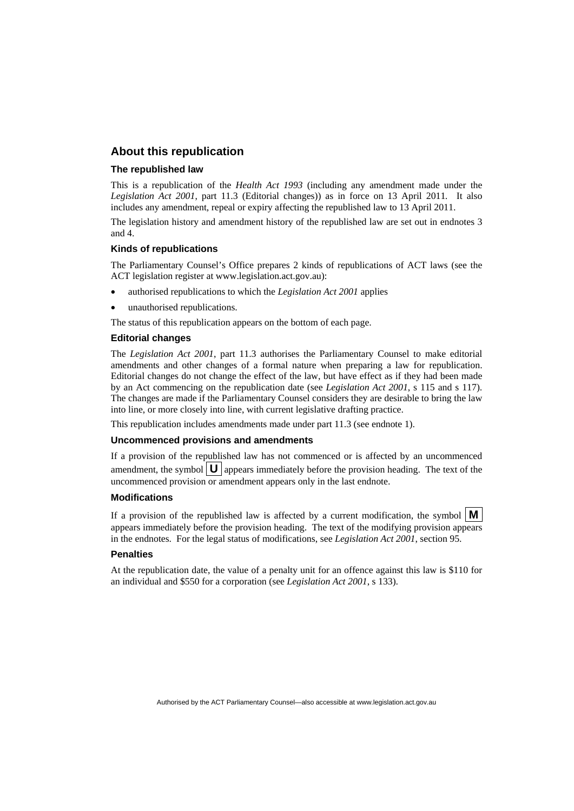#### **About this republication**

#### **The republished law**

This is a republication of the *Health Act 1993* (including any amendment made under the *Legislation Act 2001*, part 11.3 (Editorial changes)) as in force on 13 April 2011*.* It also includes any amendment, repeal or expiry affecting the republished law to 13 April 2011.

The legislation history and amendment history of the republished law are set out in endnotes 3 and 4.

#### **Kinds of republications**

The Parliamentary Counsel's Office prepares 2 kinds of republications of ACT laws (see the ACT legislation register at www.legislation.act.gov.au):

- authorised republications to which the *Legislation Act 2001* applies
- unauthorised republications.

The status of this republication appears on the bottom of each page.

#### **Editorial changes**

The *Legislation Act 2001*, part 11.3 authorises the Parliamentary Counsel to make editorial amendments and other changes of a formal nature when preparing a law for republication. Editorial changes do not change the effect of the law, but have effect as if they had been made by an Act commencing on the republication date (see *Legislation Act 2001*, s 115 and s 117). The changes are made if the Parliamentary Counsel considers they are desirable to bring the law into line, or more closely into line, with current legislative drafting practice.

This republication includes amendments made under part 11.3 (see endnote 1).

#### **Uncommenced provisions and amendments**

If a provision of the republished law has not commenced or is affected by an uncommenced amendment, the symbol  $\mathbf{U}$  appears immediately before the provision heading. The text of the uncommenced provision or amendment appears only in the last endnote.

#### **Modifications**

If a provision of the republished law is affected by a current modification, the symbol  $\mathbf{M}$ appears immediately before the provision heading. The text of the modifying provision appears in the endnotes. For the legal status of modifications, see *Legislation Act 2001*, section 95.

#### **Penalties**

At the republication date, the value of a penalty unit for an offence against this law is \$110 for an individual and \$550 for a corporation (see *Legislation Act 2001*, s 133).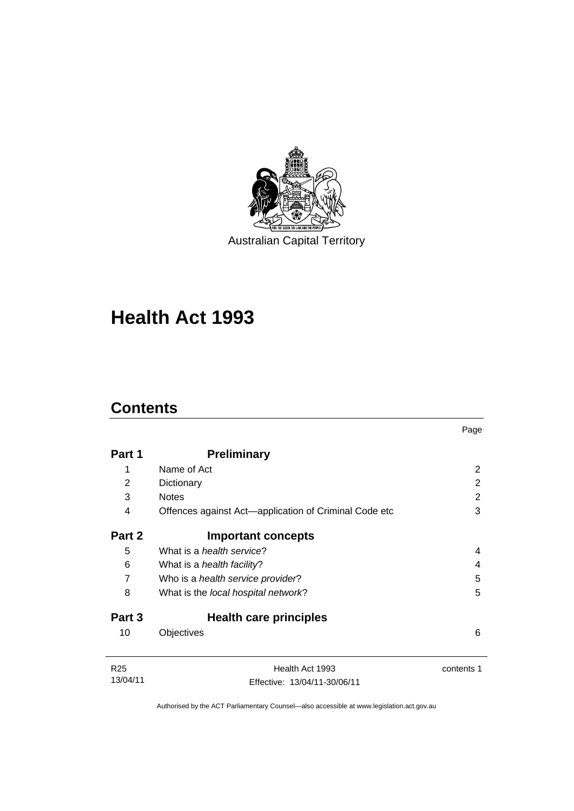

**Health Act 1993** 

## **Contents**

| Part 1          | <b>Preliminary</b>                                    |            |
|-----------------|-------------------------------------------------------|------------|
| 1               | Name of Act                                           | 2          |
| 2               | Dictionary                                            | 2          |
| 3               | <b>Notes</b>                                          | 2          |
| 4               | Offences against Act-application of Criminal Code etc | 3          |
| Part 2          | <b>Important concepts</b>                             |            |
| 5               | What is a <i>health service</i> ?                     | 4          |
| 6               | What is a <i>health facility</i> ?                    | 4          |
| 7               | Who is a <i>health service provider</i> ?             | 5          |
| 8               | What is the local hospital network?                   | 5          |
| Part 3          | <b>Health care principles</b>                         |            |
| 10              | Objectives                                            | 6          |
| R <sub>25</sub> | Health Act 1993                                       | contents 1 |
| 13/04/11        | Effective: 13/04/11-30/06/11                          |            |

Page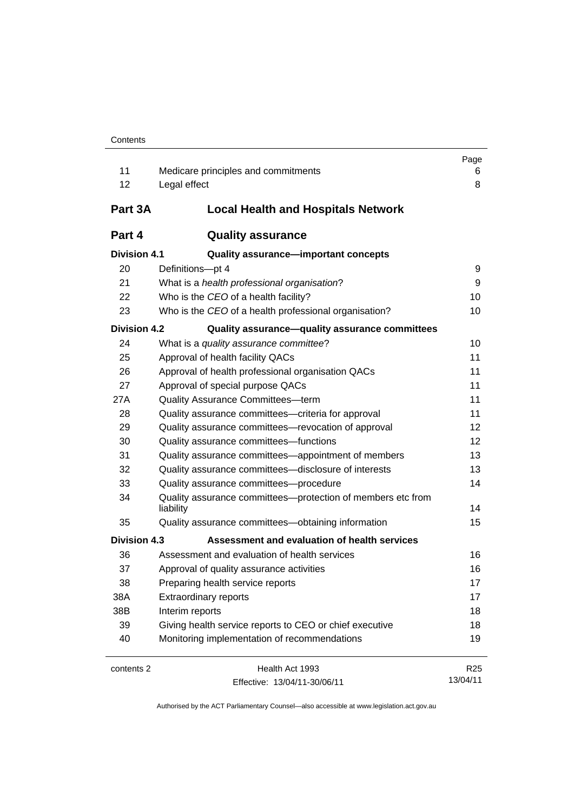| 11<br>12            | Medicare principles and commitments<br>Legal effect                      | Page<br>6<br>8              |  |
|---------------------|--------------------------------------------------------------------------|-----------------------------|--|
| Part 3A             | <b>Local Health and Hospitals Network</b>                                |                             |  |
| Part 4              | <b>Quality assurance</b>                                                 |                             |  |
| <b>Division 4.1</b> | Quality assurance-important concepts                                     |                             |  |
| 20                  | Definitions-pt 4                                                         | 9                           |  |
| 21                  | What is a health professional organisation?                              | 9                           |  |
| 22                  | Who is the CEO of a health facility?                                     | 10                          |  |
| 23                  | Who is the CEO of a health professional organisation?                    | 10                          |  |
| Division 4.2        | Quality assurance-quality assurance committees                           |                             |  |
| 24                  | What is a quality assurance committee?                                   | 10                          |  |
| 25                  | Approval of health facility QACs                                         | 11                          |  |
| 26                  | Approval of health professional organisation QACs                        | 11                          |  |
| 27                  | Approval of special purpose QACs                                         |                             |  |
| 27A                 | Quality Assurance Committees-term                                        |                             |  |
| 28                  | Quality assurance committees-criteria for approval                       |                             |  |
| 29                  | Quality assurance committees—revocation of approval                      | 12                          |  |
| 30                  | Quality assurance committees-functions                                   | $12 \overline{ }$           |  |
| 31                  | Quality assurance committees-appointment of members                      | 13                          |  |
| 32                  | Quality assurance committees-disclosure of interests                     | 13                          |  |
| 33                  | Quality assurance committees-procedure                                   | 14                          |  |
| 34                  | Quality assurance committees-protection of members etc from<br>liability | 14                          |  |
| 35                  | Quality assurance committees-obtaining information                       | 15                          |  |
| <b>Division 4.3</b> | Assessment and evaluation of health services                             |                             |  |
| 36                  | Assessment and evaluation of health services                             | 16                          |  |
| 37                  | Approval of quality assurance activities                                 | 16                          |  |
| 38                  | Preparing health service reports                                         | 17                          |  |
| 38A                 | <b>Extraordinary reports</b>                                             | 17                          |  |
| 38B                 | Interim reports                                                          | 18                          |  |
| 39                  | Giving health service reports to CEO or chief executive                  |                             |  |
| 40                  | Monitoring implementation of recommendations<br>19                       |                             |  |
| contents 2          | Health Act 1993<br>Effective: 13/04/11-30/06/11                          | R <sub>25</sub><br>13/04/11 |  |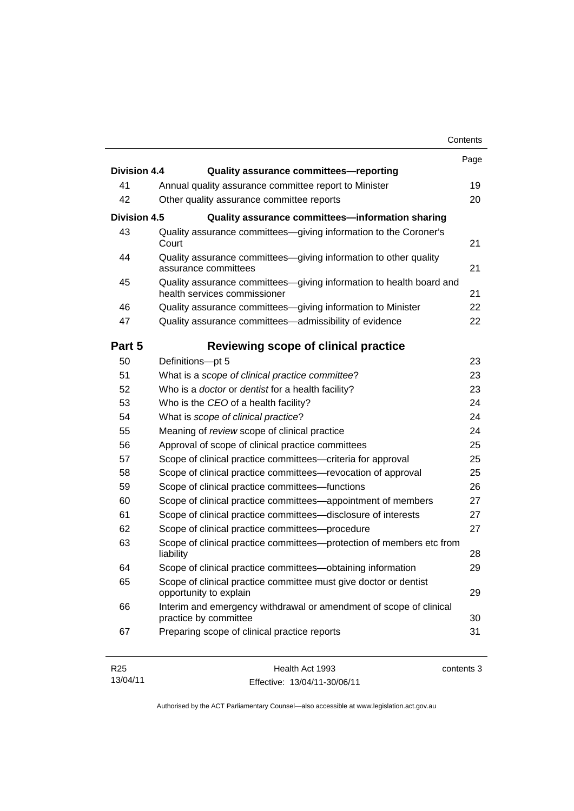|                     |                                                                                                     | Page |
|---------------------|-----------------------------------------------------------------------------------------------------|------|
| <b>Division 4.4</b> | Quality assurance committees-reporting                                                              |      |
| 41                  | Annual quality assurance committee report to Minister                                               | 19   |
| 42                  | Other quality assurance committee reports                                                           | 20   |
| <b>Division 4.5</b> | Quality assurance committees-information sharing                                                    |      |
| 43                  | Quality assurance committees-giving information to the Coroner's<br>Court                           | 21   |
| 44                  | Quality assurance committees-giving information to other quality<br>assurance committees            | 21   |
| 45                  | Quality assurance committees-giving information to health board and<br>health services commissioner | 21   |
| 46                  | Quality assurance committees-giving information to Minister                                         | 22   |
| 47                  | Quality assurance committees-admissibility of evidence                                              | 22   |
| Part 5              | Reviewing scope of clinical practice                                                                |      |
| 50                  | Definitions-pt 5                                                                                    | 23   |
| 51                  | What is a scope of clinical practice committee?                                                     | 23   |
| 52                  | Who is a <i>doctor</i> or <i>dentist</i> for a health facility?                                     | 23   |
| 53                  | Who is the CEO of a health facility?                                                                | 24   |
| 54                  | What is scope of clinical practice?                                                                 | 24   |
| 55                  | Meaning of review scope of clinical practice                                                        | 24   |
| 56                  | Approval of scope of clinical practice committees                                                   | 25   |
| 57                  | Scope of clinical practice committees-criteria for approval                                         | 25   |
| 58                  | Scope of clinical practice committees-revocation of approval                                        | 25   |
| 59                  | Scope of clinical practice committees-functions                                                     | 26   |
| 60                  | Scope of clinical practice committees—appointment of members                                        | 27   |
| 61                  | Scope of clinical practice committees-disclosure of interests                                       | 27   |
| 62                  | Scope of clinical practice committees-procedure                                                     | 27   |
| 63                  | Scope of clinical practice committees—protection of members etc from<br>liability                   | 28   |
| 64                  | Scope of clinical practice committees-obtaining information                                         | 29   |
| 65                  | Scope of clinical practice committee must give doctor or dentist<br>opportunity to explain          | 29   |
| 66                  | Interim and emergency withdrawal or amendment of scope of clinical<br>practice by committee         | 30   |
| 67                  | Preparing scope of clinical practice reports                                                        | 31   |

| R25      | Health Act 1993              | contents 3 |
|----------|------------------------------|------------|
| 13/04/11 | Effective: 13/04/11-30/06/11 |            |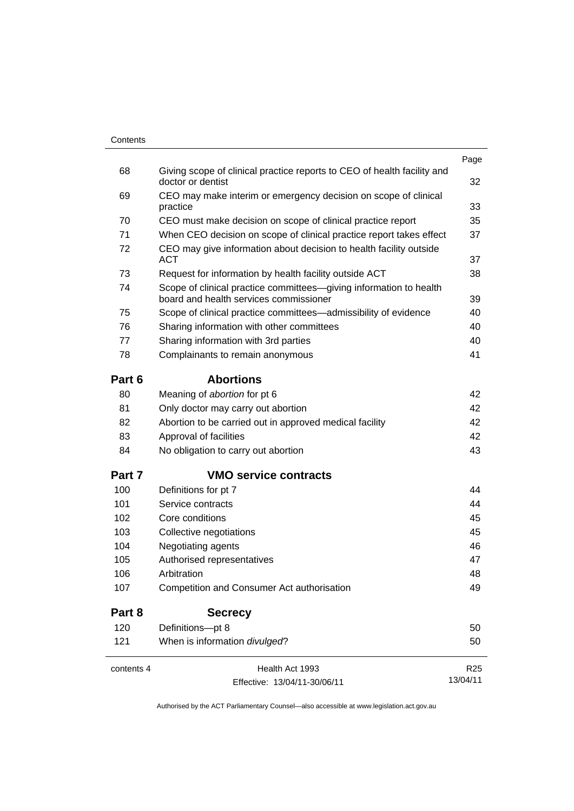|            |                                                                                                              | Page            |
|------------|--------------------------------------------------------------------------------------------------------------|-----------------|
| 68         | Giving scope of clinical practice reports to CEO of health facility and<br>doctor or dentist                 | 32              |
| 69         | CEO may make interim or emergency decision on scope of clinical<br>practice                                  | 33              |
| 70         | CEO must make decision on scope of clinical practice report                                                  | 35              |
| 71         | When CEO decision on scope of clinical practice report takes effect                                          | 37              |
| 72         | CEO may give information about decision to health facility outside<br><b>ACT</b>                             | 37              |
| 73         | Request for information by health facility outside ACT                                                       | 38              |
| 74         | Scope of clinical practice committees—giving information to health<br>board and health services commissioner |                 |
| 75         | Scope of clinical practice committees—admissibility of evidence                                              | 40              |
| 76         | Sharing information with other committees                                                                    | 40              |
| 77         | Sharing information with 3rd parties                                                                         | 40              |
| 78         | Complainants to remain anonymous                                                                             | 41              |
| Part 6     | <b>Abortions</b>                                                                                             |                 |
| 80         | Meaning of abortion for pt 6                                                                                 | 42              |
| 81         | Only doctor may carry out abortion                                                                           | 42              |
| 82         | Abortion to be carried out in approved medical facility                                                      | 42              |
| 83         | Approval of facilities                                                                                       | 42              |
| 84         | No obligation to carry out abortion                                                                          | 43              |
| Part 7     | <b>VMO service contracts</b>                                                                                 |                 |
| 100        | Definitions for pt 7                                                                                         | 44              |
| 101        | Service contracts                                                                                            | 44              |
| 102        | Core conditions                                                                                              | 45              |
| 103        | Collective negotiations                                                                                      | 45              |
| 104        | Negotiating agents                                                                                           | 46              |
| 105        | Authorised representatives                                                                                   | 47              |
| 106        | Arbitration                                                                                                  | 48              |
| 107        | Competition and Consumer Act authorisation                                                                   | 49              |
| Part 8     | <b>Secrecy</b>                                                                                               |                 |
| 120        | Definitions-pt 8                                                                                             | 50              |
| 121        | When is information divulged?                                                                                | 50              |
| contents 4 | Health Act 1993                                                                                              | R <sub>25</sub> |
|            | Effective: 13/04/11-30/06/11                                                                                 | 13/04/11        |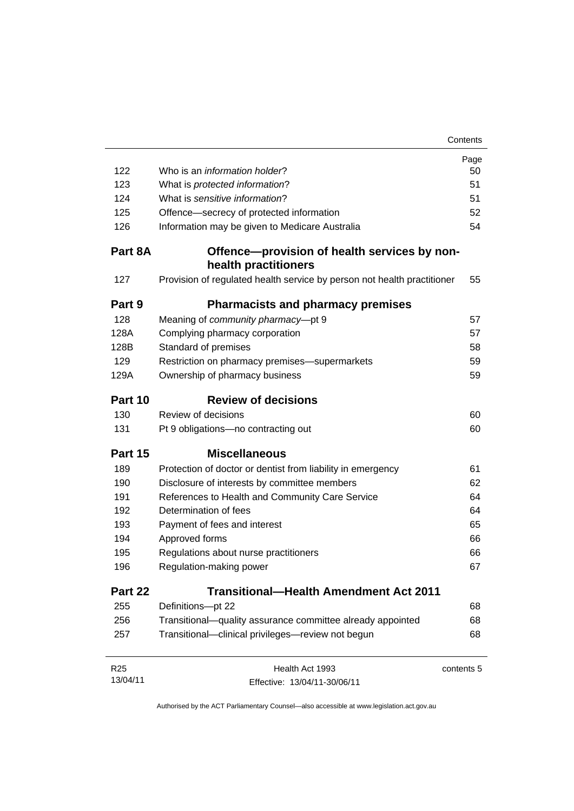| 122             | Who is an <i>information holder</i> ?                                   | Page<br>50 |  |
|-----------------|-------------------------------------------------------------------------|------------|--|
| 123             | What is protected information?                                          | 51         |  |
| 124             | What is sensitive information?                                          | 51         |  |
| 125             | Offence-secrecy of protected information                                | 52         |  |
| 126             | Information may be given to Medicare Australia                          | 54         |  |
| Part 8A         | Offence-provision of health services by non-<br>health practitioners    |            |  |
| 127             | Provision of regulated health service by person not health practitioner | 55         |  |
| Part 9          | <b>Pharmacists and pharmacy premises</b>                                |            |  |
| 128             | Meaning of community pharmacy-pt 9                                      | 57         |  |
| 128A            | Complying pharmacy corporation                                          | 57         |  |
| 128B            | Standard of premises                                                    | 58         |  |
| 129             | Restriction on pharmacy premises-supermarkets                           | 59         |  |
| 129A            | Ownership of pharmacy business                                          | 59         |  |
| Part 10         | <b>Review of decisions</b>                                              |            |  |
| 130             | Review of decisions                                                     | 60         |  |
| 131             | Pt 9 obligations-no contracting out                                     | 60         |  |
| Part 15         | <b>Miscellaneous</b>                                                    |            |  |
| 189             | Protection of doctor or dentist from liability in emergency             | 61         |  |
| 190             | Disclosure of interests by committee members                            | 62         |  |
| 191             | References to Health and Community Care Service                         | 64         |  |
| 192             | Determination of fees                                                   | 64         |  |
| 193             | Payment of fees and interest                                            | 65         |  |
| 194             | Approved forms                                                          | 66         |  |
| 195             | Regulations about nurse practitioners                                   | 66         |  |
| 196             | Regulation-making power                                                 | 67         |  |
| Part 22         | <b>Transitional-Health Amendment Act 2011</b>                           |            |  |
| 255             | Definitions-pt 22                                                       | 68         |  |
| 256             | Transitional-quality assurance committee already appointed              | 68         |  |
| 257             | Transitional-clinical privileges-review not begun                       | 68         |  |
| R <sub>25</sub> | Health Act 1993                                                         | contents 5 |  |

| 13/04/11<br>Effective: 13/04/11-30/06/11 | 1 \ ∠ J | 110011171011700 | <u>vuituitu</u> |
|------------------------------------------|---------|-----------------|-----------------|
|                                          |         |                 |                 |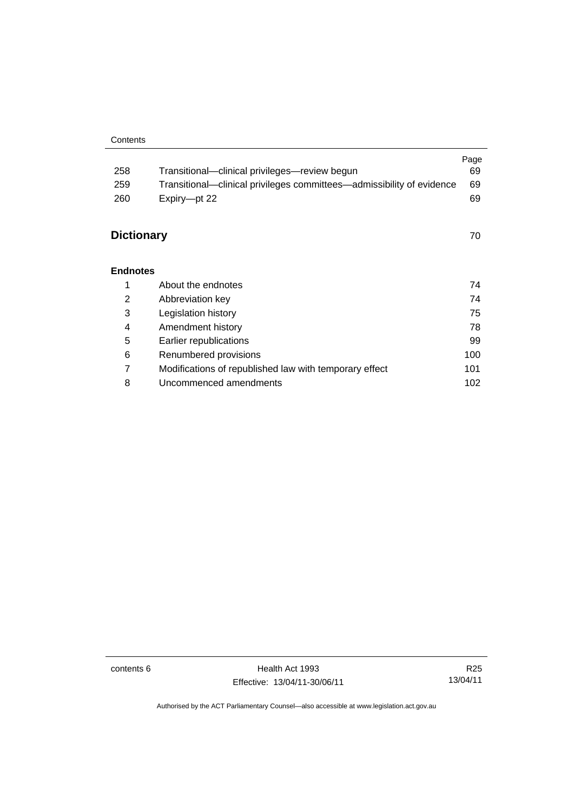| 258               | Transitional—clinical privileges—review begun                         | Page<br>69 |
|-------------------|-----------------------------------------------------------------------|------------|
|                   |                                                                       |            |
| 259               | Transitional—clinical privileges committees—admissibility of evidence | 69         |
| 260               | Expiry-pt 22                                                          | 69         |
|                   |                                                                       |            |
| <b>Dictionary</b> |                                                                       | 70         |
|                   |                                                                       |            |
| <b>Endnotes</b>   |                                                                       |            |
| 1                 | About the endnotes                                                    | 74         |
| 2                 | Abbreviation key                                                      | 74         |
| 3                 | Legislation history                                                   | 75         |
| 4                 | Amendment history                                                     | 78         |
| 5                 | Earlier republications                                                | 99         |
| 6                 | Renumbered provisions                                                 | 100        |
| 7                 | Modifications of republished law with temporary effect                | 101        |
| 8                 | Uncommenced amendments                                                | 102        |

contents 6 Health Act 1993 Effective: 13/04/11-30/06/11

R25 13/04/11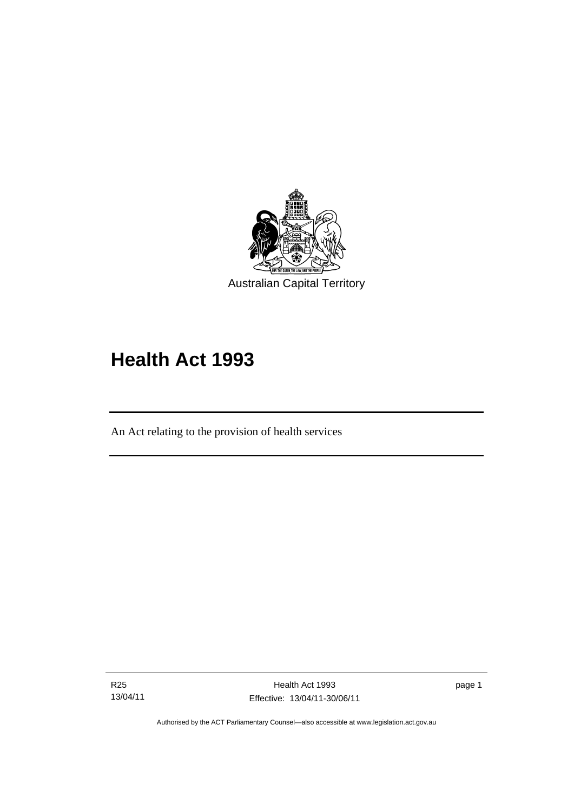

# **Health Act 1993**

An Act relating to the provision of health services

R25 13/04/11

l

page 1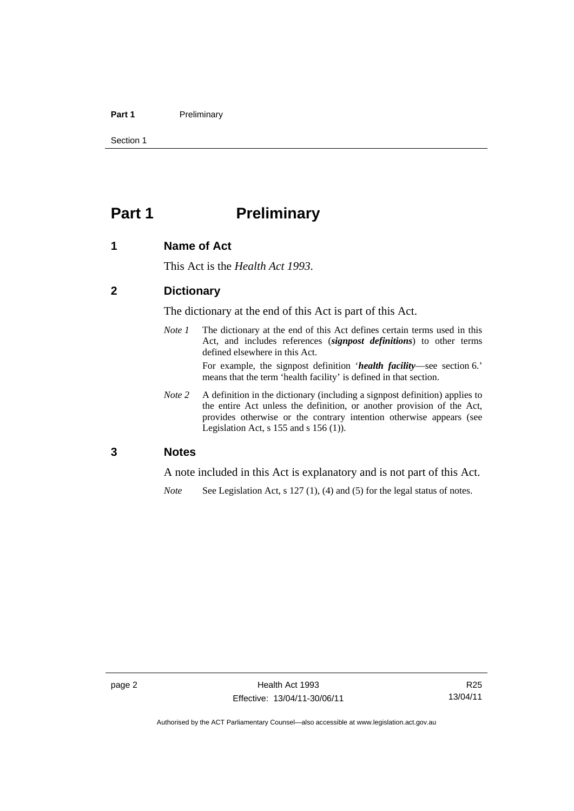#### Part 1 **Preliminary**

Section 1

## **Part 1** Preliminary

#### **1 Name of Act**

This Act is the *Health Act 1993*.

#### **2 Dictionary**

The dictionary at the end of this Act is part of this Act.

*Note 1* The dictionary at the end of this Act defines certain terms used in this Act, and includes references (*signpost definitions*) to other terms defined elsewhere in this Act. For example, the signpost definition '*health facility*—see section 6.'

means that the term 'health facility' is defined in that section.

*Note 2* A definition in the dictionary (including a signpost definition) applies to the entire Act unless the definition, or another provision of the Act, provides otherwise or the contrary intention otherwise appears (see Legislation Act, s  $155$  and s  $156$  (1)).

#### **3 Notes**

A note included in this Act is explanatory and is not part of this Act.

*Note* See Legislation Act, s 127 (1), (4) and (5) for the legal status of notes.

R25 13/04/11

Authorised by the ACT Parliamentary Counsel—also accessible at www.legislation.act.gov.au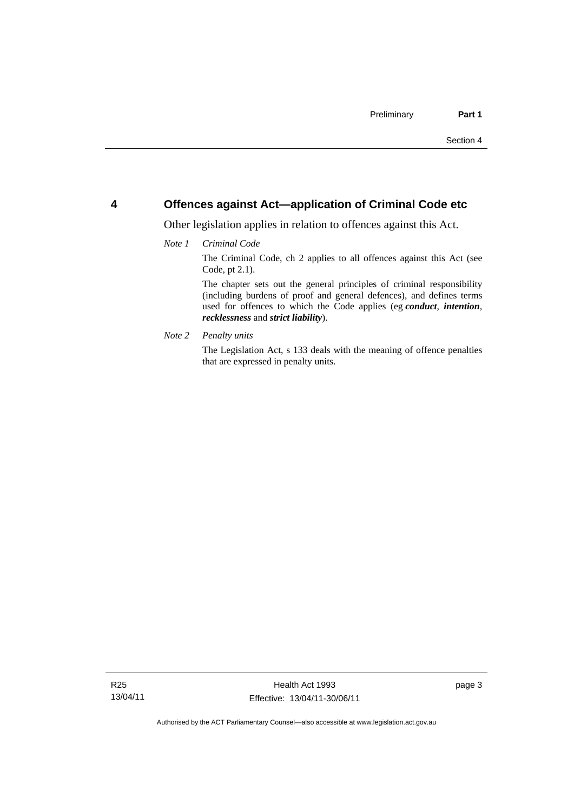#### **4 Offences against Act—application of Criminal Code etc**

Other legislation applies in relation to offences against this Act.

#### *Note 1 Criminal Code*

The Criminal Code, ch 2 applies to all offences against this Act (see Code, pt 2.1).

The chapter sets out the general principles of criminal responsibility (including burdens of proof and general defences), and defines terms used for offences to which the Code applies (eg *conduct*, *intention*, *recklessness* and *strict liability*).

*Note 2 Penalty units* 

The Legislation Act, s 133 deals with the meaning of offence penalties that are expressed in penalty units.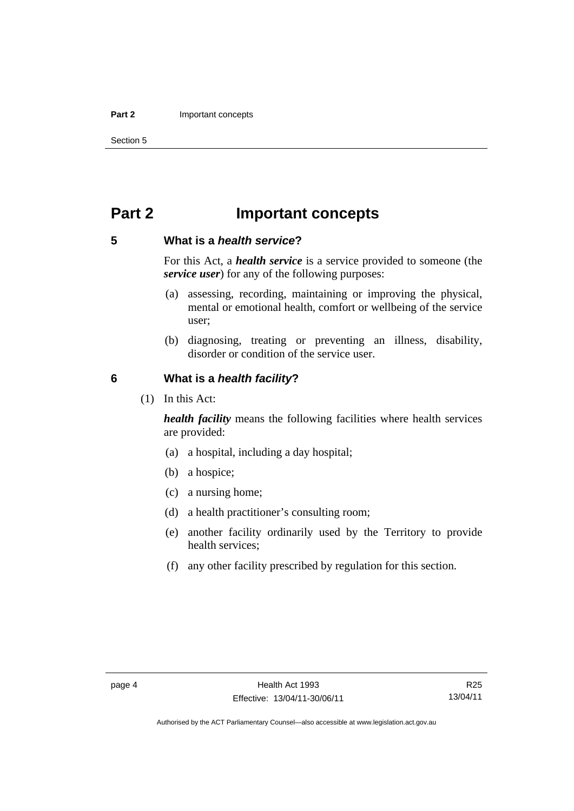#### **Part 2 Important concepts**

Section 5

## **Part 2 Important concepts**

#### **5 What is a** *health service***?**

For this Act, a *health service* is a service provided to someone (the *service user*) for any of the following purposes:

- (a) assessing, recording, maintaining or improving the physical, mental or emotional health, comfort or wellbeing of the service user;
- (b) diagnosing, treating or preventing an illness, disability, disorder or condition of the service user.

#### **6 What is a** *health facility***?**

(1) In this Act:

*health facility* means the following facilities where health services are provided:

- (a) a hospital, including a day hospital;
- (b) a hospice;
- (c) a nursing home;
- (d) a health practitioner's consulting room;
- (e) another facility ordinarily used by the Territory to provide health services;
- (f) any other facility prescribed by regulation for this section.

R25 13/04/11

Authorised by the ACT Parliamentary Counsel—also accessible at www.legislation.act.gov.au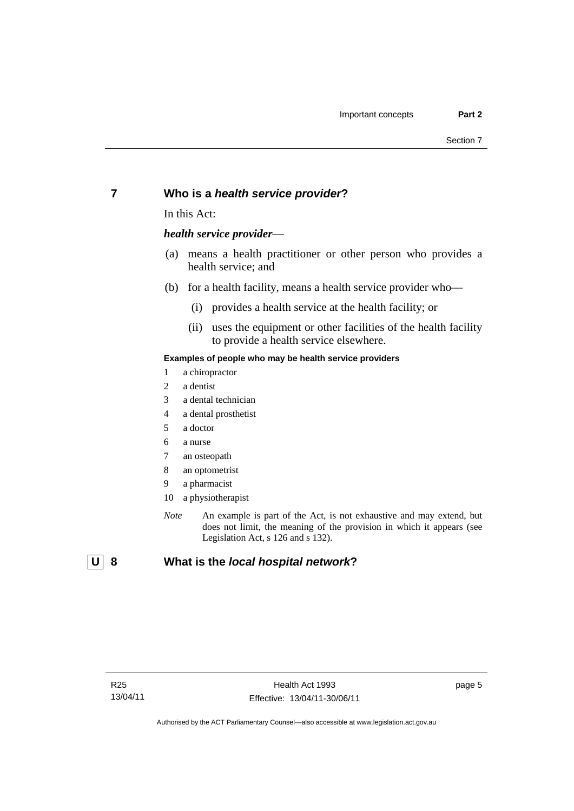#### **7 Who is a** *health service provider***?**

In this Act:

#### *health service provider*—

- (a) means a health practitioner or other person who provides a health service; and
- (b) for a health facility, means a health service provider who—
	- (i) provides a health service at the health facility; or
	- (ii) uses the equipment or other facilities of the health facility to provide a health service elsewhere.

#### **Examples of people who may be health service providers**

- 1 a chiropractor
- 2 a dentist
- 3 a dental technician
- 4 a dental prosthetist
- 5 a doctor
- 6 a nurse
- 7 an osteopath
- 8 an optometrist
- 9 a pharmacist
- 10 a physiotherapist
- *Note* An example is part of the Act, is not exhaustive and may extend, but does not limit, the meaning of the provision in which it appears (see Legislation Act, s 126 and s 132).

 **U 8 What is the** *local hospital network***?** 

page 5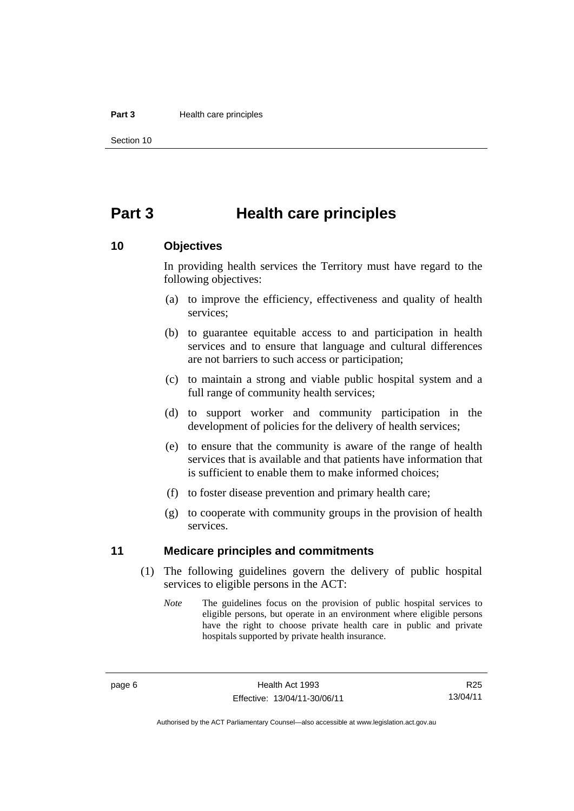#### **Part 3 Health care principles**

Section 10

## **Part 3 Health care principles**

#### **10 Objectives**

In providing health services the Territory must have regard to the following objectives:

- (a) to improve the efficiency, effectiveness and quality of health services;
- (b) to guarantee equitable access to and participation in health services and to ensure that language and cultural differences are not barriers to such access or participation;
- (c) to maintain a strong and viable public hospital system and a full range of community health services;
- (d) to support worker and community participation in the development of policies for the delivery of health services;
- (e) to ensure that the community is aware of the range of health services that is available and that patients have information that is sufficient to enable them to make informed choices;
- (f) to foster disease prevention and primary health care;
- (g) to cooperate with community groups in the provision of health services.

#### **11 Medicare principles and commitments**

- (1) The following guidelines govern the delivery of public hospital services to eligible persons in the ACT:
	- *Note* The guidelines focus on the provision of public hospital services to eligible persons, but operate in an environment where eligible persons have the right to choose private health care in public and private hospitals supported by private health insurance.

R25 13/04/11

Authorised by the ACT Parliamentary Counsel—also accessible at www.legislation.act.gov.au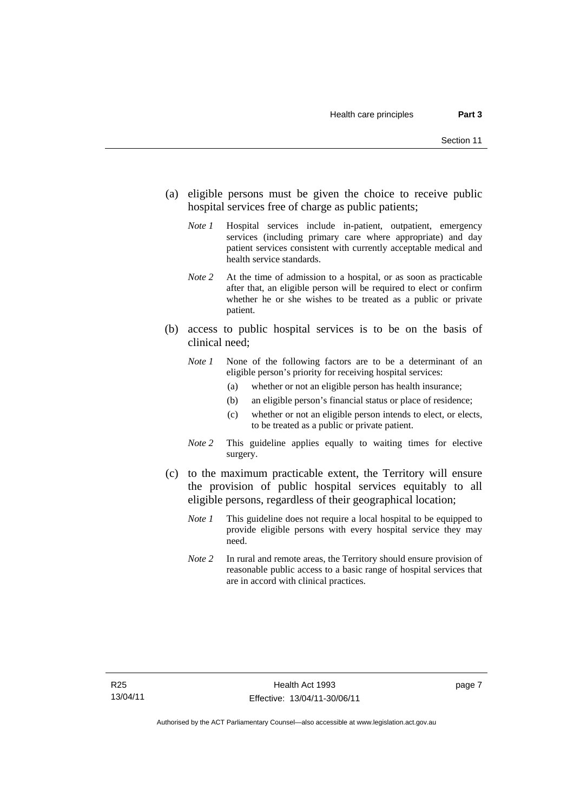- (a) eligible persons must be given the choice to receive public hospital services free of charge as public patients;
	- *Note 1* Hospital services include in-patient, outpatient, emergency services (including primary care where appropriate) and day patient services consistent with currently acceptable medical and health service standards.
	- *Note 2* At the time of admission to a hospital, or as soon as practicable after that, an eligible person will be required to elect or confirm whether he or she wishes to be treated as a public or private patient.
- (b) access to public hospital services is to be on the basis of clinical need;
	- *Note 1* None of the following factors are to be a determinant of an eligible person's priority for receiving hospital services:
		- (a) whether or not an eligible person has health insurance;
		- (b) an eligible person's financial status or place of residence;
		- (c) whether or not an eligible person intends to elect, or elects, to be treated as a public or private patient.
	- *Note 2* This guideline applies equally to waiting times for elective surgery.
- (c) to the maximum practicable extent, the Territory will ensure the provision of public hospital services equitably to all eligible persons, regardless of their geographical location;
	- *Note 1* This guideline does not require a local hospital to be equipped to provide eligible persons with every hospital service they may need.
	- *Note 2* In rural and remote areas, the Territory should ensure provision of reasonable public access to a basic range of hospital services that are in accord with clinical practices.

page 7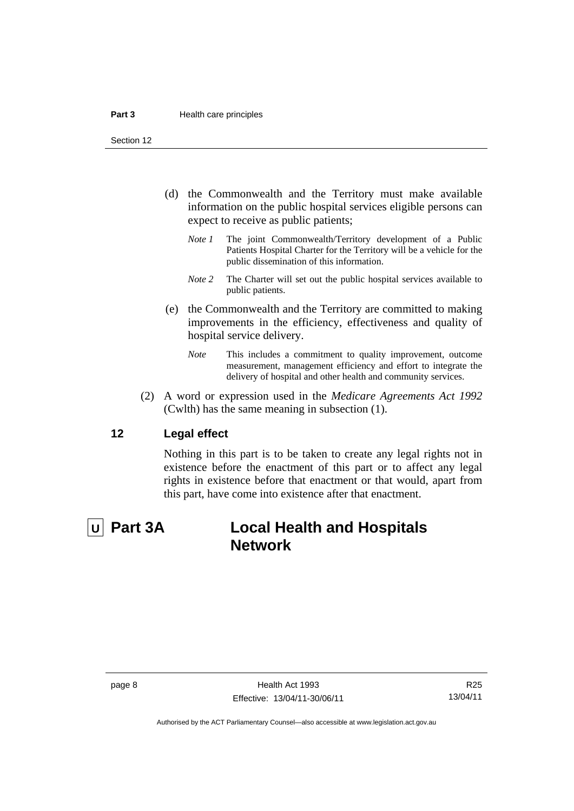Section 12

- (d) the Commonwealth and the Territory must make available information on the public hospital services eligible persons can expect to receive as public patients;
	- *Note 1* The joint Commonwealth/Territory development of a Public Patients Hospital Charter for the Territory will be a vehicle for the public dissemination of this information.
	- *Note 2* The Charter will set out the public hospital services available to public patients.
- (e) the Commonwealth and the Territory are committed to making improvements in the efficiency, effectiveness and quality of hospital service delivery.
	- *Note* This includes a commitment to quality improvement, outcome measurement, management efficiency and effort to integrate the delivery of hospital and other health and community services.
- (2) A word or expression used in the *Medicare Agreements Act 1992* (Cwlth) has the same meaning in subsection (1).

#### **12 Legal effect**

Nothing in this part is to be taken to create any legal rights not in existence before the enactment of this part or to affect any legal rights in existence before that enactment or that would, apart from this part, have come into existence after that enactment.

## **U Part 3A Local Health and Hospitals Network**

R25 13/04/11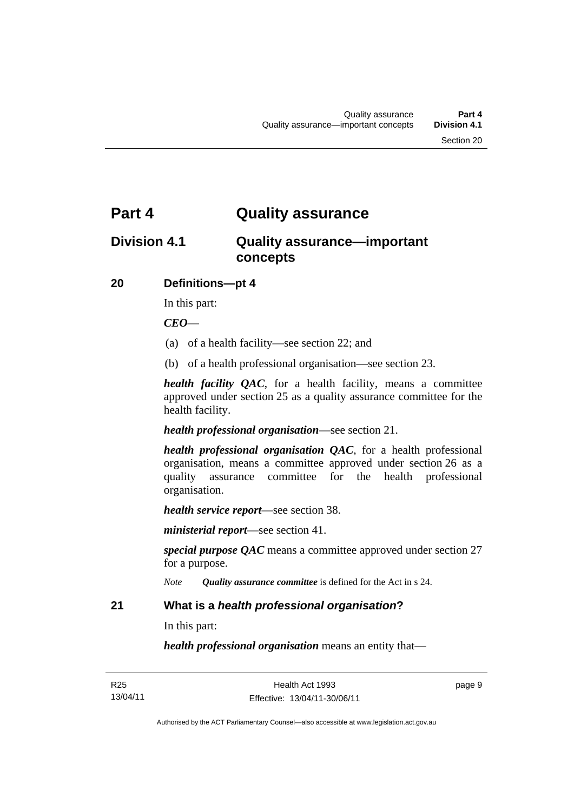## **Part 4 Quality assurance**

## **Division 4.1 Quality assurance—important concepts**

#### **20 Definitions—pt 4**

In this part:

#### *CEO*—

- (a) of a health facility—see section 22; and
- (b) of a health professional organisation—see section 23.

*health facility QAC*, for a health facility, means a committee approved under section 25 as a quality assurance committee for the health facility.

*health professional organisation*—see section 21.

*health professional organisation QAC*, for a health professional organisation, means a committee approved under section 26 as a quality assurance committee for the health professional organisation.

*health service report*—see section 38.

*ministerial report*—see section 41.

*special purpose QAC* means a committee approved under section 27 for a purpose.

*Note Quality assurance committee* is defined for the Act in s 24.

#### **21 What is a** *health professional organisation***?**

In this part:

*health professional organisation* means an entity that—

page 9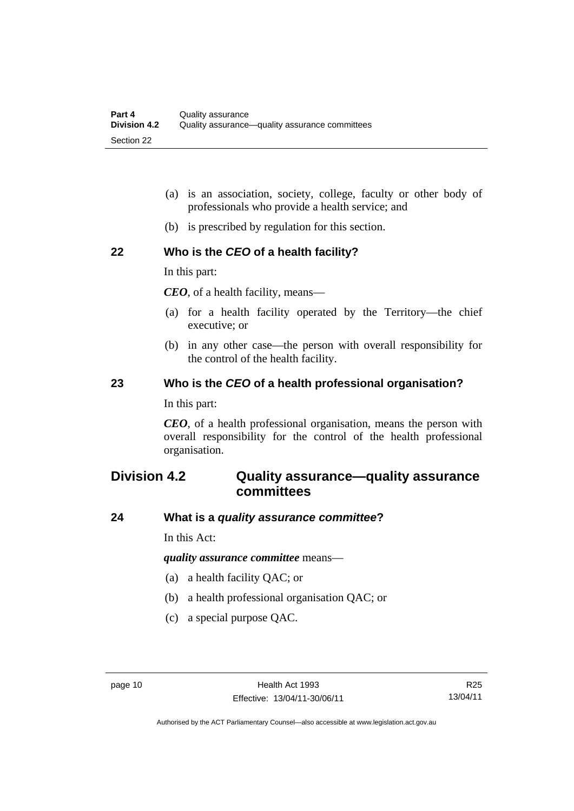- (a) is an association, society, college, faculty or other body of professionals who provide a health service; and
- (b) is prescribed by regulation for this section.

#### **22 Who is the** *CEO* **of a health facility?**

In this part:

*CEO*, of a health facility, means—

- (a) for a health facility operated by the Territory—the chief executive; or
- (b) in any other case—the person with overall responsibility for the control of the health facility.

#### **23 Who is the** *CEO* **of a health professional organisation?**

In this part:

*CEO*, of a health professional organisation, means the person with overall responsibility for the control of the health professional organisation.

## **Division 4.2 Quality assurance—quality assurance committees**

#### **24 What is a** *quality assurance committee***?**

In this Act:

*quality assurance committee* means—

- (a) a health facility QAC; or
- (b) a health professional organisation QAC; or
- (c) a special purpose QAC.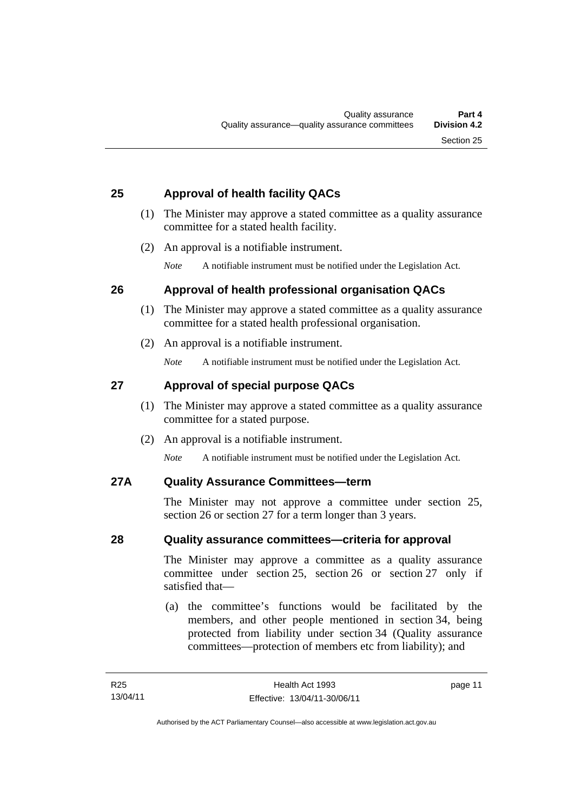#### **25 Approval of health facility QACs**

- (1) The Minister may approve a stated committee as a quality assurance committee for a stated health facility.
- (2) An approval is a notifiable instrument.

*Note* A notifiable instrument must be notified under the Legislation Act.

#### **26 Approval of health professional organisation QACs**

- (1) The Minister may approve a stated committee as a quality assurance committee for a stated health professional organisation.
- (2) An approval is a notifiable instrument.

*Note* A notifiable instrument must be notified under the Legislation Act.

#### **27 Approval of special purpose QACs**

- (1) The Minister may approve a stated committee as a quality assurance committee for a stated purpose.
- (2) An approval is a notifiable instrument.

*Note* A notifiable instrument must be notified under the Legislation Act.

#### **27A Quality Assurance Committees—term**

The Minister may not approve a committee under section 25, section 26 or section 27 for a term longer than 3 years.

#### **28 Quality assurance committees—criteria for approval**

The Minister may approve a committee as a quality assurance committee under section 25, section 26 or section 27 only if satisfied that—

 (a) the committee's functions would be facilitated by the members, and other people mentioned in section 34, being protected from liability under section 34 (Quality assurance committees—protection of members etc from liability); and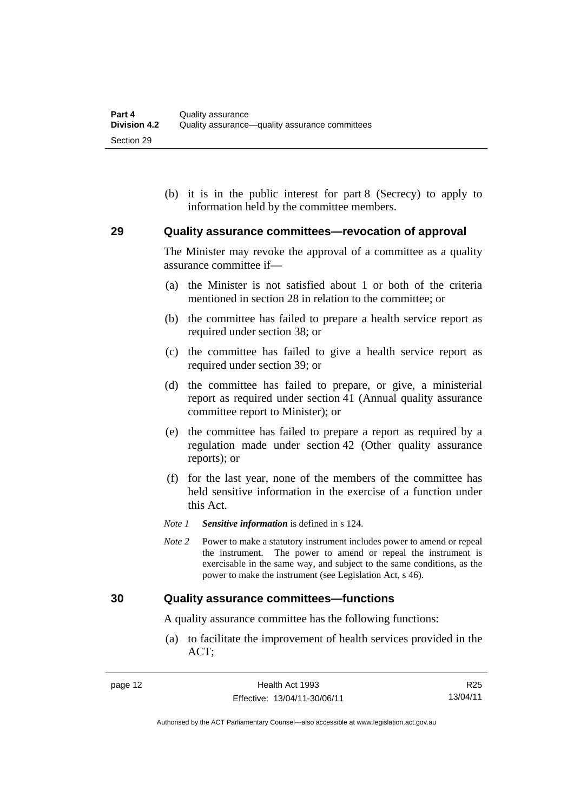(b) it is in the public interest for part 8 (Secrecy) to apply to information held by the committee members.

#### **29 Quality assurance committees—revocation of approval**

The Minister may revoke the approval of a committee as a quality assurance committee if—

- (a) the Minister is not satisfied about 1 or both of the criteria mentioned in section 28 in relation to the committee; or
- (b) the committee has failed to prepare a health service report as required under section 38; or
- (c) the committee has failed to give a health service report as required under section 39; or
- (d) the committee has failed to prepare, or give, a ministerial report as required under section 41 (Annual quality assurance committee report to Minister); or
- (e) the committee has failed to prepare a report as required by a regulation made under section 42 (Other quality assurance reports); or
- (f) for the last year, none of the members of the committee has held sensitive information in the exercise of a function under this Act.
- *Note 1 Sensitive information* is defined in s 124.
- *Note 2* Power to make a statutory instrument includes power to amend or repeal the instrument. The power to amend or repeal the instrument is exercisable in the same way, and subject to the same conditions, as the power to make the instrument (see Legislation Act, s 46).

#### **30 Quality assurance committees—functions**

A quality assurance committee has the following functions:

 (a) to facilitate the improvement of health services provided in the ACT;

R25 13/04/11

Authorised by the ACT Parliamentary Counsel—also accessible at www.legislation.act.gov.au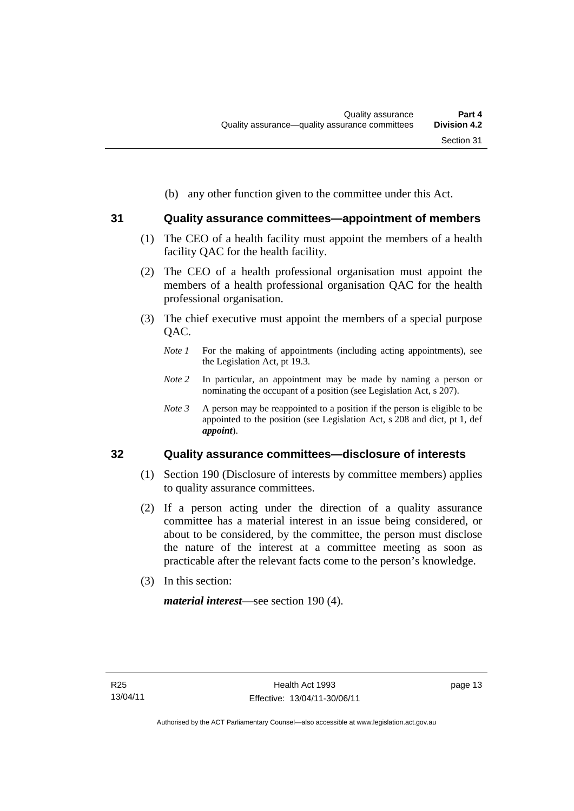(b) any other function given to the committee under this Act.

- **31 Quality assurance committees—appointment of members** 
	- (1) The CEO of a health facility must appoint the members of a health facility QAC for the health facility.
	- (2) The CEO of a health professional organisation must appoint the members of a health professional organisation QAC for the health professional organisation.
	- (3) The chief executive must appoint the members of a special purpose QAC.
		- *Note 1* For the making of appointments (including acting appointments), see the Legislation Act, pt 19.3.
		- *Note 2* In particular, an appointment may be made by naming a person or nominating the occupant of a position (see Legislation Act, s 207).
		- *Note* 3 A person may be reappointed to a position if the person is eligible to be appointed to the position (see Legislation Act, s 208 and dict, pt 1, def *appoint*).

#### **32 Quality assurance committees—disclosure of interests**

- (1) Section 190 (Disclosure of interests by committee members) applies to quality assurance committees.
- (2) If a person acting under the direction of a quality assurance committee has a material interest in an issue being considered, or about to be considered, by the committee, the person must disclose the nature of the interest at a committee meeting as soon as practicable after the relevant facts come to the person's knowledge.
- (3) In this section:

*material interest*—see section 190 (4).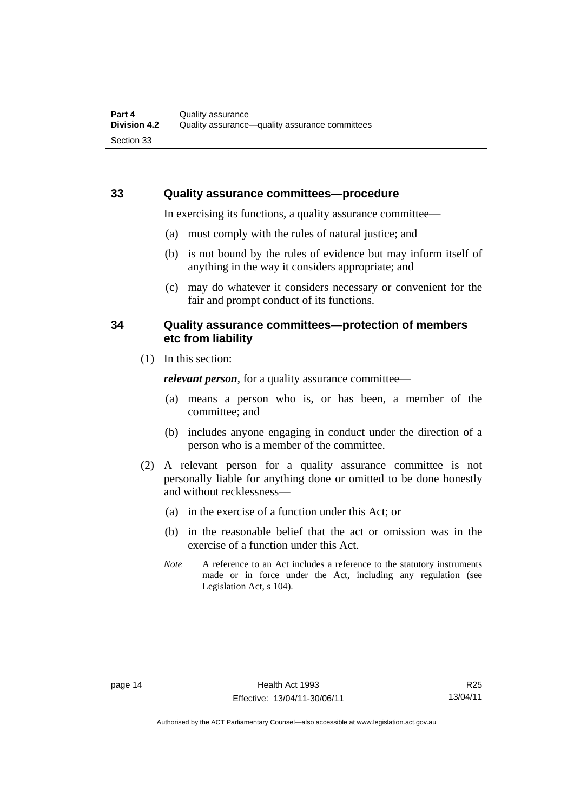#### **33 Quality assurance committees—procedure**

In exercising its functions, a quality assurance committee—

- (a) must comply with the rules of natural justice; and
- (b) is not bound by the rules of evidence but may inform itself of anything in the way it considers appropriate; and
- (c) may do whatever it considers necessary or convenient for the fair and prompt conduct of its functions.

#### **34 Quality assurance committees—protection of members etc from liability**

(1) In this section:

*relevant person*, for a quality assurance committee—

- (a) means a person who is, or has been, a member of the committee; and
- (b) includes anyone engaging in conduct under the direction of a person who is a member of the committee.
- (2) A relevant person for a quality assurance committee is not personally liable for anything done or omitted to be done honestly and without recklessness—
	- (a) in the exercise of a function under this Act; or
	- (b) in the reasonable belief that the act or omission was in the exercise of a function under this Act.
	- *Note* A reference to an Act includes a reference to the statutory instruments made or in force under the Act, including any regulation (see Legislation Act, s 104).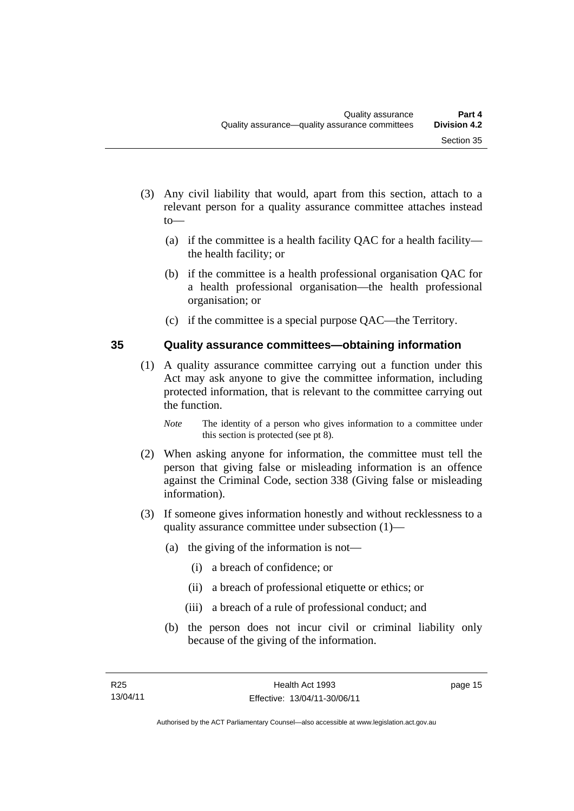- (3) Any civil liability that would, apart from this section, attach to a relevant person for a quality assurance committee attaches instead to—
	- (a) if the committee is a health facility QAC for a health facility the health facility; or
	- (b) if the committee is a health professional organisation QAC for a health professional organisation—the health professional organisation; or
	- (c) if the committee is a special purpose QAC—the Territory.

#### **35 Quality assurance committees—obtaining information**

- (1) A quality assurance committee carrying out a function under this Act may ask anyone to give the committee information, including protected information, that is relevant to the committee carrying out the function.
	- *Note* The identity of a person who gives information to a committee under this section is protected (see pt 8).
- (2) When asking anyone for information, the committee must tell the person that giving false or misleading information is an offence against the Criminal Code, section 338 (Giving false or misleading information).
- (3) If someone gives information honestly and without recklessness to a quality assurance committee under subsection (1)—
	- (a) the giving of the information is not—
		- (i) a breach of confidence; or
		- (ii) a breach of professional etiquette or ethics; or
		- (iii) a breach of a rule of professional conduct; and
	- (b) the person does not incur civil or criminal liability only because of the giving of the information.

page 15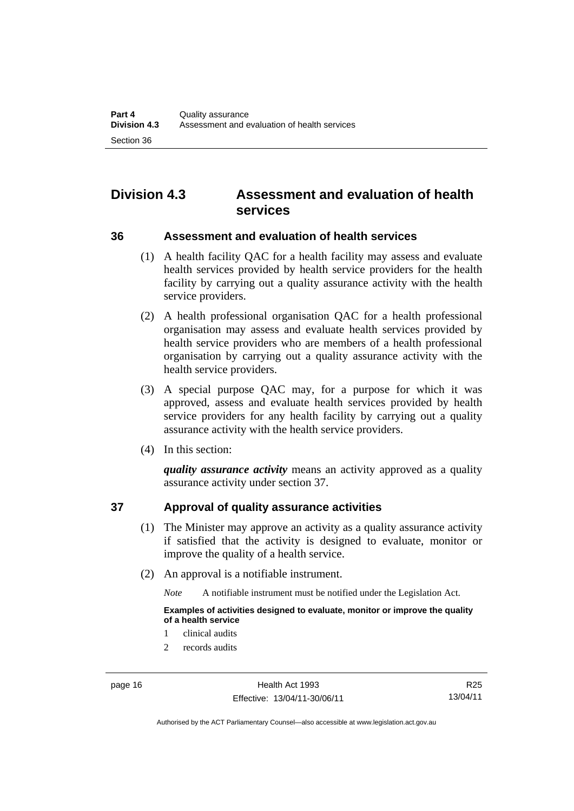## **Division 4.3 Assessment and evaluation of health services**

**36 Assessment and evaluation of health services** 

- (1) A health facility QAC for a health facility may assess and evaluate health services provided by health service providers for the health facility by carrying out a quality assurance activity with the health service providers.
- (2) A health professional organisation QAC for a health professional organisation may assess and evaluate health services provided by health service providers who are members of a health professional organisation by carrying out a quality assurance activity with the health service providers.
- (3) A special purpose QAC may, for a purpose for which it was approved, assess and evaluate health services provided by health service providers for any health facility by carrying out a quality assurance activity with the health service providers.
- (4) In this section:

*quality assurance activity* means an activity approved as a quality assurance activity under section 37.

### **37 Approval of quality assurance activities**

- (1) The Minister may approve an activity as a quality assurance activity if satisfied that the activity is designed to evaluate, monitor or improve the quality of a health service.
- (2) An approval is a notifiable instrument.

*Note* A notifiable instrument must be notified under the Legislation Act.

**Examples of activities designed to evaluate, monitor or improve the quality of a health service** 

- 1 clinical audits
- 2 records audits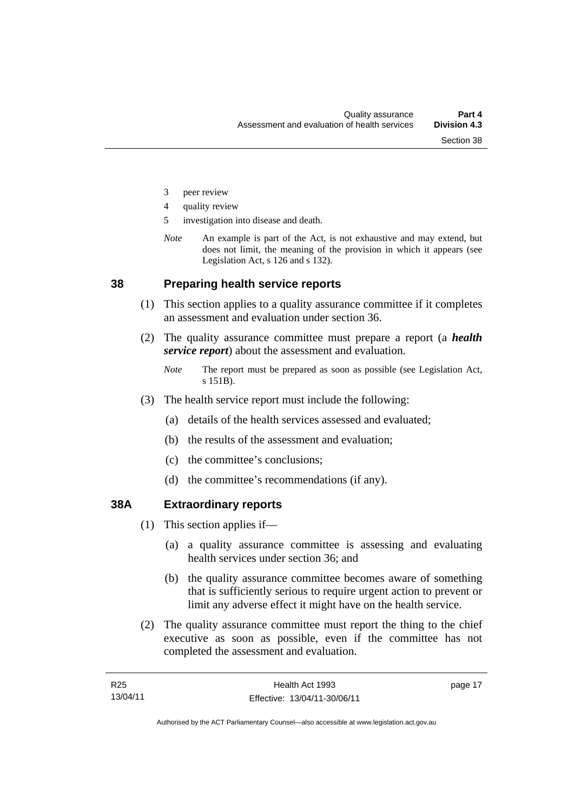- 3 peer review
- 4 quality review
- 5 investigation into disease and death.
- *Note* An example is part of the Act, is not exhaustive and may extend, but does not limit, the meaning of the provision in which it appears (see Legislation Act, s 126 and s 132).

#### **38 Preparing health service reports**

- (1) This section applies to a quality assurance committee if it completes an assessment and evaluation under section 36.
- (2) The quality assurance committee must prepare a report (a *health service report*) about the assessment and evaluation.
	- *Note* The report must be prepared as soon as possible (see Legislation Act, s 151B).
- (3) The health service report must include the following:
	- (a) details of the health services assessed and evaluated;
	- (b) the results of the assessment and evaluation;
	- (c) the committee's conclusions;
	- (d) the committee's recommendations (if any).

#### **38A Extraordinary reports**

- (1) This section applies if—
	- (a) a quality assurance committee is assessing and evaluating health services under section 36; and
	- (b) the quality assurance committee becomes aware of something that is sufficiently serious to require urgent action to prevent or limit any adverse effect it might have on the health service.
- (2) The quality assurance committee must report the thing to the chief executive as soon as possible, even if the committee has not completed the assessment and evaluation.

page 17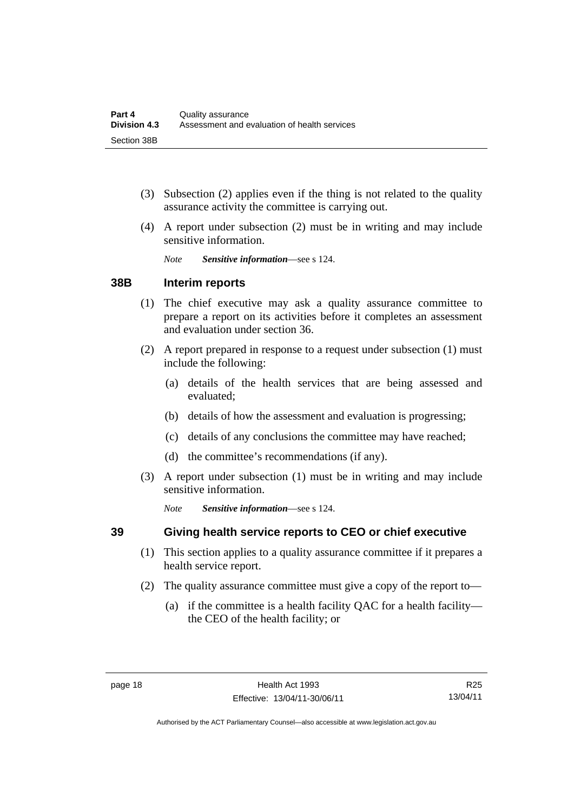- (3) Subsection (2) applies even if the thing is not related to the quality assurance activity the committee is carrying out.
- (4) A report under subsection (2) must be in writing and may include sensitive information.

*Note Sensitive information*—see s 124.

#### **38B Interim reports**

- (1) The chief executive may ask a quality assurance committee to prepare a report on its activities before it completes an assessment and evaluation under section 36.
- (2) A report prepared in response to a request under subsection (1) must include the following:
	- (a) details of the health services that are being assessed and evaluated;
	- (b) details of how the assessment and evaluation is progressing;
	- (c) details of any conclusions the committee may have reached;
	- (d) the committee's recommendations (if any).
- (3) A report under subsection (1) must be in writing and may include sensitive information.

*Note Sensitive information*—see s 124.

#### **39 Giving health service reports to CEO or chief executive**

- (1) This section applies to a quality assurance committee if it prepares a health service report.
- (2) The quality assurance committee must give a copy of the report to—
	- (a) if the committee is a health facility QAC for a health facility the CEO of the health facility; or

R25 13/04/11

Authorised by the ACT Parliamentary Counsel—also accessible at www.legislation.act.gov.au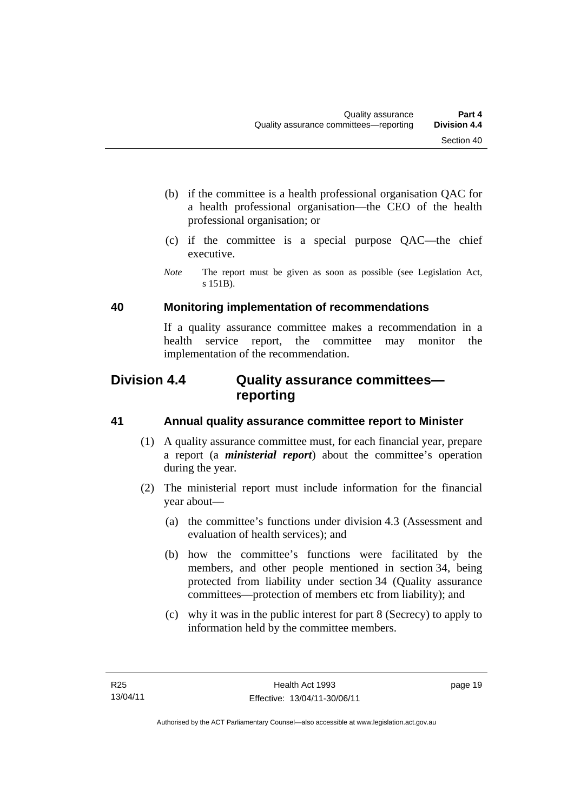- (b) if the committee is a health professional organisation QAC for a health professional organisation—the CEO of the health professional organisation; or
- (c) if the committee is a special purpose QAC—the chief executive.
- *Note* The report must be given as soon as possible (see Legislation Act, s 151B).

#### **40 Monitoring implementation of recommendations**

If a quality assurance committee makes a recommendation in a health service report, the committee may monitor the implementation of the recommendation.

## **Division 4.4 Quality assurance committees reporting**

#### **41 Annual quality assurance committee report to Minister**

- (1) A quality assurance committee must, for each financial year, prepare a report (a *ministerial report*) about the committee's operation during the year.
- (2) The ministerial report must include information for the financial year about—
	- (a) the committee's functions under division 4.3 (Assessment and evaluation of health services); and
	- (b) how the committee's functions were facilitated by the members, and other people mentioned in section 34, being protected from liability under section 34 (Quality assurance committees—protection of members etc from liability); and
	- (c) why it was in the public interest for part 8 (Secrecy) to apply to information held by the committee members.

page 19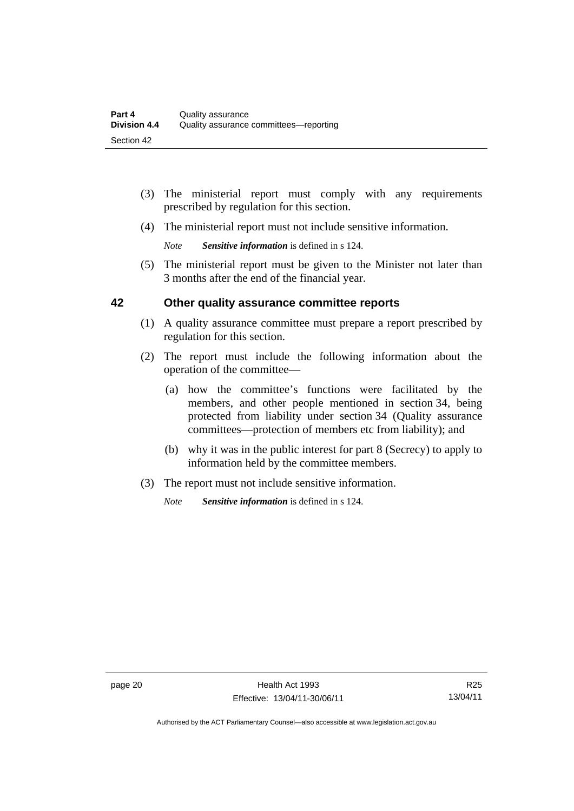- (3) The ministerial report must comply with any requirements prescribed by regulation for this section.
- (4) The ministerial report must not include sensitive information.

*Note Sensitive information* is defined in s 124.

 (5) The ministerial report must be given to the Minister not later than 3 months after the end of the financial year.

#### **42 Other quality assurance committee reports**

- (1) A quality assurance committee must prepare a report prescribed by regulation for this section.
- (2) The report must include the following information about the operation of the committee—
	- (a) how the committee's functions were facilitated by the members, and other people mentioned in section 34, being protected from liability under section 34 (Quality assurance committees—protection of members etc from liability); and
	- (b) why it was in the public interest for part 8 (Secrecy) to apply to information held by the committee members.
- (3) The report must not include sensitive information.

*Note Sensitive information* is defined in s 124.

Authorised by the ACT Parliamentary Counsel—also accessible at www.legislation.act.gov.au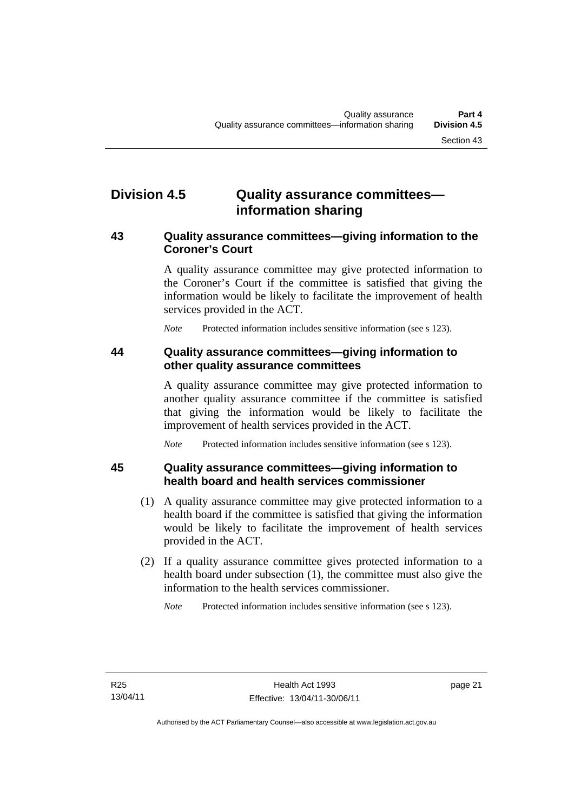## **Division 4.5 Quality assurance committees information sharing**

#### **43 Quality assurance committees—giving information to the Coroner's Court**

A quality assurance committee may give protected information to the Coroner's Court if the committee is satisfied that giving the information would be likely to facilitate the improvement of health services provided in the ACT.

*Note* Protected information includes sensitive information (see s 123).

#### **44 Quality assurance committees—giving information to other quality assurance committees**

A quality assurance committee may give protected information to another quality assurance committee if the committee is satisfied that giving the information would be likely to facilitate the improvement of health services provided in the ACT.

*Note* Protected information includes sensitive information (see s 123).

#### **45 Quality assurance committees—giving information to health board and health services commissioner**

- (1) A quality assurance committee may give protected information to a health board if the committee is satisfied that giving the information would be likely to facilitate the improvement of health services provided in the ACT.
- (2) If a quality assurance committee gives protected information to a health board under subsection (1), the committee must also give the information to the health services commissioner.

*Note* Protected information includes sensitive information (see s 123).

page 21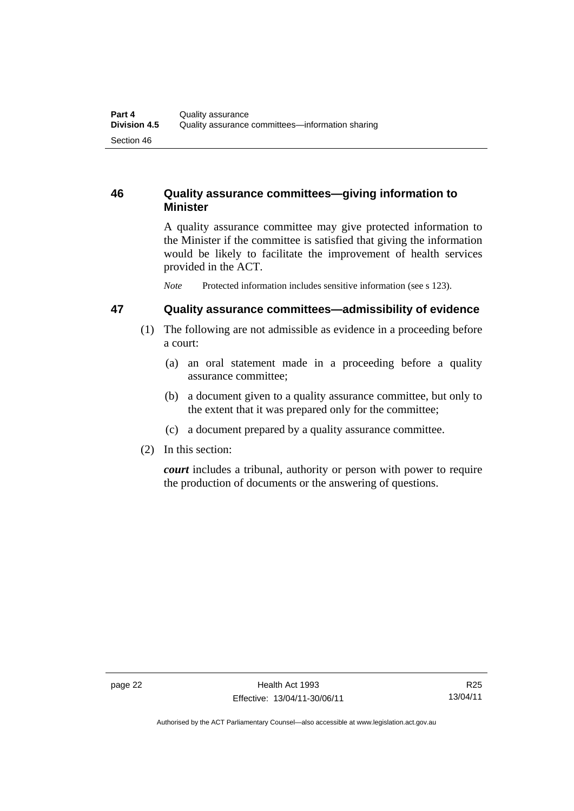### **46 Quality assurance committees—giving information to Minister**

A quality assurance committee may give protected information to the Minister if the committee is satisfied that giving the information would be likely to facilitate the improvement of health services provided in the ACT.

*Note* Protected information includes sensitive information (see s 123).

#### **47 Quality assurance committees—admissibility of evidence**

- (1) The following are not admissible as evidence in a proceeding before a court:
	- (a) an oral statement made in a proceeding before a quality assurance committee;
	- (b) a document given to a quality assurance committee, but only to the extent that it was prepared only for the committee;
	- (c) a document prepared by a quality assurance committee.
- (2) In this section:

*court* includes a tribunal, authority or person with power to require the production of documents or the answering of questions.

Authorised by the ACT Parliamentary Counsel—also accessible at www.legislation.act.gov.au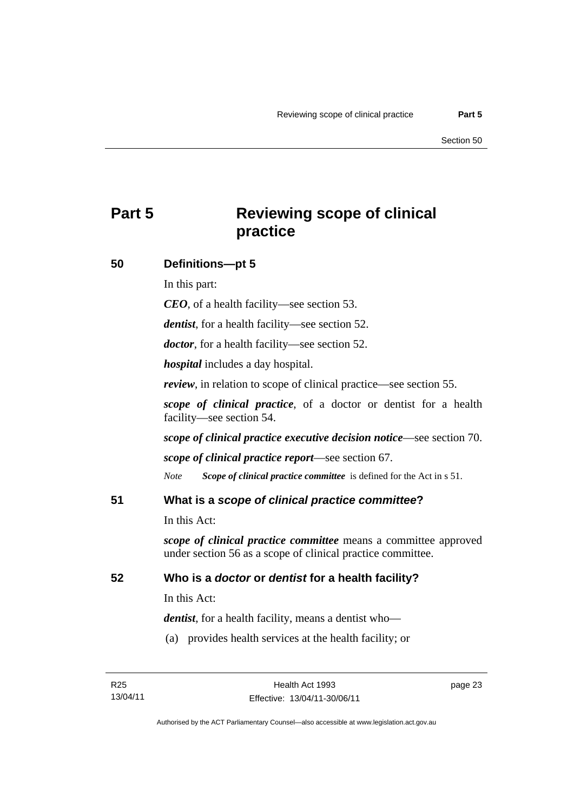## **Part 5 Reviewing scope of clinical practice**

#### **50 Definitions—pt 5**

In this part:

*CEO*, of a health facility—see section 53.

*dentist*, for a health facility—see section 52.

*doctor*, for a health facility—see section 52.

*hospital* includes a day hospital.

*review*, in relation to scope of clinical practice—see section 55.

*scope of clinical practice*, of a doctor or dentist for a health facility—see section 54.

*scope of clinical practice executive decision notice*—see section 70.

*scope of clinical practice report*—see section 67.

*Note Scope of clinical practice committee* is defined for the Act in s 51.

#### **51 What is a** *scope of clinical practice committee***?**

In this Act:

*scope of clinical practice committee* means a committee approved under section 56 as a scope of clinical practice committee.

#### **52 Who is a** *doctor* **or** *dentist* **for a health facility?**

In this Act:

*dentist*, for a health facility, means a dentist who—

(a) provides health services at the health facility; or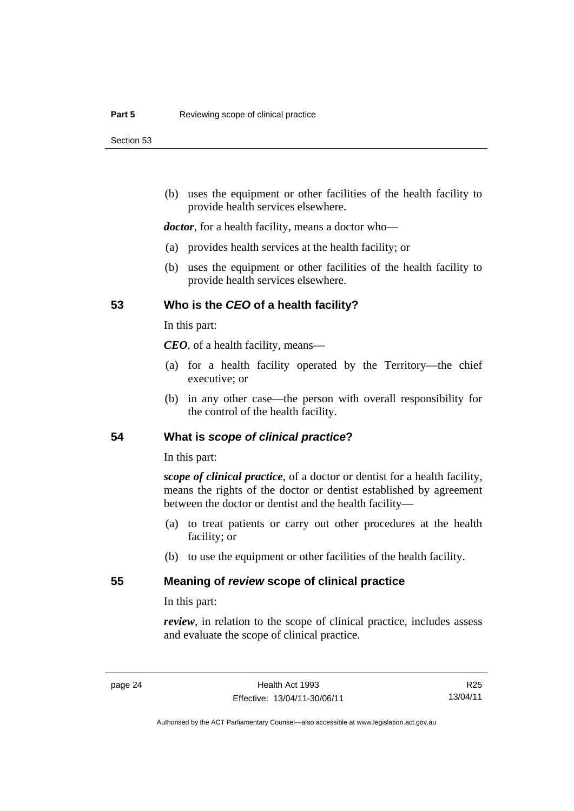Section 53

 (b) uses the equipment or other facilities of the health facility to provide health services elsewhere.

*doctor*, for a health facility, means a doctor who—

- (a) provides health services at the health facility; or
- (b) uses the equipment or other facilities of the health facility to provide health services elsewhere.

#### **53 Who is the** *CEO* **of a health facility?**

In this part:

*CEO*, of a health facility, means—

- (a) for a health facility operated by the Territory—the chief executive; or
- (b) in any other case—the person with overall responsibility for the control of the health facility.

#### **54 What is** *scope of clinical practice***?**

In this part:

*scope of clinical practice*, of a doctor or dentist for a health facility, means the rights of the doctor or dentist established by agreement between the doctor or dentist and the health facility—

- (a) to treat patients or carry out other procedures at the health facility; or
- (b) to use the equipment or other facilities of the health facility.

#### **55 Meaning of** *review* **scope of clinical practice**

In this part:

*review*, in relation to the scope of clinical practice, includes assess and evaluate the scope of clinical practice.

R25 13/04/11

Authorised by the ACT Parliamentary Counsel—also accessible at www.legislation.act.gov.au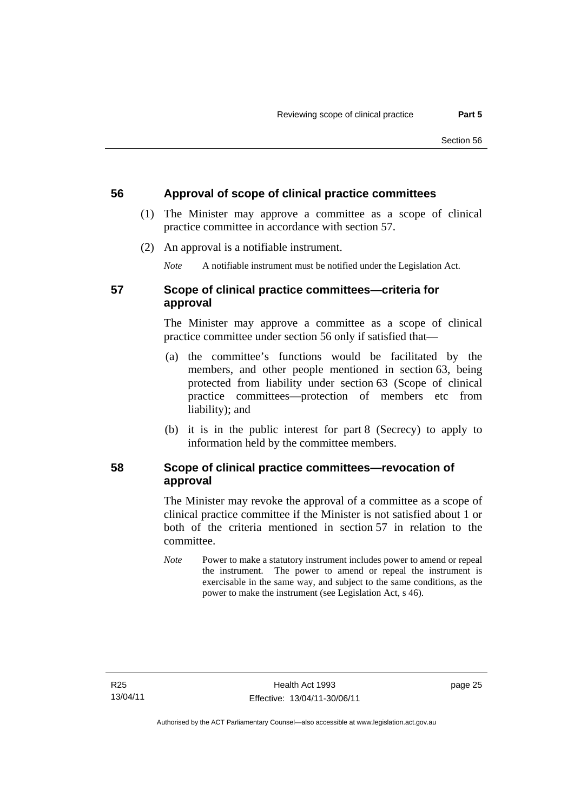#### **56 Approval of scope of clinical practice committees**

- (1) The Minister may approve a committee as a scope of clinical practice committee in accordance with section 57.
- (2) An approval is a notifiable instrument.

*Note* A notifiable instrument must be notified under the Legislation Act.

### **57 Scope of clinical practice committees—criteria for approval**

The Minister may approve a committee as a scope of clinical practice committee under section 56 only if satisfied that—

- (a) the committee's functions would be facilitated by the members, and other people mentioned in section 63, being protected from liability under section 63 (Scope of clinical practice committees—protection of members etc from liability); and
- (b) it is in the public interest for part 8 (Secrecy) to apply to information held by the committee members.

#### **58 Scope of clinical practice committees—revocation of approval**

The Minister may revoke the approval of a committee as a scope of clinical practice committee if the Minister is not satisfied about 1 or both of the criteria mentioned in section 57 in relation to the committee.

*Note* Power to make a statutory instrument includes power to amend or repeal the instrument. The power to amend or repeal the instrument is exercisable in the same way, and subject to the same conditions, as the power to make the instrument (see Legislation Act, s 46).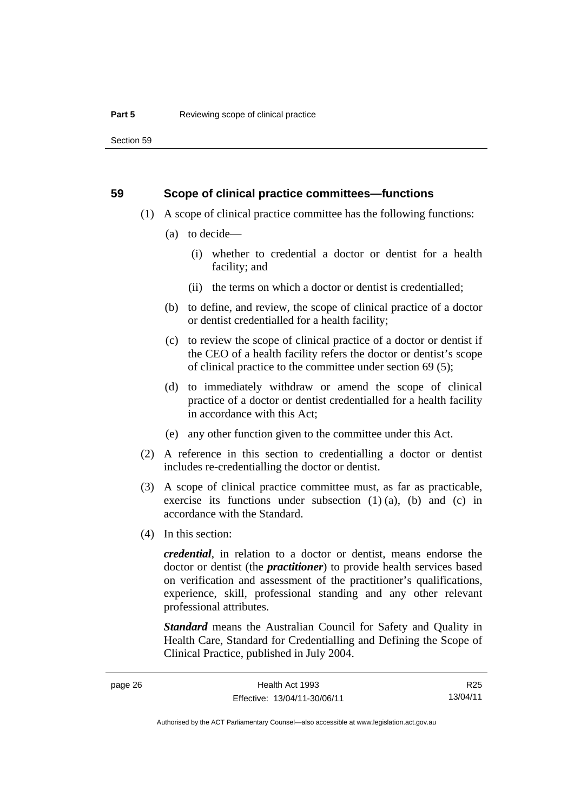Section 59

#### **59 Scope of clinical practice committees—functions**

- (1) A scope of clinical practice committee has the following functions:
	- (a) to decide—
		- (i) whether to credential a doctor or dentist for a health facility; and
		- (ii) the terms on which a doctor or dentist is credentialled;
	- (b) to define, and review, the scope of clinical practice of a doctor or dentist credentialled for a health facility;
	- (c) to review the scope of clinical practice of a doctor or dentist if the CEO of a health facility refers the doctor or dentist's scope of clinical practice to the committee under section 69 (5);
	- (d) to immediately withdraw or amend the scope of clinical practice of a doctor or dentist credentialled for a health facility in accordance with this Act;
	- (e) any other function given to the committee under this Act.
- (2) A reference in this section to credentialling a doctor or dentist includes re-credentialling the doctor or dentist.
- (3) A scope of clinical practice committee must, as far as practicable, exercise its functions under subsection  $(1)$   $(a)$ ,  $(b)$  and  $(c)$  in accordance with the Standard.
- (4) In this section:

*credential*, in relation to a doctor or dentist, means endorse the doctor or dentist (the *practitioner*) to provide health services based on verification and assessment of the practitioner's qualifications, experience, skill, professional standing and any other relevant professional attributes.

*Standard* means the Australian Council for Safety and Quality in Health Care, Standard for Credentialling and Defining the Scope of Clinical Practice, published in July 2004.

R25 13/04/11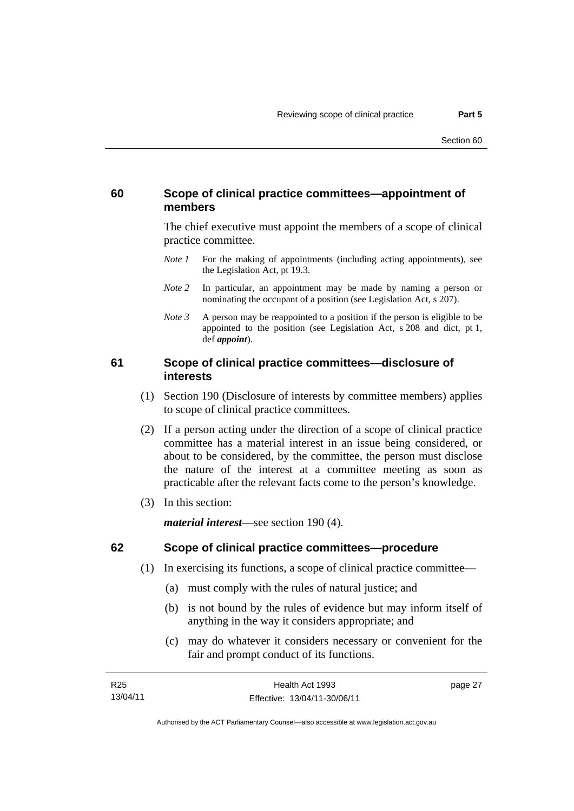#### **60 Scope of clinical practice committees—appointment of members**

The chief executive must appoint the members of a scope of clinical practice committee.

- *Note 1* For the making of appointments (including acting appointments), see the Legislation Act, pt 19.3.
- *Note 2* In particular, an appointment may be made by naming a person or nominating the occupant of a position (see Legislation Act, s 207).
- *Note 3* A person may be reappointed to a position if the person is eligible to be appointed to the position (see Legislation Act, s 208 and dict, pt 1, def *appoint*).

#### **61 Scope of clinical practice committees—disclosure of interests**

- (1) Section 190 (Disclosure of interests by committee members) applies to scope of clinical practice committees.
- (2) If a person acting under the direction of a scope of clinical practice committee has a material interest in an issue being considered, or about to be considered, by the committee, the person must disclose the nature of the interest at a committee meeting as soon as practicable after the relevant facts come to the person's knowledge.
- (3) In this section:

*material interest*—see section 190 (4).

#### **62 Scope of clinical practice committees—procedure**

- (1) In exercising its functions, a scope of clinical practice committee—
	- (a) must comply with the rules of natural justice; and
	- (b) is not bound by the rules of evidence but may inform itself of anything in the way it considers appropriate; and
	- (c) may do whatever it considers necessary or convenient for the fair and prompt conduct of its functions.

Authorised by the ACT Parliamentary Counsel—also accessible at www.legislation.act.gov.au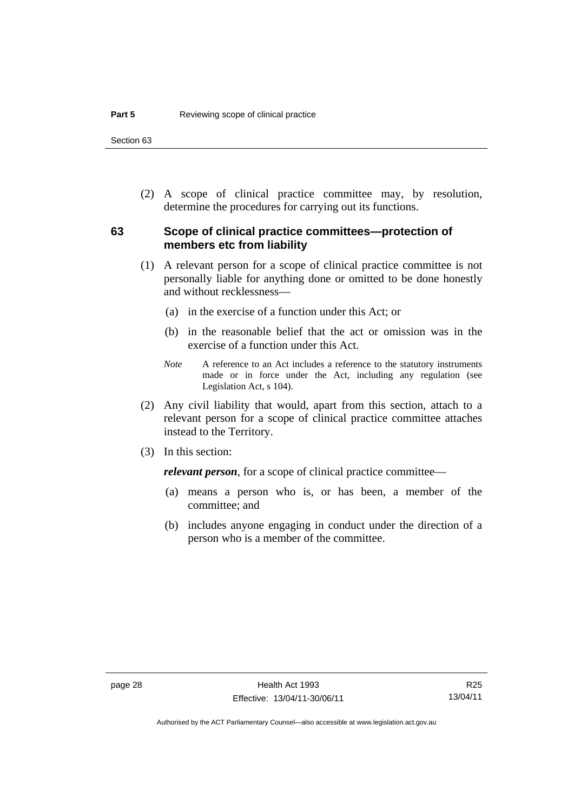Section 63

 (2) A scope of clinical practice committee may, by resolution, determine the procedures for carrying out its functions.

#### **63 Scope of clinical practice committees—protection of members etc from liability**

- (1) A relevant person for a scope of clinical practice committee is not personally liable for anything done or omitted to be done honestly and without recklessness—
	- (a) in the exercise of a function under this Act; or
	- (b) in the reasonable belief that the act or omission was in the exercise of a function under this Act.
	- *Note* A reference to an Act includes a reference to the statutory instruments made or in force under the Act, including any regulation (see Legislation Act, s 104).
- (2) Any civil liability that would, apart from this section, attach to a relevant person for a scope of clinical practice committee attaches instead to the Territory.
- (3) In this section:

*relevant person*, for a scope of clinical practice committee—

- (a) means a person who is, or has been, a member of the committee; and
- (b) includes anyone engaging in conduct under the direction of a person who is a member of the committee.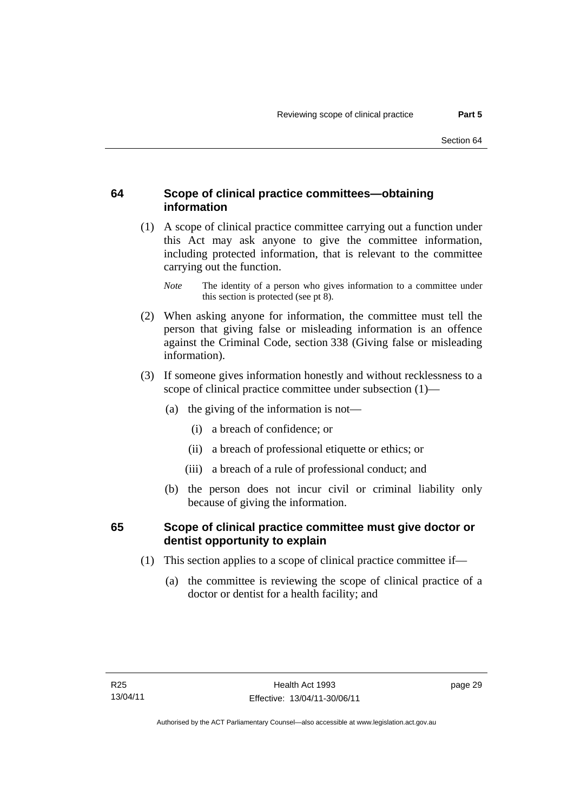# **64 Scope of clinical practice committees—obtaining information**

 (1) A scope of clinical practice committee carrying out a function under this Act may ask anyone to give the committee information, including protected information, that is relevant to the committee carrying out the function.

- (2) When asking anyone for information, the committee must tell the person that giving false or misleading information is an offence against the Criminal Code, section 338 (Giving false or misleading information).
- (3) If someone gives information honestly and without recklessness to a scope of clinical practice committee under subsection (1)—
	- (a) the giving of the information is not—
		- (i) a breach of confidence; or
		- (ii) a breach of professional etiquette or ethics; or
		- (iii) a breach of a rule of professional conduct; and
	- (b) the person does not incur civil or criminal liability only because of giving the information.

# **65 Scope of clinical practice committee must give doctor or dentist opportunity to explain**

- (1) This section applies to a scope of clinical practice committee if—
	- (a) the committee is reviewing the scope of clinical practice of a doctor or dentist for a health facility; and

*Note* The identity of a person who gives information to a committee under this section is protected (see pt 8).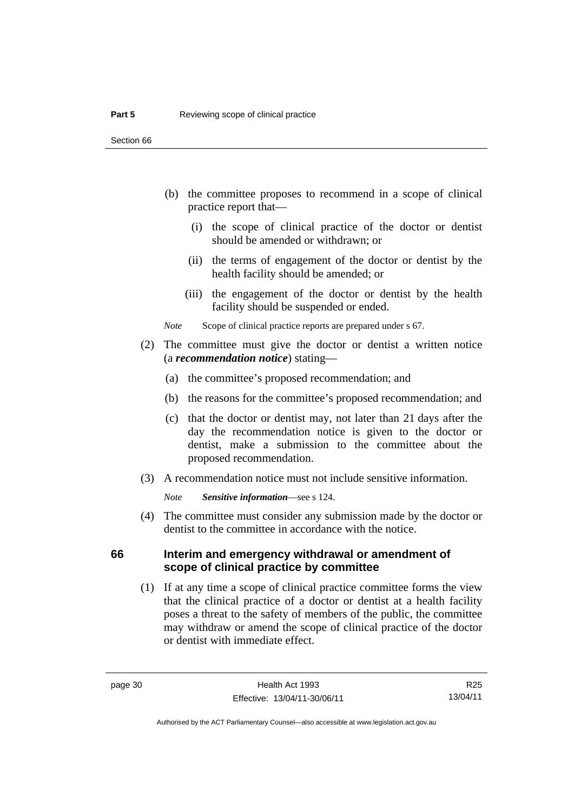- (b) the committee proposes to recommend in a scope of clinical practice report that—
	- (i) the scope of clinical practice of the doctor or dentist should be amended or withdrawn; or
	- (ii) the terms of engagement of the doctor or dentist by the health facility should be amended; or
	- (iii) the engagement of the doctor or dentist by the health facility should be suspended or ended.

*Note* Scope of clinical practice reports are prepared under s 67.

- (2) The committee must give the doctor or dentist a written notice (a *recommendation notice*) stating—
	- (a) the committee's proposed recommendation; and
	- (b) the reasons for the committee's proposed recommendation; and
	- (c) that the doctor or dentist may, not later than 21 days after the day the recommendation notice is given to the doctor or dentist, make a submission to the committee about the proposed recommendation.
- (3) A recommendation notice must not include sensitive information.

*Note Sensitive information*—see s 124.

 (4) The committee must consider any submission made by the doctor or dentist to the committee in accordance with the notice.

## **66 Interim and emergency withdrawal or amendment of scope of clinical practice by committee**

 (1) If at any time a scope of clinical practice committee forms the view that the clinical practice of a doctor or dentist at a health facility poses a threat to the safety of members of the public, the committee may withdraw or amend the scope of clinical practice of the doctor or dentist with immediate effect.

R25 13/04/11

Authorised by the ACT Parliamentary Counsel—also accessible at www.legislation.act.gov.au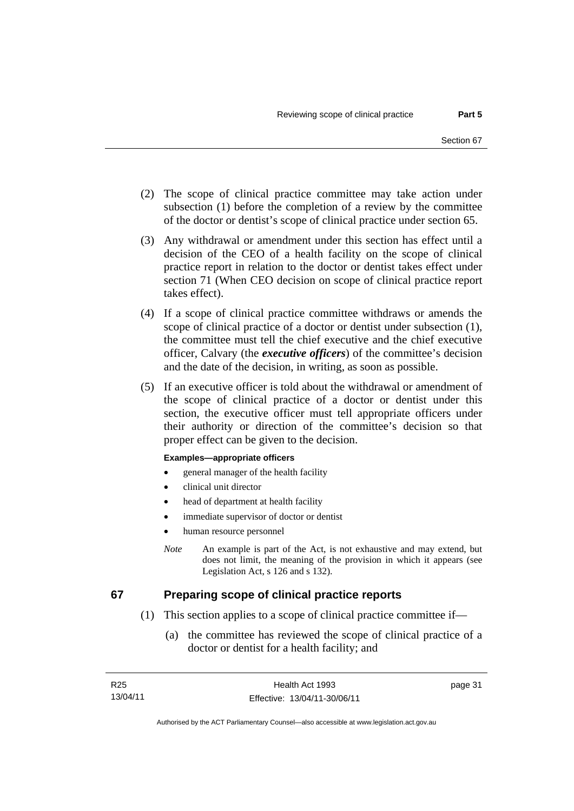- (2) The scope of clinical practice committee may take action under subsection (1) before the completion of a review by the committee of the doctor or dentist's scope of clinical practice under section 65.
- (3) Any withdrawal or amendment under this section has effect until a decision of the CEO of a health facility on the scope of clinical practice report in relation to the doctor or dentist takes effect under section 71 (When CEO decision on scope of clinical practice report takes effect).
- (4) If a scope of clinical practice committee withdraws or amends the scope of clinical practice of a doctor or dentist under subsection (1), the committee must tell the chief executive and the chief executive officer, Calvary (the *executive officers*) of the committee's decision and the date of the decision, in writing, as soon as possible.
- (5) If an executive officer is told about the withdrawal or amendment of the scope of clinical practice of a doctor or dentist under this section, the executive officer must tell appropriate officers under their authority or direction of the committee's decision so that proper effect can be given to the decision.

#### **Examples—appropriate officers**

- general manager of the health facility
- clinical unit director
- head of department at health facility
- immediate supervisor of doctor or dentist
- human resource personnel
- *Note* An example is part of the Act, is not exhaustive and may extend, but does not limit, the meaning of the provision in which it appears (see Legislation Act, s 126 and s 132).

## **67 Preparing scope of clinical practice reports**

- (1) This section applies to a scope of clinical practice committee if—
	- (a) the committee has reviewed the scope of clinical practice of a doctor or dentist for a health facility; and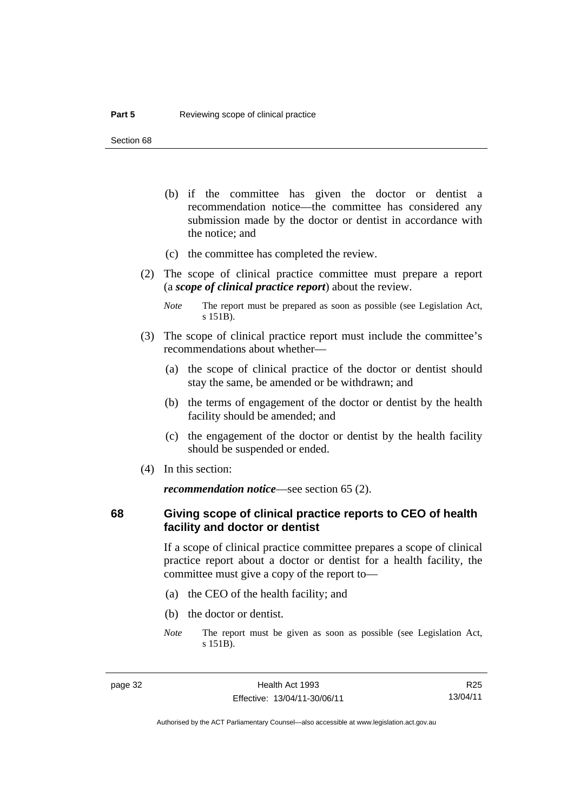- (b) if the committee has given the doctor or dentist a recommendation notice—the committee has considered any submission made by the doctor or dentist in accordance with the notice; and
- (c) the committee has completed the review.
- (2) The scope of clinical practice committee must prepare a report (a *scope of clinical practice report*) about the review.

- (3) The scope of clinical practice report must include the committee's recommendations about whether—
	- (a) the scope of clinical practice of the doctor or dentist should stay the same, be amended or be withdrawn; and
	- (b) the terms of engagement of the doctor or dentist by the health facility should be amended; and
	- (c) the engagement of the doctor or dentist by the health facility should be suspended or ended.
- (4) In this section:

*recommendation notice*—see section 65 (2).

## **68 Giving scope of clinical practice reports to CEO of health facility and doctor or dentist**

If a scope of clinical practice committee prepares a scope of clinical practice report about a doctor or dentist for a health facility, the committee must give a copy of the report to—

- (a) the CEO of the health facility; and
- (b) the doctor or dentist.
- *Note* The report must be given as soon as possible (see Legislation Act, s 151B).

*Note* The report must be prepared as soon as possible (see Legislation Act, s 151B).

Authorised by the ACT Parliamentary Counsel—also accessible at www.legislation.act.gov.au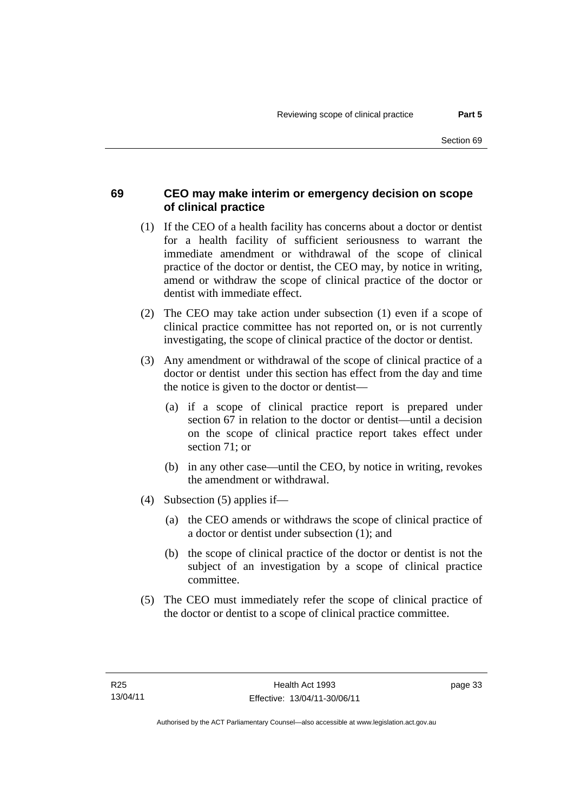# **69 CEO may make interim or emergency decision on scope of clinical practice**

- (1) If the CEO of a health facility has concerns about a doctor or dentist for a health facility of sufficient seriousness to warrant the immediate amendment or withdrawal of the scope of clinical practice of the doctor or dentist, the CEO may, by notice in writing, amend or withdraw the scope of clinical practice of the doctor or dentist with immediate effect.
- (2) The CEO may take action under subsection (1) even if a scope of clinical practice committee has not reported on, or is not currently investigating, the scope of clinical practice of the doctor or dentist.
- (3) Any amendment or withdrawal of the scope of clinical practice of a doctor or dentist under this section has effect from the day and time the notice is given to the doctor or dentist—
	- (a) if a scope of clinical practice report is prepared under section 67 in relation to the doctor or dentist—until a decision on the scope of clinical practice report takes effect under section 71; or
	- (b) in any other case—until the CEO, by notice in writing, revokes the amendment or withdrawal.
- (4) Subsection (5) applies if—
	- (a) the CEO amends or withdraws the scope of clinical practice of a doctor or dentist under subsection (1); and
	- (b) the scope of clinical practice of the doctor or dentist is not the subject of an investigation by a scope of clinical practice committee.
- (5) The CEO must immediately refer the scope of clinical practice of the doctor or dentist to a scope of clinical practice committee.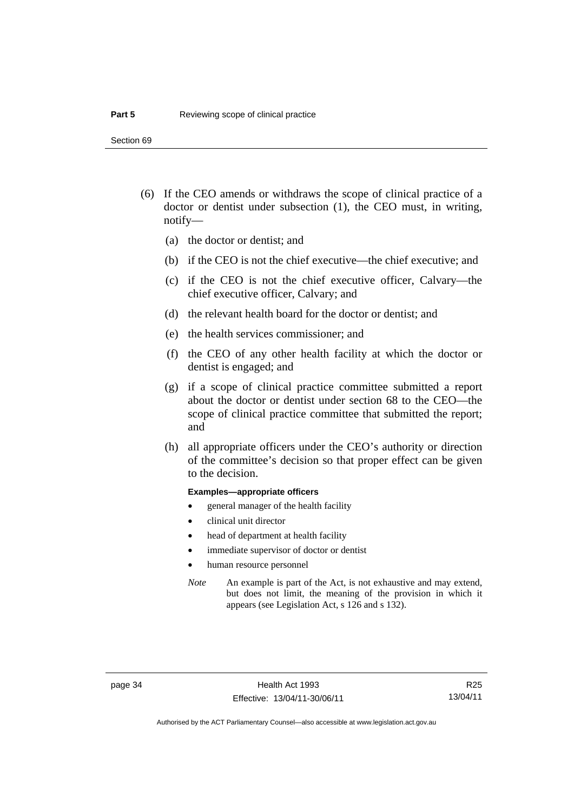Section 69

- (6) If the CEO amends or withdraws the scope of clinical practice of a doctor or dentist under subsection (1), the CEO must, in writing, notify—
	- (a) the doctor or dentist; and
	- (b) if the CEO is not the chief executive—the chief executive; and
	- (c) if the CEO is not the chief executive officer, Calvary—the chief executive officer, Calvary; and
	- (d) the relevant health board for the doctor or dentist; and
	- (e) the health services commissioner; and
	- (f) the CEO of any other health facility at which the doctor or dentist is engaged; and
	- (g) if a scope of clinical practice committee submitted a report about the doctor or dentist under section 68 to the CEO—the scope of clinical practice committee that submitted the report; and
	- (h) all appropriate officers under the CEO's authority or direction of the committee's decision so that proper effect can be given to the decision.

#### **Examples—appropriate officers**

- general manager of the health facility
- clinical unit director
- head of department at health facility
- immediate supervisor of doctor or dentist
- human resource personnel
- *Note* An example is part of the Act, is not exhaustive and may extend, but does not limit, the meaning of the provision in which it appears (see Legislation Act, s 126 and s 132).

R25 13/04/11

Authorised by the ACT Parliamentary Counsel—also accessible at www.legislation.act.gov.au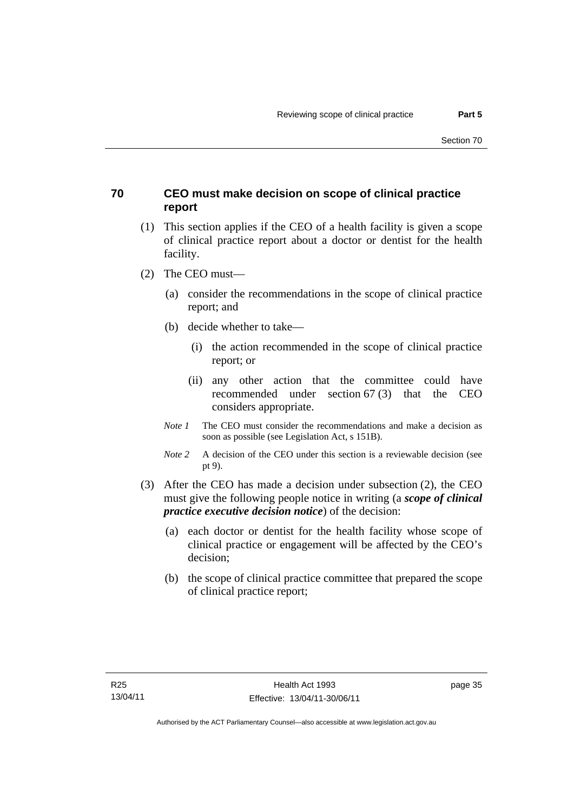# **70 CEO must make decision on scope of clinical practice report**

- (1) This section applies if the CEO of a health facility is given a scope of clinical practice report about a doctor or dentist for the health facility.
- (2) The CEO must—
	- (a) consider the recommendations in the scope of clinical practice report; and
	- (b) decide whether to take—
		- (i) the action recommended in the scope of clinical practice report; or
		- (ii) any other action that the committee could have recommended under section 67 (3) that the CEO considers appropriate.
	- *Note 1* The CEO must consider the recommendations and make a decision as soon as possible (see Legislation Act, s 151B).
	- *Note* 2 A decision of the CEO under this section is a reviewable decision (see pt 9).
- (3) After the CEO has made a decision under subsection (2), the CEO must give the following people notice in writing (a *scope of clinical practice executive decision notice*) of the decision:
	- (a) each doctor or dentist for the health facility whose scope of clinical practice or engagement will be affected by the CEO's decision;
	- (b) the scope of clinical practice committee that prepared the scope of clinical practice report;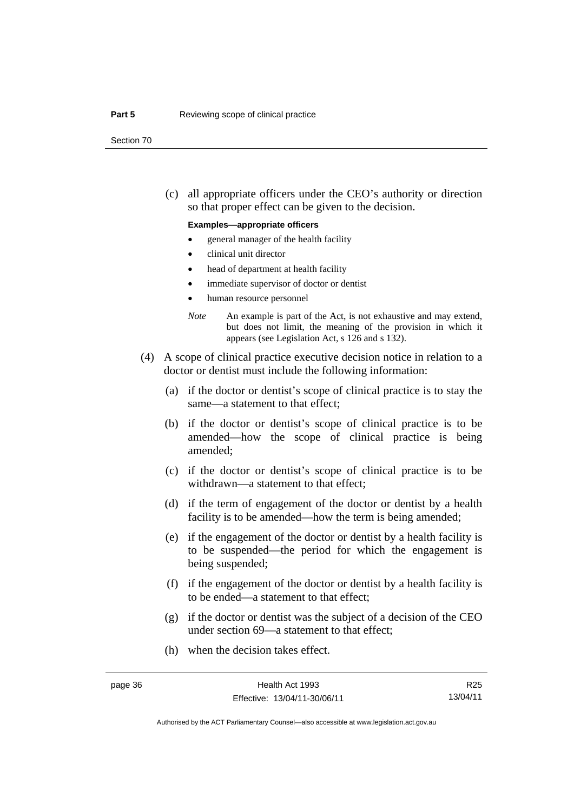(c) all appropriate officers under the CEO's authority or direction so that proper effect can be given to the decision.

#### **Examples—appropriate officers**

- general manager of the health facility
- clinical unit director
- head of department at health facility
- immediate supervisor of doctor or dentist
- human resource personnel
- *Note* An example is part of the Act, is not exhaustive and may extend, but does not limit, the meaning of the provision in which it appears (see Legislation Act, s 126 and s 132).
- (4) A scope of clinical practice executive decision notice in relation to a doctor or dentist must include the following information:
	- (a) if the doctor or dentist's scope of clinical practice is to stay the same—a statement to that effect;
	- (b) if the doctor or dentist's scope of clinical practice is to be amended—how the scope of clinical practice is being amended;
	- (c) if the doctor or dentist's scope of clinical practice is to be withdrawn—a statement to that effect;
	- (d) if the term of engagement of the doctor or dentist by a health facility is to be amended—how the term is being amended;
	- (e) if the engagement of the doctor or dentist by a health facility is to be suspended—the period for which the engagement is being suspended;
	- (f) if the engagement of the doctor or dentist by a health facility is to be ended—a statement to that effect;
	- (g) if the doctor or dentist was the subject of a decision of the CEO under section 69—a statement to that effect;
	- (h) when the decision takes effect.

R25 13/04/11

Authorised by the ACT Parliamentary Counsel—also accessible at www.legislation.act.gov.au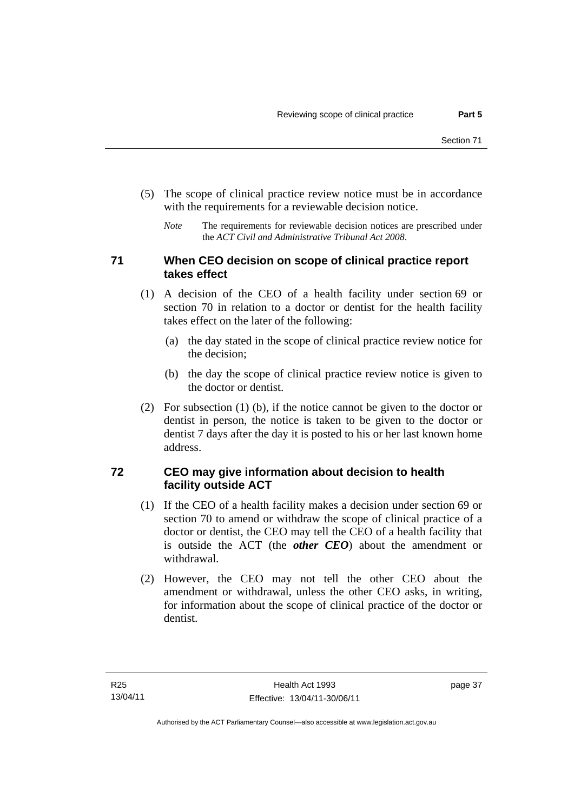- (5) The scope of clinical practice review notice must be in accordance with the requirements for a reviewable decision notice.
	- *Note* The requirements for reviewable decision notices are prescribed under the *ACT Civil and Administrative Tribunal Act 2008*.

# **71 When CEO decision on scope of clinical practice report takes effect**

- (1) A decision of the CEO of a health facility under section 69 or section 70 in relation to a doctor or dentist for the health facility takes effect on the later of the following:
	- (a) the day stated in the scope of clinical practice review notice for the decision;
	- (b) the day the scope of clinical practice review notice is given to the doctor or dentist.
- (2) For subsection (1) (b), if the notice cannot be given to the doctor or dentist in person, the notice is taken to be given to the doctor or dentist 7 days after the day it is posted to his or her last known home address.

# **72 CEO may give information about decision to health facility outside ACT**

- (1) If the CEO of a health facility makes a decision under section 69 or section 70 to amend or withdraw the scope of clinical practice of a doctor or dentist, the CEO may tell the CEO of a health facility that is outside the ACT (the *other CEO*) about the amendment or withdrawal.
- (2) However, the CEO may not tell the other CEO about the amendment or withdrawal, unless the other CEO asks, in writing, for information about the scope of clinical practice of the doctor or dentist.

page 37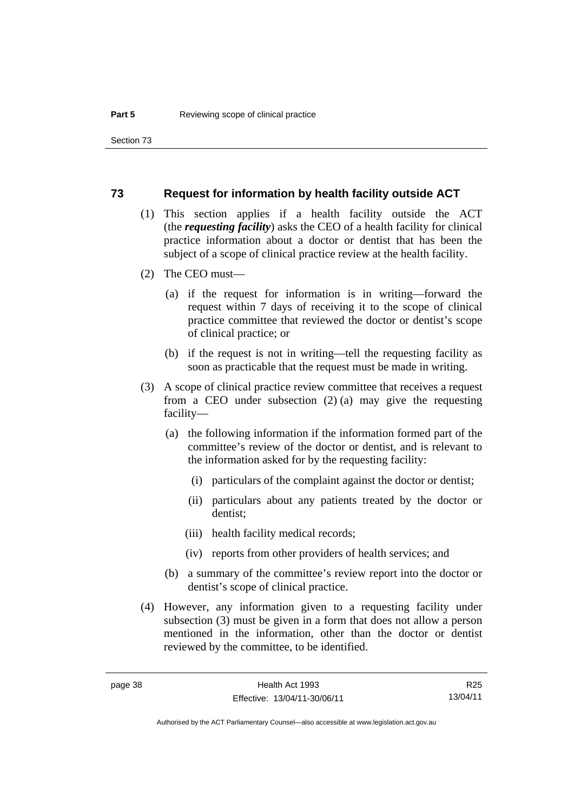Section 73

### **73 Request for information by health facility outside ACT**

- (1) This section applies if a health facility outside the ACT (the *requesting facility*) asks the CEO of a health facility for clinical practice information about a doctor or dentist that has been the subject of a scope of clinical practice review at the health facility.
- (2) The CEO must—
	- (a) if the request for information is in writing—forward the request within 7 days of receiving it to the scope of clinical practice committee that reviewed the doctor or dentist's scope of clinical practice; or
	- (b) if the request is not in writing—tell the requesting facility as soon as practicable that the request must be made in writing.
- (3) A scope of clinical practice review committee that receives a request from a CEO under subsection (2) (a) may give the requesting facility—
	- (a) the following information if the information formed part of the committee's review of the doctor or dentist, and is relevant to the information asked for by the requesting facility:
		- (i) particulars of the complaint against the doctor or dentist;
		- (ii) particulars about any patients treated by the doctor or dentist;
		- (iii) health facility medical records;
		- (iv) reports from other providers of health services; and
	- (b) a summary of the committee's review report into the doctor or dentist's scope of clinical practice.
- (4) However, any information given to a requesting facility under subsection (3) must be given in a form that does not allow a person mentioned in the information, other than the doctor or dentist reviewed by the committee, to be identified.

R25 13/04/11

Authorised by the ACT Parliamentary Counsel—also accessible at www.legislation.act.gov.au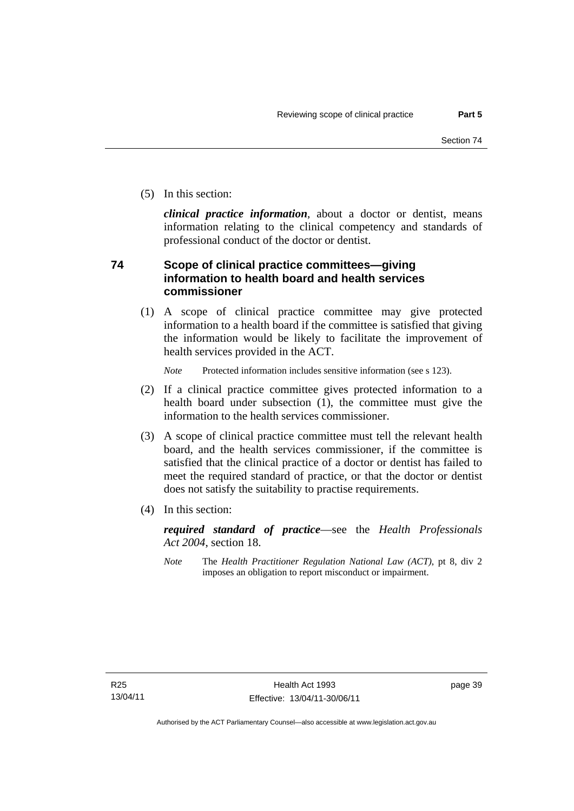(5) In this section:

*clinical practice information*, about a doctor or dentist, means information relating to the clinical competency and standards of professional conduct of the doctor or dentist.

# **74 Scope of clinical practice committees—giving information to health board and health services commissioner**

(1) A scope of clinical practice committee may give protected information to a health board if the committee is satisfied that giving the information would be likely to facilitate the improvement of health services provided in the ACT.

*Note* Protected information includes sensitive information (see s 123).

- (2) If a clinical practice committee gives protected information to a health board under subsection (1), the committee must give the information to the health services commissioner.
- (3) A scope of clinical practice committee must tell the relevant health board, and the health services commissioner, if the committee is satisfied that the clinical practice of a doctor or dentist has failed to meet the required standard of practice, or that the doctor or dentist does not satisfy the suitability to practise requirements.
- (4) In this section:

*required standard of practice*—see the *Health Professionals Act 2004*, section 18.

*Note* The *Health Practitioner Regulation National Law (ACT)*, pt 8, div 2 imposes an obligation to report misconduct or impairment.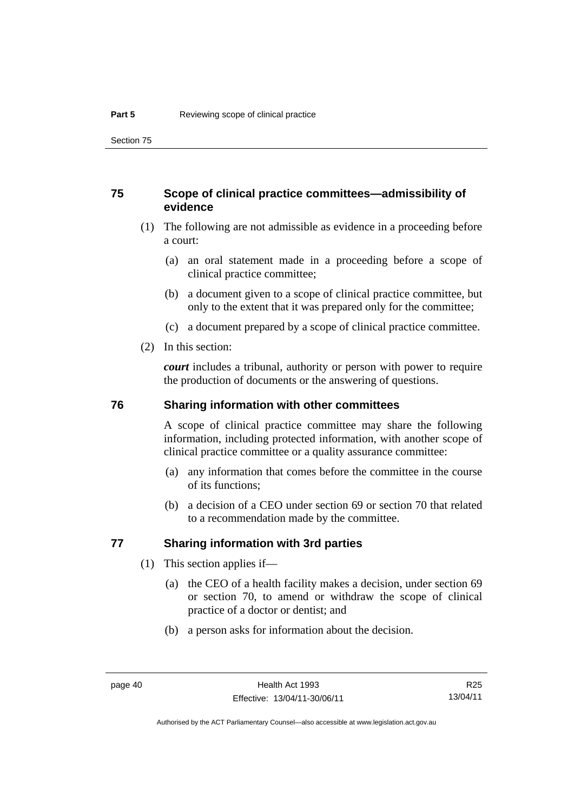# **75 Scope of clinical practice committees—admissibility of evidence**

- (1) The following are not admissible as evidence in a proceeding before a court:
	- (a) an oral statement made in a proceeding before a scope of clinical practice committee;
	- (b) a document given to a scope of clinical practice committee, but only to the extent that it was prepared only for the committee;
	- (c) a document prepared by a scope of clinical practice committee.
- (2) In this section:

*court* includes a tribunal, authority or person with power to require the production of documents or the answering of questions.

#### **76 Sharing information with other committees**

A scope of clinical practice committee may share the following information, including protected information, with another scope of clinical practice committee or a quality assurance committee:

- (a) any information that comes before the committee in the course of its functions;
- (b) a decision of a CEO under section 69 or section 70 that related to a recommendation made by the committee.

## **77 Sharing information with 3rd parties**

- (1) This section applies if—
	- (a) the CEO of a health facility makes a decision, under section 69 or section 70, to amend or withdraw the scope of clinical practice of a doctor or dentist; and
	- (b) a person asks for information about the decision.

R25 13/04/11

Authorised by the ACT Parliamentary Counsel—also accessible at www.legislation.act.gov.au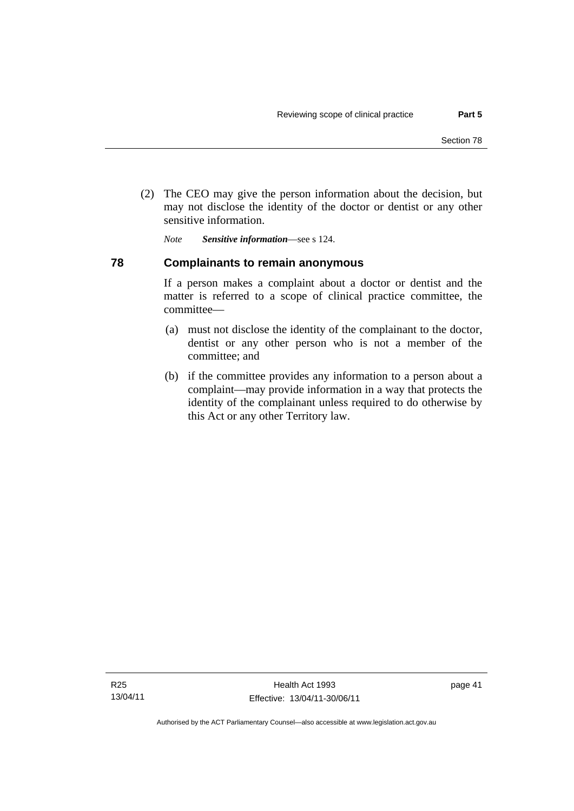(2) The CEO may give the person information about the decision, but may not disclose the identity of the doctor or dentist or any other sensitive information.

*Note Sensitive information*—see s 124.

## **78 Complainants to remain anonymous**

If a person makes a complaint about a doctor or dentist and the matter is referred to a scope of clinical practice committee, the committee—

- (a) must not disclose the identity of the complainant to the doctor, dentist or any other person who is not a member of the committee; and
- (b) if the committee provides any information to a person about a complaint—may provide information in a way that protects the identity of the complainant unless required to do otherwise by this Act or any other Territory law.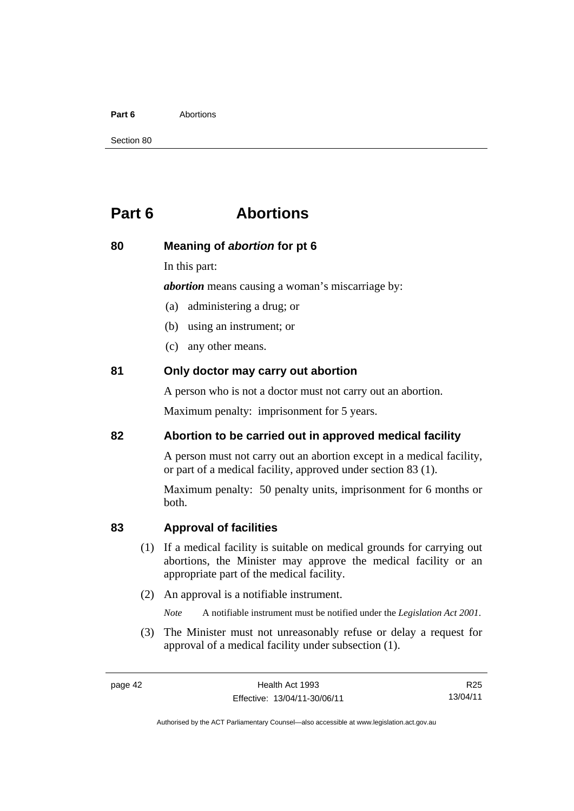#### **Part 6** Abortions

Section 80

# **Part 6 Abortions**

## **80 Meaning of** *abortion* **for pt 6**

In this part:

*abortion* means causing a woman's miscarriage by:

- (a) administering a drug; or
- (b) using an instrument; or
- (c) any other means.

## **81 Only doctor may carry out abortion**

A person who is not a doctor must not carry out an abortion.

Maximum penalty: imprisonment for 5 years.

## **82 Abortion to be carried out in approved medical facility**

A person must not carry out an abortion except in a medical facility, or part of a medical facility, approved under section 83 (1).

Maximum penalty: 50 penalty units, imprisonment for 6 months or both.

## **83 Approval of facilities**

- (1) If a medical facility is suitable on medical grounds for carrying out abortions, the Minister may approve the medical facility or an appropriate part of the medical facility.
- (2) An approval is a notifiable instrument.

*Note* A notifiable instrument must be notified under the *Legislation Act 2001*.

 (3) The Minister must not unreasonably refuse or delay a request for approval of a medical facility under subsection (1).

R25 13/04/11

Authorised by the ACT Parliamentary Counsel—also accessible at www.legislation.act.gov.au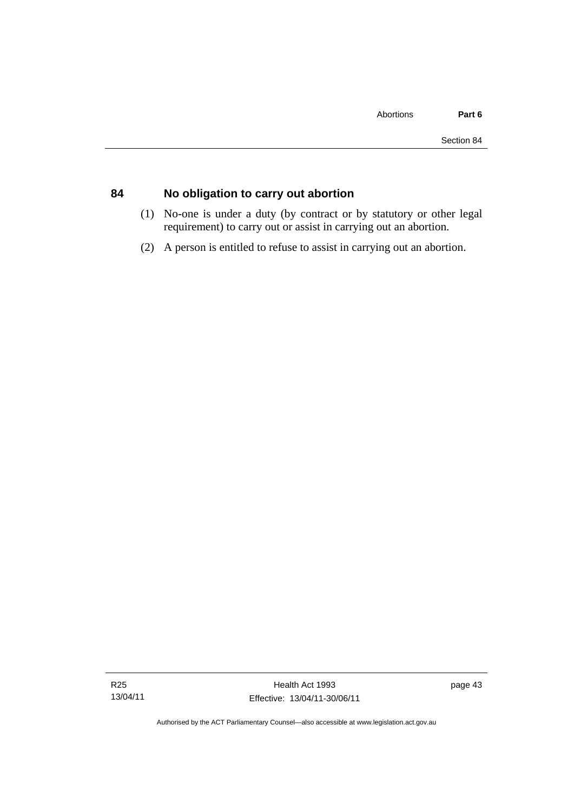# **84 No obligation to carry out abortion**

- (1) No-one is under a duty (by contract or by statutory or other legal requirement) to carry out or assist in carrying out an abortion.
- (2) A person is entitled to refuse to assist in carrying out an abortion.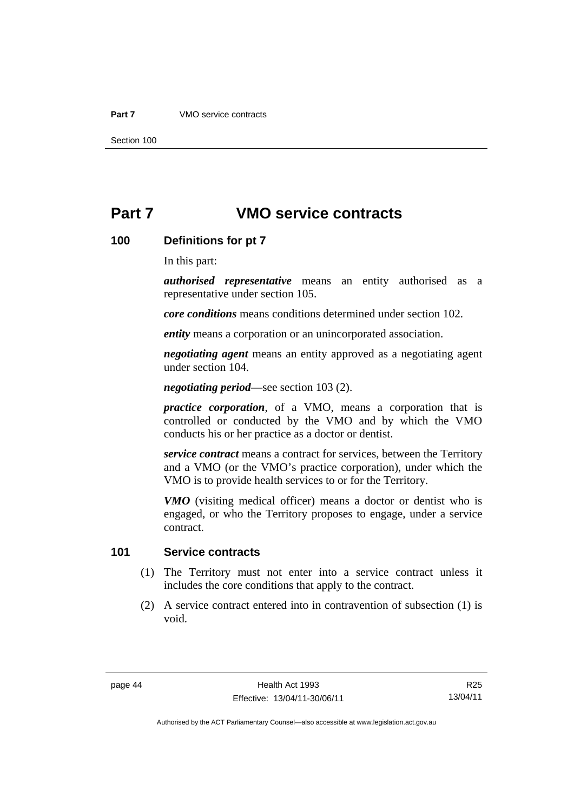#### **Part 7** VMO service contracts

Section 100

# **Part 7 VMO service contracts**

### **100 Definitions for pt 7**

In this part:

*authorised representative* means an entity authorised as a representative under section 105.

*core conditions* means conditions determined under section 102.

*entity* means a corporation or an unincorporated association.

*negotiating agent* means an entity approved as a negotiating agent under section 104.

*negotiating period*—see section 103 (2).

*practice corporation*, of a VMO, means a corporation that is controlled or conducted by the VMO and by which the VMO conducts his or her practice as a doctor or dentist.

*service contract* means a contract for services, between the Territory and a VMO (or the VMO's practice corporation), under which the VMO is to provide health services to or for the Territory.

*VMO* (visiting medical officer) means a doctor or dentist who is engaged, or who the Territory proposes to engage, under a service contract.

#### **101 Service contracts**

- (1) The Territory must not enter into a service contract unless it includes the core conditions that apply to the contract.
- (2) A service contract entered into in contravention of subsection (1) is void.

R25 13/04/11

Authorised by the ACT Parliamentary Counsel—also accessible at www.legislation.act.gov.au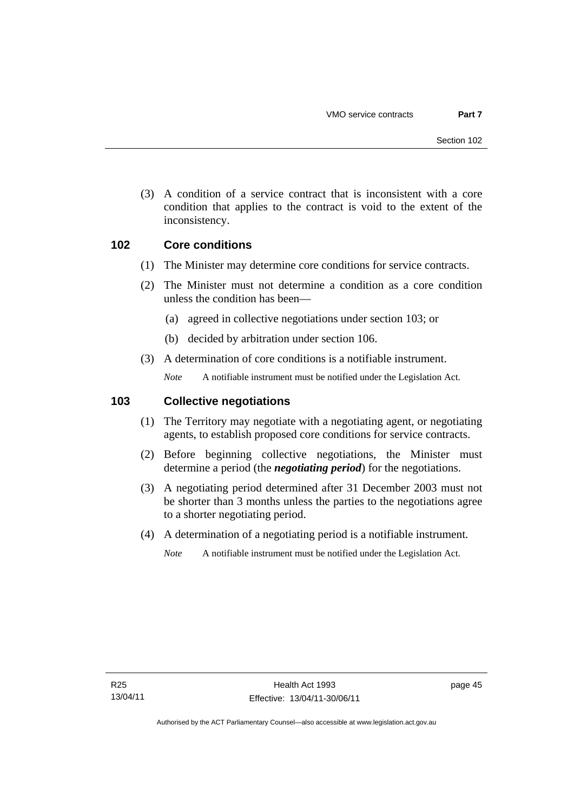(3) A condition of a service contract that is inconsistent with a core condition that applies to the contract is void to the extent of the inconsistency.

## **102 Core conditions**

- (1) The Minister may determine core conditions for service contracts.
- (2) The Minister must not determine a condition as a core condition unless the condition has been—
	- (a) agreed in collective negotiations under section 103; or
	- (b) decided by arbitration under section 106.
- (3) A determination of core conditions is a notifiable instrument.

*Note* A notifiable instrument must be notified under the Legislation Act.

## **103 Collective negotiations**

- (1) The Territory may negotiate with a negotiating agent, or negotiating agents, to establish proposed core conditions for service contracts.
- (2) Before beginning collective negotiations, the Minister must determine a period (the *negotiating period*) for the negotiations.
- (3) A negotiating period determined after 31 December 2003 must not be shorter than 3 months unless the parties to the negotiations agree to a shorter negotiating period.
- (4) A determination of a negotiating period is a notifiable instrument.
	- *Note* A notifiable instrument must be notified under the Legislation Act.

page 45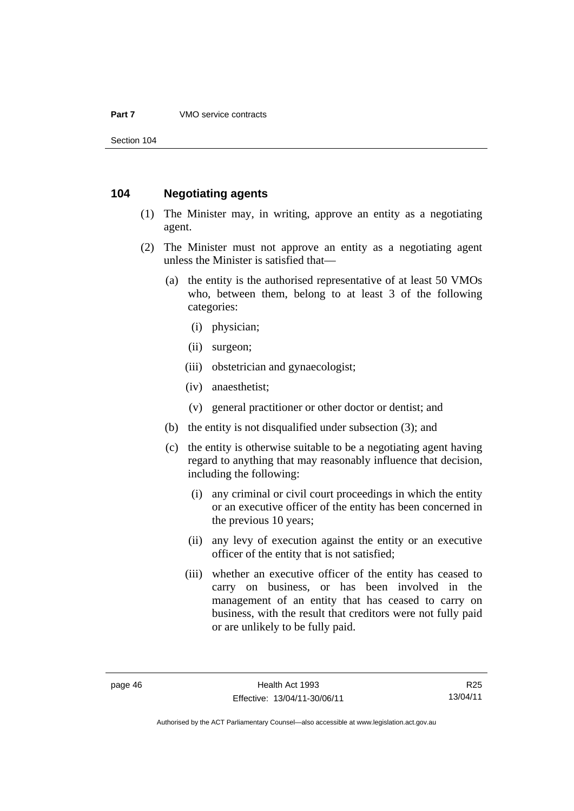#### **Part 7** VMO service contracts

Section 104

## **104 Negotiating agents**

- (1) The Minister may, in writing, approve an entity as a negotiating agent.
- (2) The Minister must not approve an entity as a negotiating agent unless the Minister is satisfied that—
	- (a) the entity is the authorised representative of at least 50 VMOs who, between them, belong to at least 3 of the following categories:
		- (i) physician;
		- (ii) surgeon;
		- (iii) obstetrician and gynaecologist;
		- (iv) anaesthetist;
		- (v) general practitioner or other doctor or dentist; and
	- (b) the entity is not disqualified under subsection (3); and
	- (c) the entity is otherwise suitable to be a negotiating agent having regard to anything that may reasonably influence that decision, including the following:
		- (i) any criminal or civil court proceedings in which the entity or an executive officer of the entity has been concerned in the previous 10 years;
		- (ii) any levy of execution against the entity or an executive officer of the entity that is not satisfied;
		- (iii) whether an executive officer of the entity has ceased to carry on business, or has been involved in the management of an entity that has ceased to carry on business, with the result that creditors were not fully paid or are unlikely to be fully paid.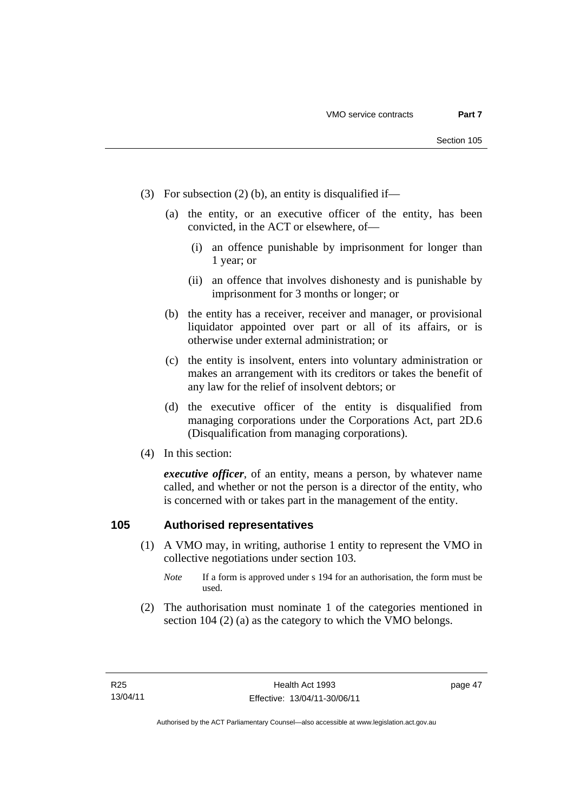- (3) For subsection (2) (b), an entity is disqualified if—
	- (a) the entity, or an executive officer of the entity, has been convicted, in the ACT or elsewhere, of—
		- (i) an offence punishable by imprisonment for longer than 1 year; or
		- (ii) an offence that involves dishonesty and is punishable by imprisonment for 3 months or longer; or
	- (b) the entity has a receiver, receiver and manager, or provisional liquidator appointed over part or all of its affairs, or is otherwise under external administration; or
	- (c) the entity is insolvent, enters into voluntary administration or makes an arrangement with its creditors or takes the benefit of any law for the relief of insolvent debtors; or
	- (d) the executive officer of the entity is disqualified from managing corporations under the Corporations Act, part 2D.6 (Disqualification from managing corporations).
- (4) In this section:

*executive officer*, of an entity, means a person, by whatever name called, and whether or not the person is a director of the entity, who is concerned with or takes part in the management of the entity.

# **105 Authorised representatives**

- (1) A VMO may, in writing, authorise 1 entity to represent the VMO in collective negotiations under section 103.
	- *Note* If a form is approved under s 194 for an authorisation, the form must be used.
- (2) The authorisation must nominate 1 of the categories mentioned in section 104 (2) (a) as the category to which the VMO belongs.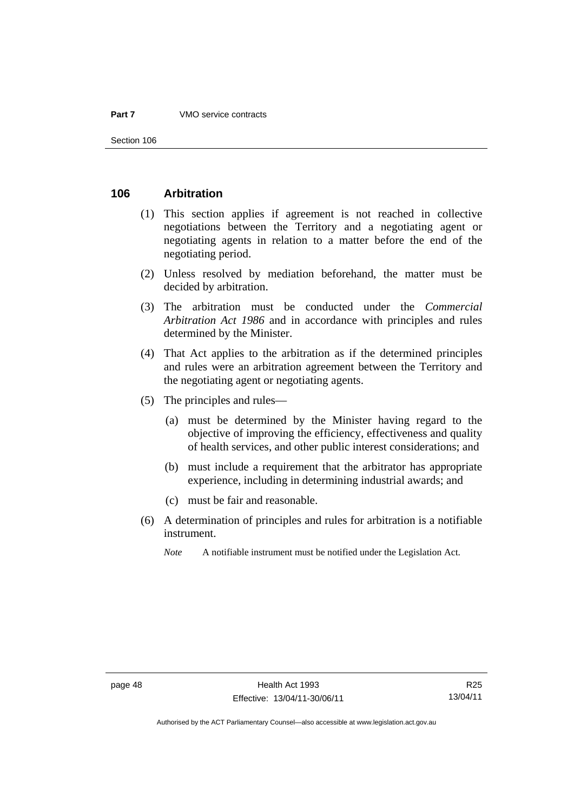## **106 Arbitration**

- (1) This section applies if agreement is not reached in collective negotiations between the Territory and a negotiating agent or negotiating agents in relation to a matter before the end of the negotiating period.
- (2) Unless resolved by mediation beforehand, the matter must be decided by arbitration.
- (3) The arbitration must be conducted under the *Commercial Arbitration Act 1986* and in accordance with principles and rules determined by the Minister.
- (4) That Act applies to the arbitration as if the determined principles and rules were an arbitration agreement between the Territory and the negotiating agent or negotiating agents.
- (5) The principles and rules—
	- (a) must be determined by the Minister having regard to the objective of improving the efficiency, effectiveness and quality of health services, and other public interest considerations; and
	- (b) must include a requirement that the arbitrator has appropriate experience, including in determining industrial awards; and
	- (c) must be fair and reasonable.
- (6) A determination of principles and rules for arbitration is a notifiable instrument.
	- *Note* A notifiable instrument must be notified under the Legislation Act.

Authorised by the ACT Parliamentary Counsel—also accessible at www.legislation.act.gov.au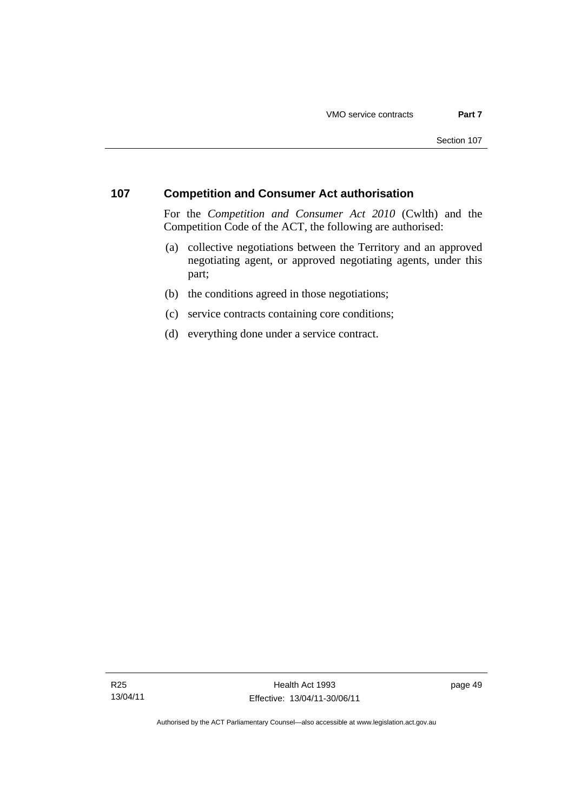# **107 Competition and Consumer Act authorisation**

For the *Competition and Consumer Act 2010* (Cwlth) and the Competition Code of the ACT, the following are authorised:

- (a) collective negotiations between the Territory and an approved negotiating agent, or approved negotiating agents, under this part;
- (b) the conditions agreed in those negotiations;
- (c) service contracts containing core conditions;
- (d) everything done under a service contract.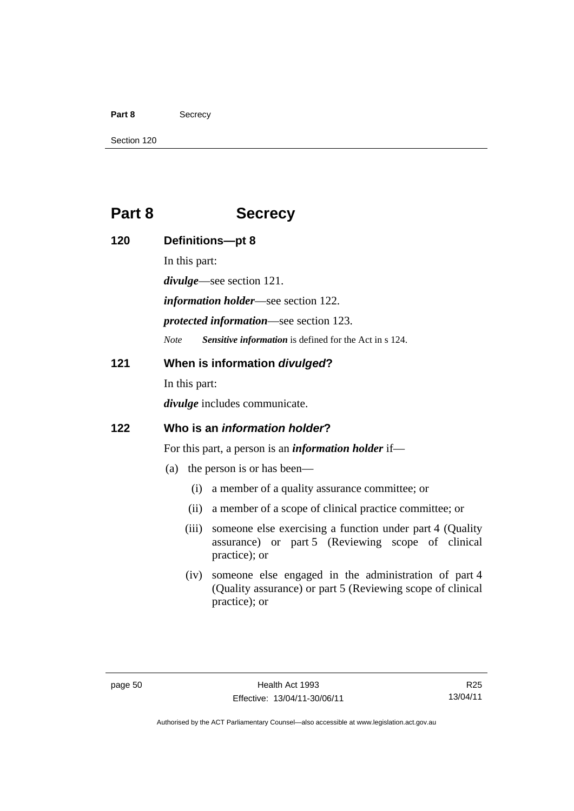#### Part 8 **Secrecy**

Section 120

# **Part 8 Secrecy**

| 120 | Definitions-pt 8                                                                                                                            |
|-----|---------------------------------------------------------------------------------------------------------------------------------------------|
|     | In this part:                                                                                                                               |
|     | $divulge$ —see section 121.                                                                                                                 |
|     | <i>information holder</i> —see section 122.                                                                                                 |
|     | <i>protected information—see section 123.</i>                                                                                               |
|     | <b>Note</b><br>Sensitive information is defined for the Act in s 124.                                                                       |
| 121 | When is information divulged?                                                                                                               |
|     | In this part:                                                                                                                               |
|     | <i>divulge</i> includes communicate.                                                                                                        |
| 122 | Who is an <i>information holder</i> ?                                                                                                       |
|     | For this part, a person is an <i>information holder</i> if—                                                                                 |
|     | the person is or has been—<br>(a)                                                                                                           |
|     | a member of a quality assurance committee; or<br>(i)                                                                                        |
|     | (ii)<br>a member of a scope of clinical practice committee; or                                                                              |
|     | someone else exercising a function under part 4 (Quality<br>(iii)<br>assurance) or part 5 (Reviewing scope of clinical<br>practice); or     |
|     | someone else engaged in the administration of part 4<br>(iv)<br>(Quality assurance) or part 5 (Reviewing scope of clinical<br>practice); or |

R25 13/04/11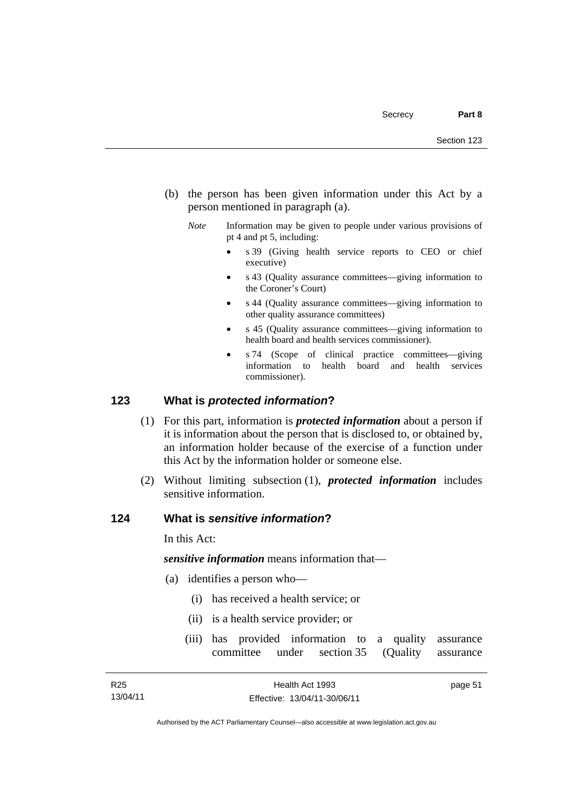- (b) the person has been given information under this Act by a person mentioned in paragraph (a).
	- *Note* Information may be given to people under various provisions of pt 4 and pt 5, including:
		- s 39 (Giving health service reports to CEO or chief executive)
		- s 43 (Quality assurance committees—giving information to the Coroner's Court)
		- s 44 (Quality assurance committees—giving information to other quality assurance committees)
		- s 45 (Quality assurance committees—giving information to health board and health services commissioner).
		- s 74 (Scope of clinical practice committees—giving information to health board and health services commissioner).

## **123 What is** *protected information***?**

- (1) For this part, information is *protected information* about a person if it is information about the person that is disclosed to, or obtained by, an information holder because of the exercise of a function under this Act by the information holder or someone else.
- (2) Without limiting subsection (1), *protected information* includes sensitive information.

## **124 What is** *sensitive information***?**

In this Act:

*sensitive information* means information that—

- (a) identifies a person who—
	- (i) has received a health service; or
	- (ii) is a health service provider; or
	- (iii) has provided information to a quality assurance committee under section 35 (Quality assurance

Authorised by the ACT Parliamentary Counsel—also accessible at www.legislation.act.gov.au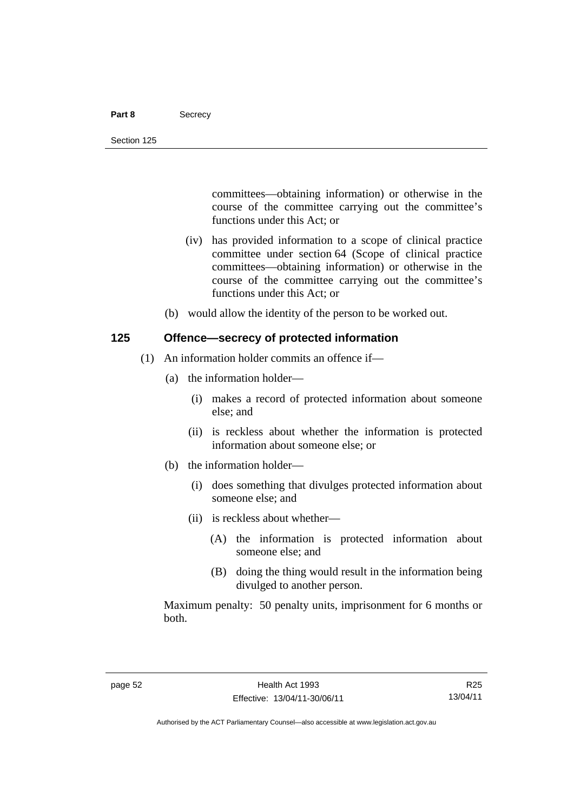#### Part 8 **Secrecy**

committees—obtaining information) or otherwise in the course of the committee carrying out the committee's functions under this Act; or

- (iv) has provided information to a scope of clinical practice committee under section 64 (Scope of clinical practice committees—obtaining information) or otherwise in the course of the committee carrying out the committee's functions under this Act; or
- (b) would allow the identity of the person to be worked out.

## **125 Offence—secrecy of protected information**

- (1) An information holder commits an offence if—
	- (a) the information holder—
		- (i) makes a record of protected information about someone else; and
		- (ii) is reckless about whether the information is protected information about someone else; or
	- (b) the information holder—
		- (i) does something that divulges protected information about someone else; and
		- (ii) is reckless about whether—
			- (A) the information is protected information about someone else; and
			- (B) doing the thing would result in the information being divulged to another person.

Maximum penalty: 50 penalty units, imprisonment for 6 months or both.

R25 13/04/11

Authorised by the ACT Parliamentary Counsel—also accessible at www.legislation.act.gov.au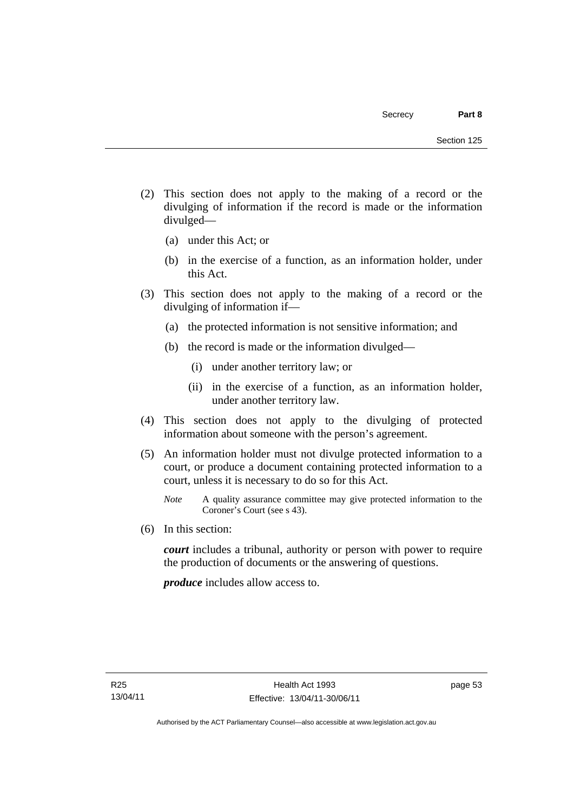- (2) This section does not apply to the making of a record or the divulging of information if the record is made or the information divulged—
	- (a) under this Act; or
	- (b) in the exercise of a function, as an information holder, under this Act.
- (3) This section does not apply to the making of a record or the divulging of information if—
	- (a) the protected information is not sensitive information; and
	- (b) the record is made or the information divulged—
		- (i) under another territory law; or
		- (ii) in the exercise of a function, as an information holder, under another territory law.
- (4) This section does not apply to the divulging of protected information about someone with the person's agreement.
- (5) An information holder must not divulge protected information to a court, or produce a document containing protected information to a court, unless it is necessary to do so for this Act.
	- *Note* A quality assurance committee may give protected information to the Coroner's Court (see s 43).
- (6) In this section:

*court* includes a tribunal, authority or person with power to require the production of documents or the answering of questions.

*produce* includes allow access to.

page 53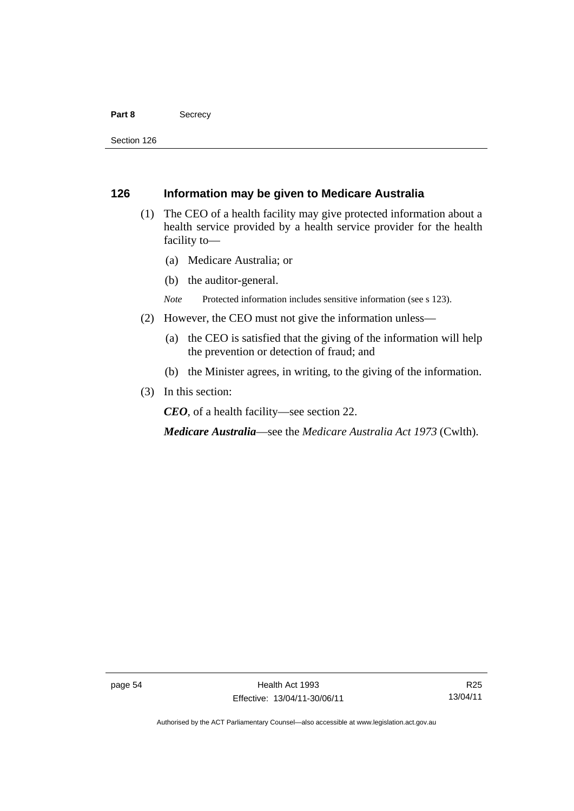#### Part 8 **Secrecy**

Section 126

## **126 Information may be given to Medicare Australia**

- (1) The CEO of a health facility may give protected information about a health service provided by a health service provider for the health facility to—
	- (a) Medicare Australia; or
	- (b) the auditor-general.
	- *Note* Protected information includes sensitive information (see s 123).
- (2) However, the CEO must not give the information unless—
	- (a) the CEO is satisfied that the giving of the information will help the prevention or detection of fraud; and
	- (b) the Minister agrees, in writing, to the giving of the information.
- (3) In this section:

*CEO*, of a health facility—see section 22.

*Medicare Australia*—see the *Medicare Australia Act 1973* (Cwlth).

Authorised by the ACT Parliamentary Counsel—also accessible at www.legislation.act.gov.au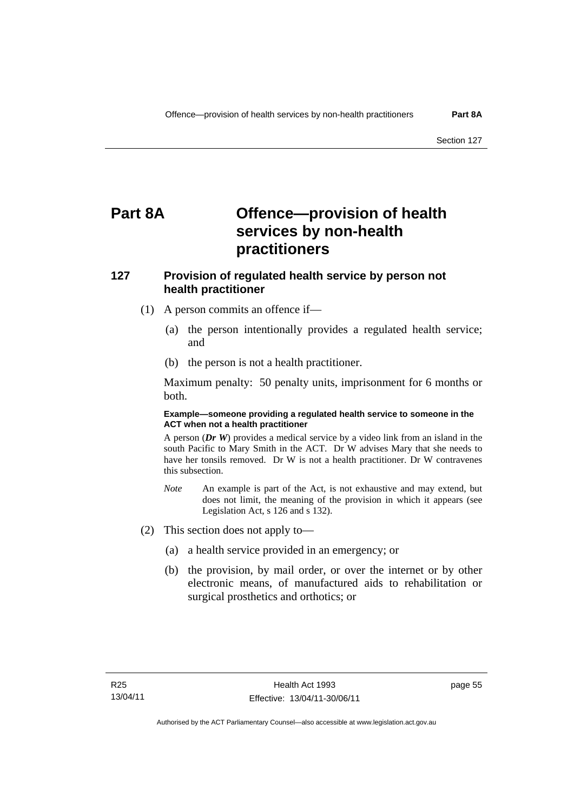# **Part 8A Offence—provision of health services by non-health practitioners**

# **127 Provision of regulated health service by person not health practitioner**

- (1) A person commits an offence if—
	- (a) the person intentionally provides a regulated health service; and
	- (b) the person is not a health practitioner.

Maximum penalty: 50 penalty units, imprisonment for 6 months or both.

#### **Example—someone providing a regulated health service to someone in the ACT when not a health practitioner**

A person (*Dr W*) provides a medical service by a video link from an island in the south Pacific to Mary Smith in the ACT. Dr W advises Mary that she needs to have her tonsils removed. Dr W is not a health practitioner. Dr W contravenes this subsection.

- *Note* An example is part of the Act, is not exhaustive and may extend, but does not limit, the meaning of the provision in which it appears (see Legislation Act, s 126 and s 132).
- (2) This section does not apply to—
	- (a) a health service provided in an emergency; or
	- (b) the provision, by mail order, or over the internet or by other electronic means, of manufactured aids to rehabilitation or surgical prosthetics and orthotics; or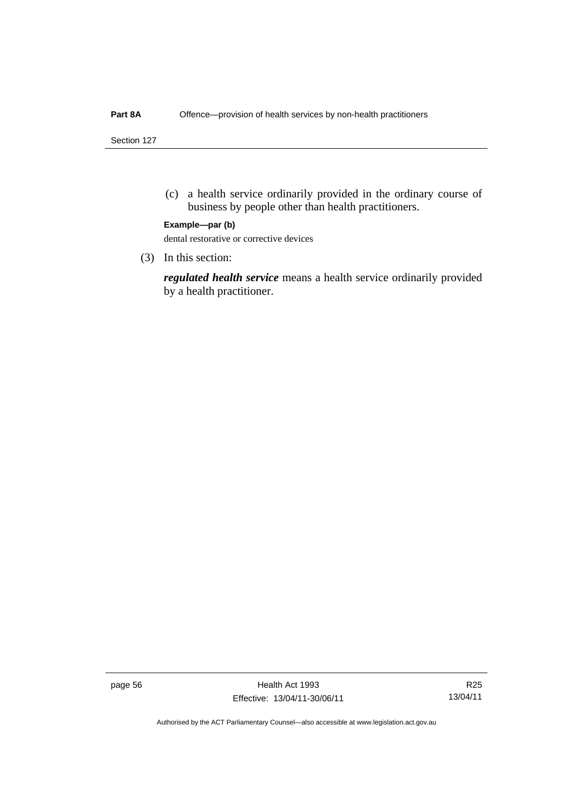Section 127

 (c) a health service ordinarily provided in the ordinary course of business by people other than health practitioners.

#### **Example—par (b)**

dental restorative or corrective devices

(3) In this section:

*regulated health service* means a health service ordinarily provided by a health practitioner.

page 56 Health Act 1993 Effective: 13/04/11-30/06/11

R25 13/04/11

Authorised by the ACT Parliamentary Counsel—also accessible at www.legislation.act.gov.au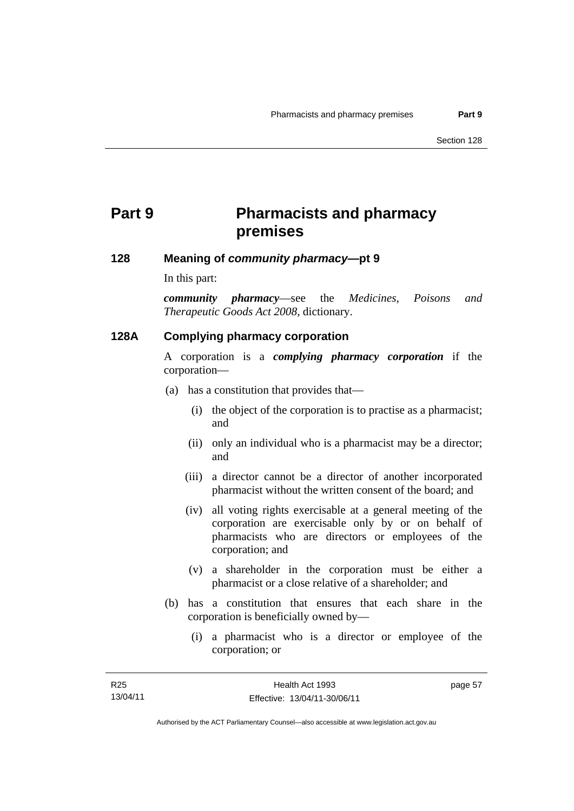# **Part 9 Pharmacists and pharmacy premises**

**128 Meaning of** *community pharmacy***—pt 9** 

In this part:

*community pharmacy*—see the *Medicines, Poisons and Therapeutic Goods Act 2008*, dictionary.

## **128A Complying pharmacy corporation**

A corporation is a *complying pharmacy corporation* if the corporation—

- (a) has a constitution that provides that—
	- (i) the object of the corporation is to practise as a pharmacist; and
	- (ii) only an individual who is a pharmacist may be a director; and
	- (iii) a director cannot be a director of another incorporated pharmacist without the written consent of the board; and
	- (iv) all voting rights exercisable at a general meeting of the corporation are exercisable only by or on behalf of pharmacists who are directors or employees of the corporation; and
	- (v) a shareholder in the corporation must be either a pharmacist or a close relative of a shareholder; and
- (b) has a constitution that ensures that each share in the corporation is beneficially owned by—
	- (i) a pharmacist who is a director or employee of the corporation; or

page 57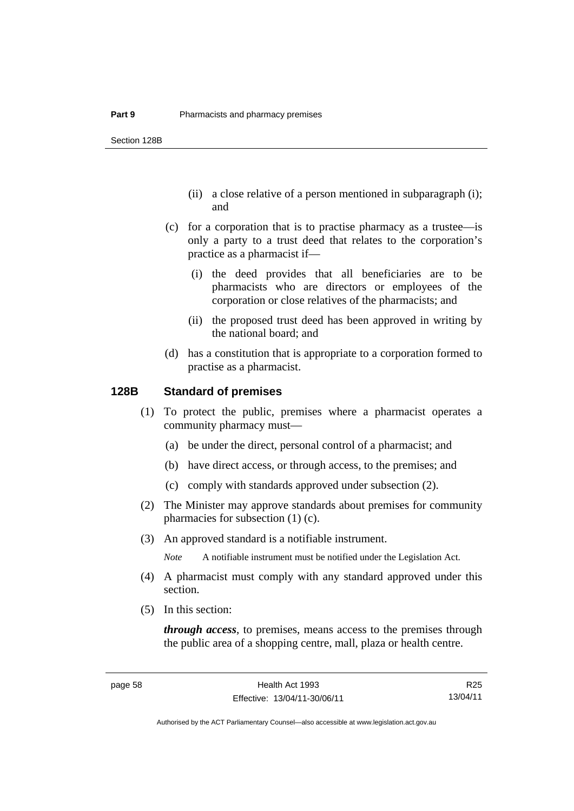- (ii) a close relative of a person mentioned in subparagraph (i); and
- (c) for a corporation that is to practise pharmacy as a trustee—is only a party to a trust deed that relates to the corporation's practice as a pharmacist if—
	- (i) the deed provides that all beneficiaries are to be pharmacists who are directors or employees of the corporation or close relatives of the pharmacists; and
	- (ii) the proposed trust deed has been approved in writing by the national board; and
- (d) has a constitution that is appropriate to a corporation formed to practise as a pharmacist.

#### **128B Standard of premises**

- (1) To protect the public, premises where a pharmacist operates a community pharmacy must—
	- (a) be under the direct, personal control of a pharmacist; and
	- (b) have direct access, or through access, to the premises; and
	- (c) comply with standards approved under subsection (2).
- (2) The Minister may approve standards about premises for community pharmacies for subsection (1) (c).
- (3) An approved standard is a notifiable instrument.

*Note* A notifiable instrument must be notified under the Legislation Act.

- (4) A pharmacist must comply with any standard approved under this section.
- (5) In this section:

*through access*, to premises, means access to the premises through the public area of a shopping centre, mall, plaza or health centre.

R25 13/04/11

Authorised by the ACT Parliamentary Counsel—also accessible at www.legislation.act.gov.au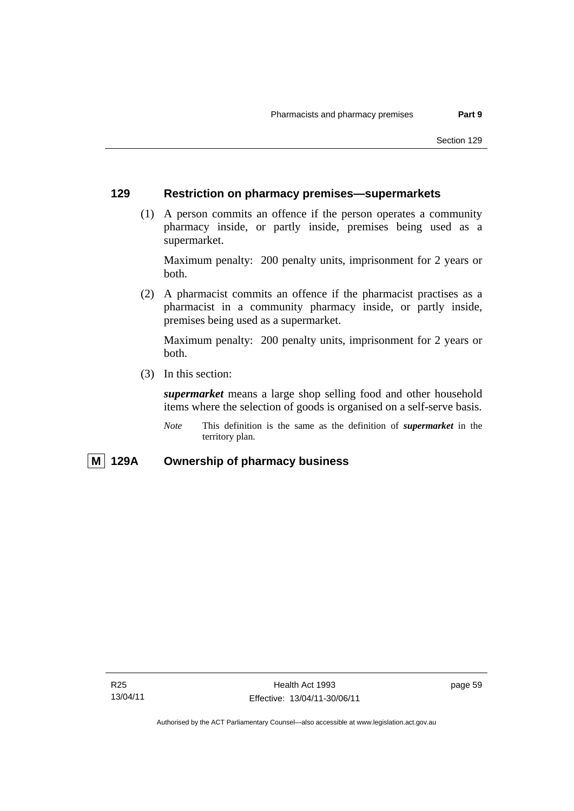## **129 Restriction on pharmacy premises—supermarkets**

 (1) A person commits an offence if the person operates a community pharmacy inside, or partly inside, premises being used as a supermarket.

Maximum penalty: 200 penalty units, imprisonment for 2 years or both.

 (2) A pharmacist commits an offence if the pharmacist practises as a pharmacist in a community pharmacy inside, or partly inside, premises being used as a supermarket.

Maximum penalty: 200 penalty units, imprisonment for 2 years or both.

(3) In this section:

*supermarket* means a large shop selling food and other household items where the selection of goods is organised on a self-serve basis.

*Note* This definition is the same as the definition of *supermarket* in the territory plan.

# **M 129A Ownership of pharmacy business**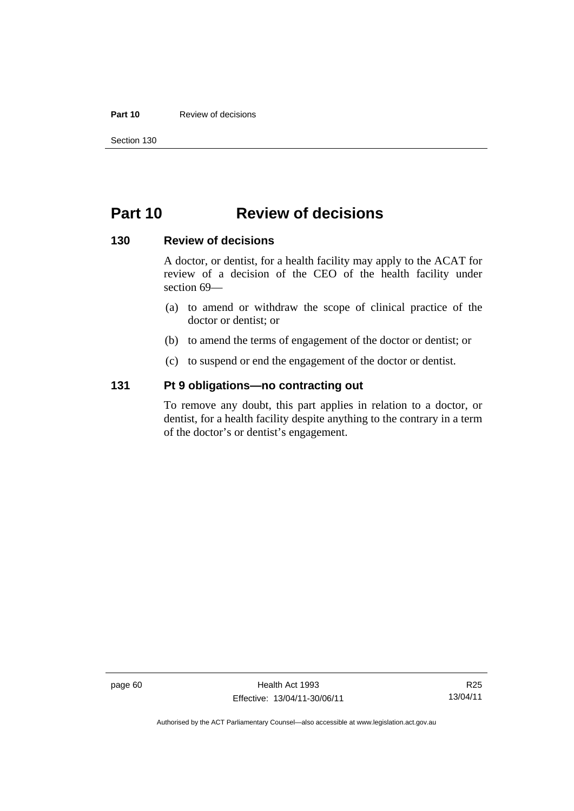#### **Part 10** Review of decisions

Section 130

# **Part 10 Review of decisions**

#### **130 Review of decisions**

A doctor, or dentist, for a health facility may apply to the ACAT for review of a decision of the CEO of the health facility under section 69—

- (a) to amend or withdraw the scope of clinical practice of the doctor or dentist; or
- (b) to amend the terms of engagement of the doctor or dentist; or
- (c) to suspend or end the engagement of the doctor or dentist.

# **131 Pt 9 obligations—no contracting out**

To remove any doubt, this part applies in relation to a doctor, or dentist, for a health facility despite anything to the contrary in a term of the doctor's or dentist's engagement.

Authorised by the ACT Parliamentary Counsel—also accessible at www.legislation.act.gov.au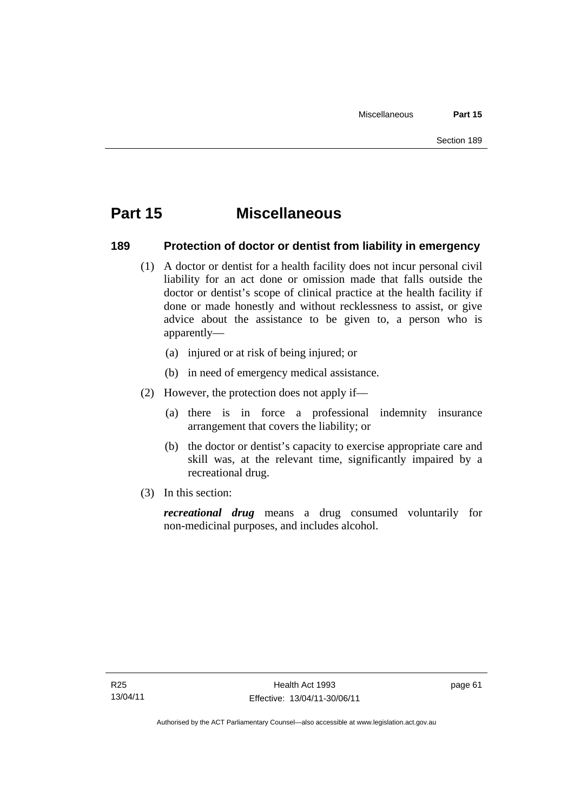# **Part 15 Miscellaneous**

## **189 Protection of doctor or dentist from liability in emergency**

- (1) A doctor or dentist for a health facility does not incur personal civil liability for an act done or omission made that falls outside the doctor or dentist's scope of clinical practice at the health facility if done or made honestly and without recklessness to assist, or give advice about the assistance to be given to, a person who is apparently—
	- (a) injured or at risk of being injured; or
	- (b) in need of emergency medical assistance.
- (2) However, the protection does not apply if—
	- (a) there is in force a professional indemnity insurance arrangement that covers the liability; or
	- (b) the doctor or dentist's capacity to exercise appropriate care and skill was, at the relevant time, significantly impaired by a recreational drug.
- (3) In this section:

*recreational drug* means a drug consumed voluntarily for non-medicinal purposes, and includes alcohol.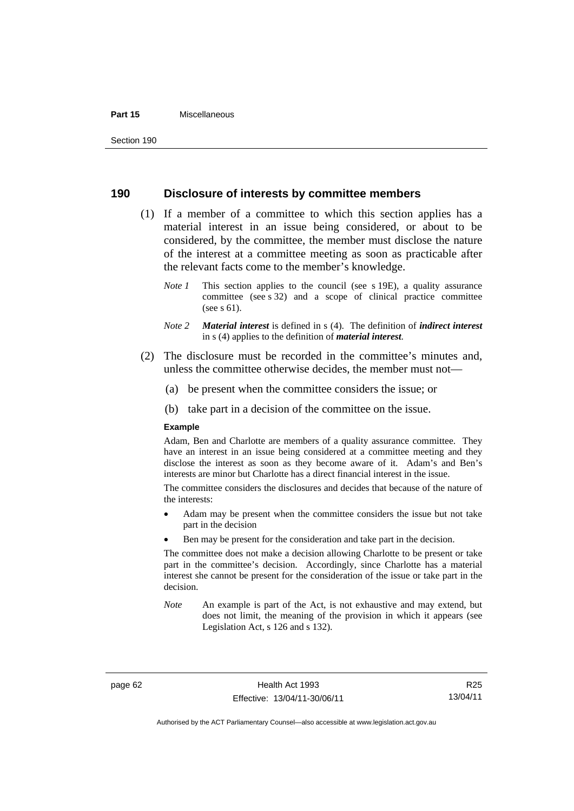#### **Part 15** Miscellaneous

#### **190 Disclosure of interests by committee members**

- (1) If a member of a committee to which this section applies has a material interest in an issue being considered, or about to be considered, by the committee, the member must disclose the nature of the interest at a committee meeting as soon as practicable after the relevant facts come to the member's knowledge.
	- *Note 1* This section applies to the council (see s 19E), a quality assurance committee (see s 32) and a scope of clinical practice committee (see s 61).
	- *Note 2 Material interest* is defined in s (4). The definition of *indirect interest* in s (4) applies to the definition of *material interest*.
- (2) The disclosure must be recorded in the committee's minutes and, unless the committee otherwise decides, the member must not—
	- (a) be present when the committee considers the issue; or
	- (b) take part in a decision of the committee on the issue.

#### **Example**

Adam, Ben and Charlotte are members of a quality assurance committee. They have an interest in an issue being considered at a committee meeting and they disclose the interest as soon as they become aware of it. Adam's and Ben's interests are minor but Charlotte has a direct financial interest in the issue.

The committee considers the disclosures and decides that because of the nature of the interests:

- Adam may be present when the committee considers the issue but not take part in the decision
- Ben may be present for the consideration and take part in the decision.

The committee does not make a decision allowing Charlotte to be present or take part in the committee's decision. Accordingly, since Charlotte has a material interest she cannot be present for the consideration of the issue or take part in the decision.

*Note* An example is part of the Act, is not exhaustive and may extend, but does not limit, the meaning of the provision in which it appears (see Legislation Act, s 126 and s 132).

Authorised by the ACT Parliamentary Counsel—also accessible at www.legislation.act.gov.au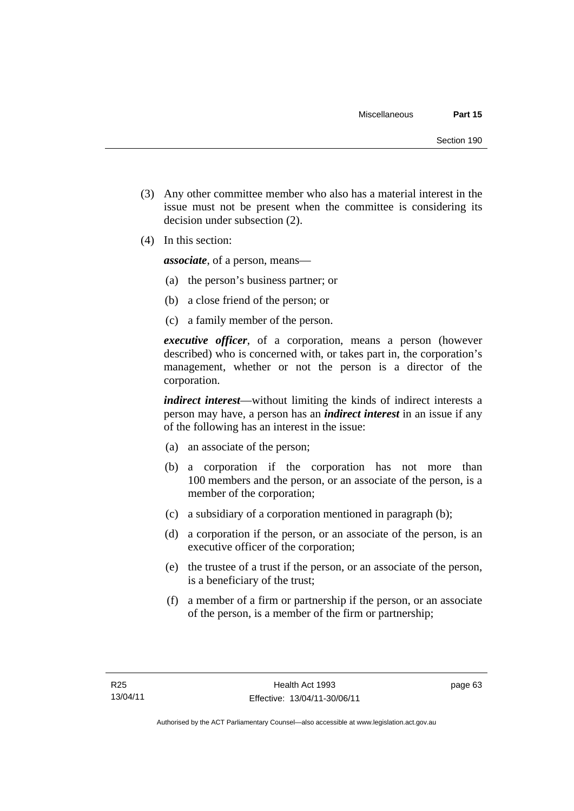- (3) Any other committee member who also has a material interest in the issue must not be present when the committee is considering its decision under subsection (2).
- (4) In this section:

*associate*, of a person, means—

- (a) the person's business partner; or
- (b) a close friend of the person; or
- (c) a family member of the person.

*executive officer*, of a corporation, means a person (however described) who is concerned with, or takes part in, the corporation's management, whether or not the person is a director of the corporation.

*indirect interest*—without limiting the kinds of indirect interests a person may have, a person has an *indirect interest* in an issue if any of the following has an interest in the issue:

- (a) an associate of the person;
- (b) a corporation if the corporation has not more than 100 members and the person, or an associate of the person, is a member of the corporation;
- (c) a subsidiary of a corporation mentioned in paragraph (b);
- (d) a corporation if the person, or an associate of the person, is an executive officer of the corporation;
- (e) the trustee of a trust if the person, or an associate of the person, is a beneficiary of the trust;
- (f) a member of a firm or partnership if the person, or an associate of the person, is a member of the firm or partnership;

page 63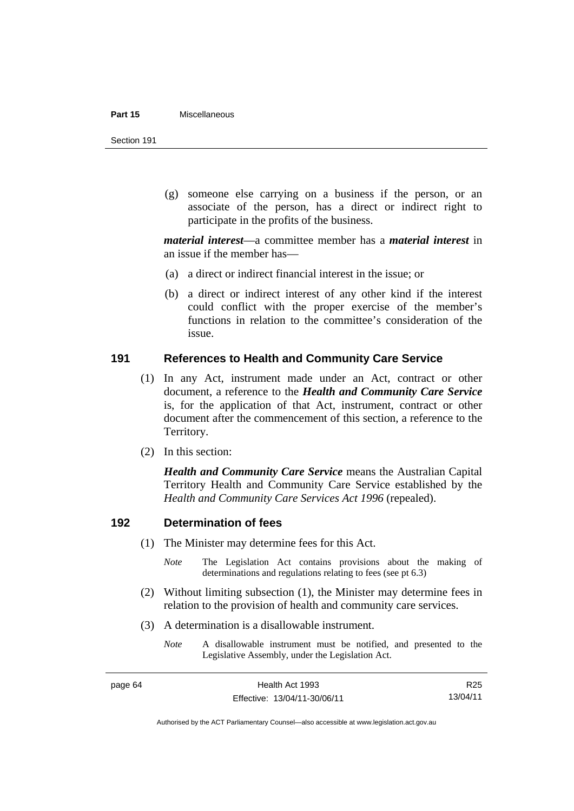#### **Part 15** Miscellaneous

Section 191

 (g) someone else carrying on a business if the person, or an associate of the person, has a direct or indirect right to participate in the profits of the business.

*material interest*—a committee member has a *material interest* in an issue if the member has—

- (a) a direct or indirect financial interest in the issue; or
- (b) a direct or indirect interest of any other kind if the interest could conflict with the proper exercise of the member's functions in relation to the committee's consideration of the issue.

## **191 References to Health and Community Care Service**

- (1) In any Act, instrument made under an Act, contract or other document, a reference to the *Health and Community Care Service* is, for the application of that Act, instrument, contract or other document after the commencement of this section, a reference to the Territory.
- (2) In this section:

*Health and Community Care Service* means the Australian Capital Territory Health and Community Care Service established by the *Health and Community Care Services Act 1996* (repealed).

# **192 Determination of fees**

- (1) The Minister may determine fees for this Act.
	- *Note* The Legislation Act contains provisions about the making of determinations and regulations relating to fees (see pt 6.3)
- (2) Without limiting subsection (1), the Minister may determine fees in relation to the provision of health and community care services.
- (3) A determination is a disallowable instrument.
	- *Note* A disallowable instrument must be notified, and presented to the Legislative Assembly, under the Legislation Act.

R25 13/04/11

Authorised by the ACT Parliamentary Counsel—also accessible at www.legislation.act.gov.au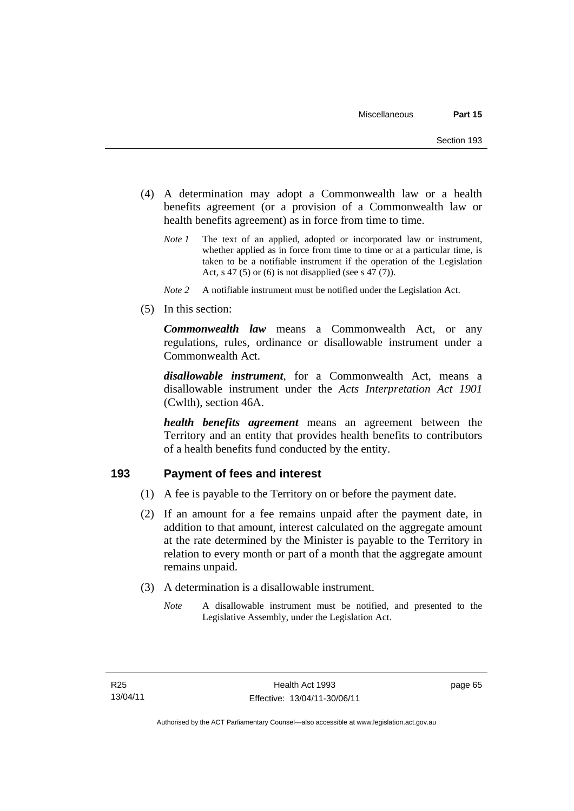- (4) A determination may adopt a Commonwealth law or a health benefits agreement (or a provision of a Commonwealth law or health benefits agreement) as in force from time to time.
	- *Note 1* The text of an applied, adopted or incorporated law or instrument, whether applied as in force from time to time or at a particular time, is taken to be a notifiable instrument if the operation of the Legislation Act, s 47 (5) or (6) is not disapplied (see s 47 (7)).
	- *Note 2* A notifiable instrument must be notified under the Legislation Act.
- (5) In this section:

*Commonwealth law* means a Commonwealth Act, or any regulations, rules, ordinance or disallowable instrument under a Commonwealth Act.

*disallowable instrument*, for a Commonwealth Act, means a disallowable instrument under the *Acts Interpretation Act 1901* (Cwlth), section 46A.

*health benefits agreement* means an agreement between the Territory and an entity that provides health benefits to contributors of a health benefits fund conducted by the entity.

# **193 Payment of fees and interest**

- (1) A fee is payable to the Territory on or before the payment date.
- (2) If an amount for a fee remains unpaid after the payment date, in addition to that amount, interest calculated on the aggregate amount at the rate determined by the Minister is payable to the Territory in relation to every month or part of a month that the aggregate amount remains unpaid.
- (3) A determination is a disallowable instrument.
	- *Note* A disallowable instrument must be notified, and presented to the Legislative Assembly, under the Legislation Act.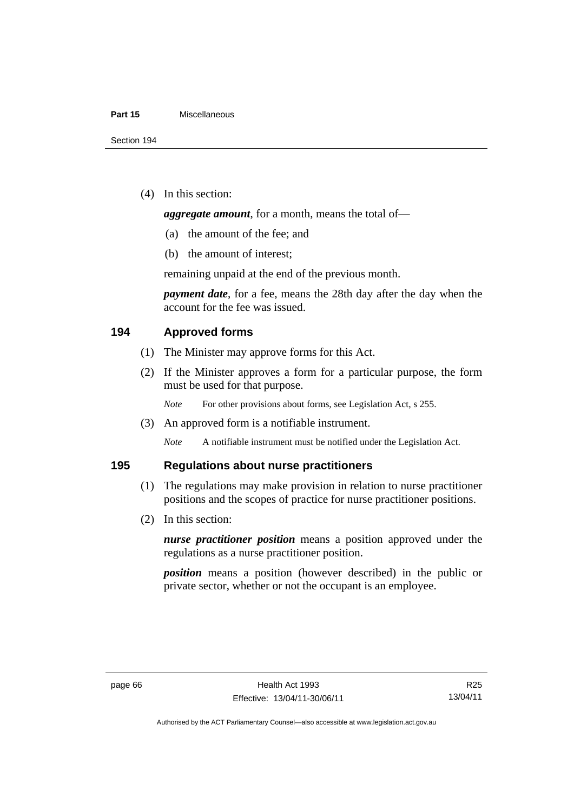#### **Part 15** Miscellaneous

(4) In this section:

*aggregate amount*, for a month, means the total of—

- (a) the amount of the fee; and
- (b) the amount of interest;

remaining unpaid at the end of the previous month.

*payment date*, for a fee, means the 28th day after the day when the account for the fee was issued.

# **194 Approved forms**

- (1) The Minister may approve forms for this Act.
- (2) If the Minister approves a form for a particular purpose, the form must be used for that purpose.

*Note* For other provisions about forms, see Legislation Act, s 255.

(3) An approved form is a notifiable instrument.

*Note* A notifiable instrument must be notified under the Legislation Act.

### **195 Regulations about nurse practitioners**

- (1) The regulations may make provision in relation to nurse practitioner positions and the scopes of practice for nurse practitioner positions.
- (2) In this section:

*nurse practitioner position* means a position approved under the regulations as a nurse practitioner position.

*position* means a position (however described) in the public or private sector, whether or not the occupant is an employee.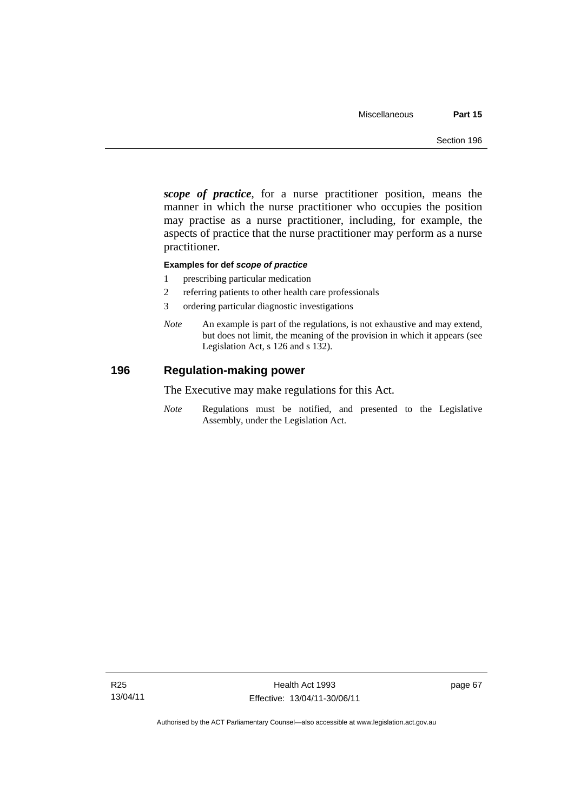*scope of practice*, for a nurse practitioner position, means the manner in which the nurse practitioner who occupies the position may practise as a nurse practitioner, including, for example, the aspects of practice that the nurse practitioner may perform as a nurse practitioner.

#### **Examples for def** *scope of practice*

- 1 prescribing particular medication
- 2 referring patients to other health care professionals
- 3 ordering particular diagnostic investigations
- *Note* An example is part of the regulations, is not exhaustive and may extend, but does not limit, the meaning of the provision in which it appears (see Legislation Act, s 126 and s 132).

# **196 Regulation-making power**

The Executive may make regulations for this Act.

*Note* Regulations must be notified, and presented to the Legislative Assembly, under the Legislation Act.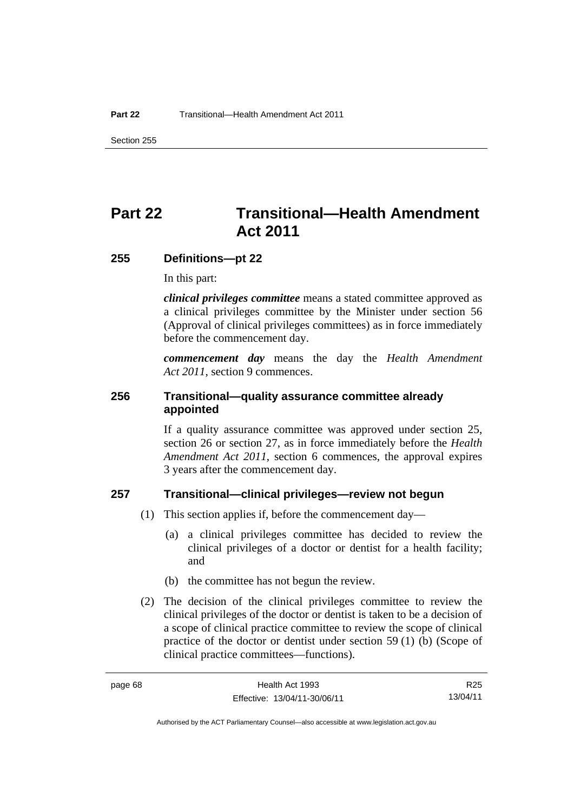Section 255

# **Part 22 Transitional—Health Amendment Act 2011**

# **255 Definitions—pt 22**

In this part:

*clinical privileges committee* means a stated committee approved as a clinical privileges committee by the Minister under section 56 (Approval of clinical privileges committees) as in force immediately before the commencement day.

*commencement day* means the day the *Health Amendment Act 2011*, section 9 commences.

# **256 Transitional—quality assurance committee already appointed**

If a quality assurance committee was approved under section 25, section 26 or section 27, as in force immediately before the *Health Amendment Act 2011*, section 6 commences, the approval expires 3 years after the commencement day.

# **257 Transitional—clinical privileges—review not begun**

- (1) This section applies if, before the commencement day—
	- (a) a clinical privileges committee has decided to review the clinical privileges of a doctor or dentist for a health facility; and
	- (b) the committee has not begun the review.
- (2) The decision of the clinical privileges committee to review the clinical privileges of the doctor or dentist is taken to be a decision of a scope of clinical practice committee to review the scope of clinical practice of the doctor or dentist under section 59 (1) (b) (Scope of clinical practice committees—functions).

R25 13/04/11

Authorised by the ACT Parliamentary Counsel—also accessible at www.legislation.act.gov.au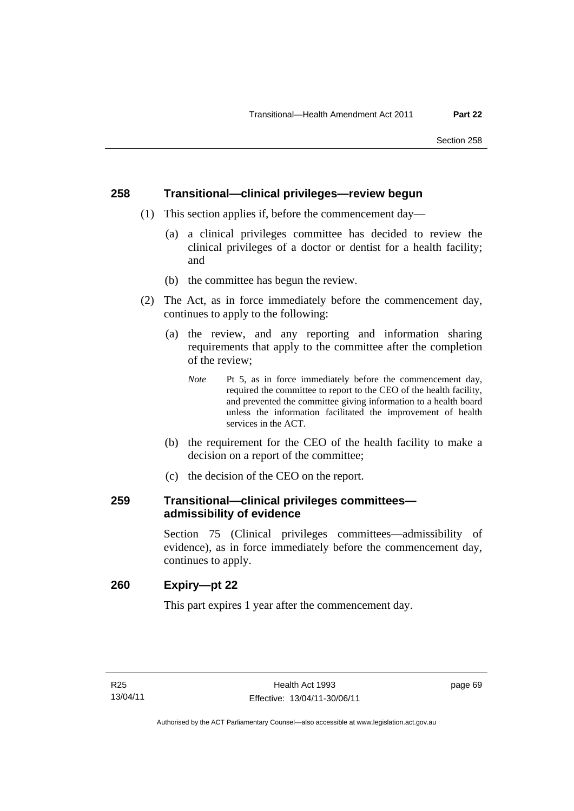# **258 Transitional—clinical privileges—review begun**

- (1) This section applies if, before the commencement day—
	- (a) a clinical privileges committee has decided to review the clinical privileges of a doctor or dentist for a health facility; and
	- (b) the committee has begun the review.
- (2) The Act, as in force immediately before the commencement day, continues to apply to the following:
	- (a) the review, and any reporting and information sharing requirements that apply to the committee after the completion of the review;
		- *Note* Pt 5, as in force immediately before the commencement day, required the committee to report to the CEO of the health facility, and prevented the committee giving information to a health board unless the information facilitated the improvement of health services in the ACT.
	- (b) the requirement for the CEO of the health facility to make a decision on a report of the committee;
	- (c) the decision of the CEO on the report.

# **259 Transitional—clinical privileges committees admissibility of evidence**

Section 75 (Clinical privileges committees—admissibility of evidence), as in force immediately before the commencement day, continues to apply.

# **260 Expiry—pt 22**

This part expires 1 year after the commencement day.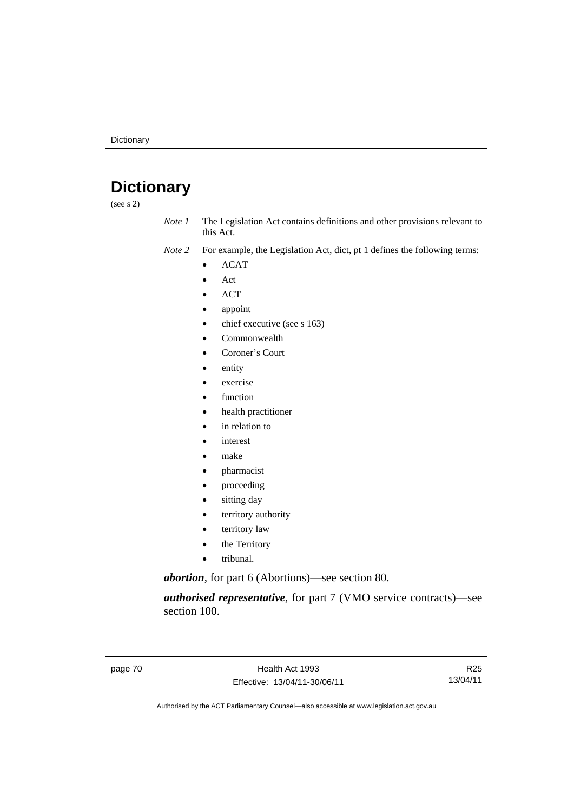# **Dictionary**

(see s 2)

- *Note 1* The Legislation Act contains definitions and other provisions relevant to this Act.
- *Note 2* For example, the Legislation Act, dict, pt 1 defines the following terms:
	- ACAT
	- Act
	- ACT
	- appoint
	- chief executive (see s 163)
	- Commonwealth
	- Coroner's Court
	- entity
	- exercise
	- function
	- health practitioner
	- in relation to
	- interest
	- make
	- pharmacist
	- proceeding
	- sitting day
	- territory authority
	- territory law
	- the Territory
	- tribunal.

*abortion*, for part 6 (Abortions)—see section 80.

*authorised representative*, for part 7 (VMO service contracts)—see section 100.

page 70 **Health Act 1993** Effective: 13/04/11-30/06/11

R25 13/04/11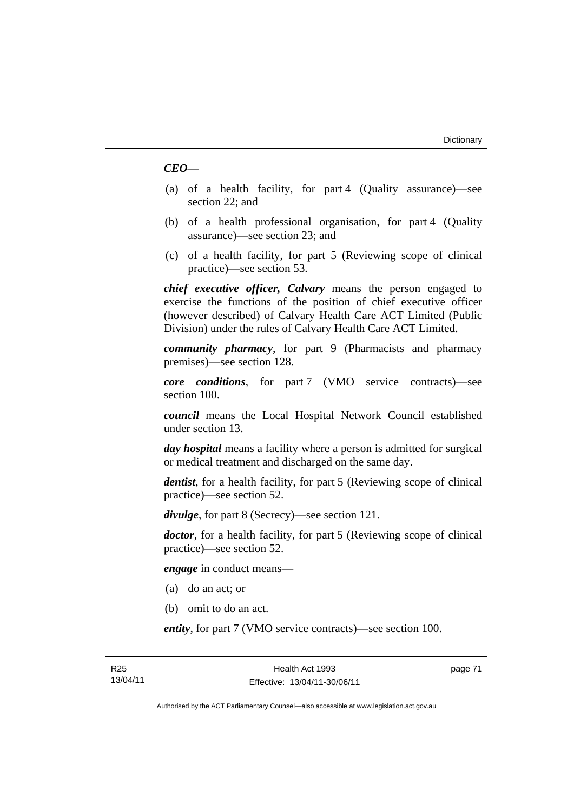### *CEO*—

- (a) of a health facility, for part 4 (Quality assurance)—see section 22; and
- (b) of a health professional organisation, for part 4 (Quality assurance)—see section 23; and
- (c) of a health facility, for part 5 (Reviewing scope of clinical practice)—see section 53.

*chief executive officer, Calvary* means the person engaged to exercise the functions of the position of chief executive officer (however described) of Calvary Health Care ACT Limited (Public Division) under the rules of Calvary Health Care ACT Limited.

*community pharmacy*, for part 9 (Pharmacists and pharmacy premises)—see section 128.

*core conditions*, for part 7 (VMO service contracts)—see section 100.

*council* means the Local Hospital Network Council established under section 13.

*day hospital* means a facility where a person is admitted for surgical or medical treatment and discharged on the same day.

*dentist*, for a health facility, for part 5 (Reviewing scope of clinical practice)—see section 52.

*divulge*, for part 8 (Secrecy)—see section 121.

*doctor*, for a health facility, for part 5 (Reviewing scope of clinical practice)—see section 52.

*engage* in conduct means—

- (a) do an act; or
- (b) omit to do an act.

*entity*, for part 7 (VMO service contracts)—see section 100.

page 71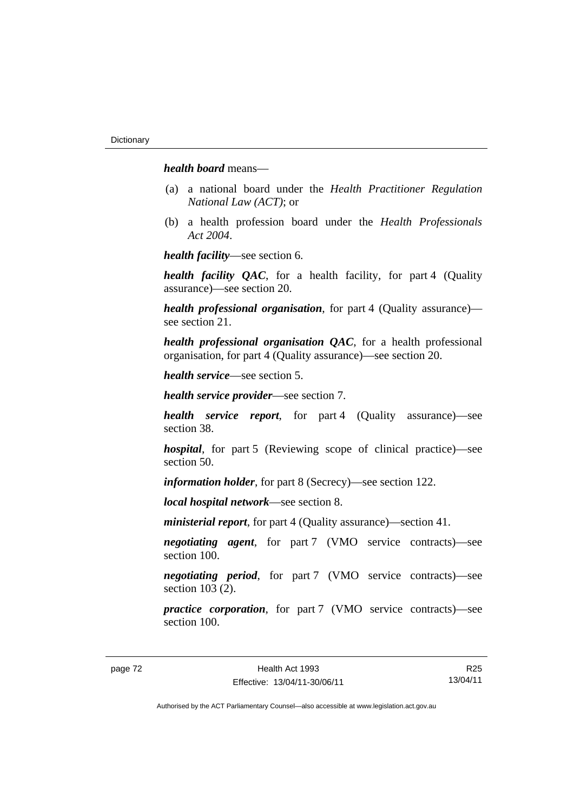*health board* means—

- (a) a national board under the *Health Practitioner Regulation National Law (ACT)*; or
- (b) a health profession board under the *Health Professionals Act 2004*.

*health facility*—see section 6.

*health facility QAC*, for a health facility, for part 4 (Quality assurance)—see section 20.

*health professional organisation*, for part 4 (Quality assurance) see section 21.

*health professional organisation QAC*, for a health professional organisation, for part 4 (Quality assurance)—see section 20.

*health service*—see section 5.

*health service provider*—see section 7.

*health service report*, for part 4 (Quality assurance)—see section 38.

*hospital*, for part 5 (Reviewing scope of clinical practice)—see section 50.

*information holder*, for part 8 (Secrecy)—see section 122.

*local hospital network*—see section 8.

*ministerial report*, for part 4 (Quality assurance)—section 41.

*negotiating agent*, for part 7 (VMO service contracts)—see section 100.

*negotiating period*, for part 7 (VMO service contracts)—see section 103 (2).

*practice corporation*, for part 7 (VMO service contracts)—see section 100.

R25 13/04/11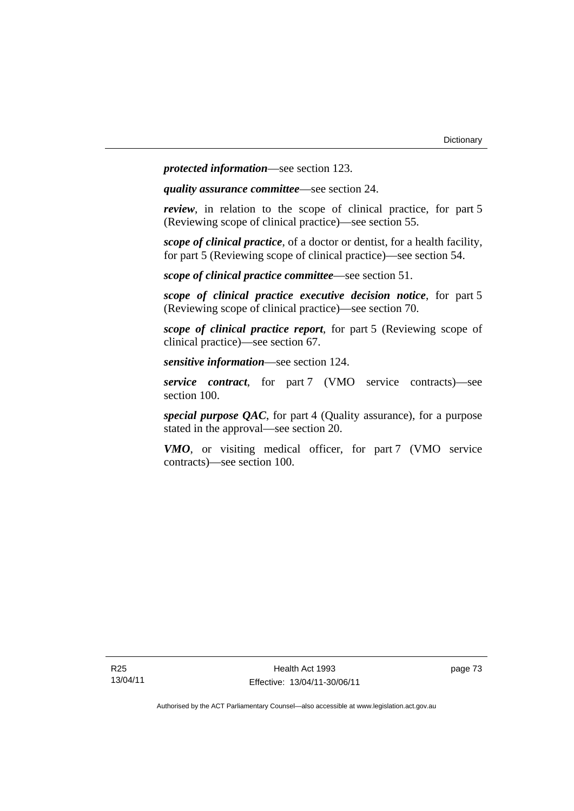*protected information*—see section 123.

*quality assurance committee*—see section 24.

*review*, in relation to the scope of clinical practice, for part 5 (Reviewing scope of clinical practice)—see section 55.

*scope of clinical practice*, of a doctor or dentist, for a health facility, for part 5 (Reviewing scope of clinical practice)—see section 54.

*scope of clinical practice committee*—see section 51.

*scope of clinical practice executive decision notice*, for part 5 (Reviewing scope of clinical practice)—see section 70.

*scope of clinical practice report*, for part 5 (Reviewing scope of clinical practice)—see section 67.

*sensitive information*—see section 124.

*service contract*, for part 7 (VMO service contracts)—see section 100.

*special purpose QAC*, for part 4 (Quality assurance), for a purpose stated in the approval—see section 20.

*VMO*, or visiting medical officer, for part 7 (VMO service contracts)—see section 100.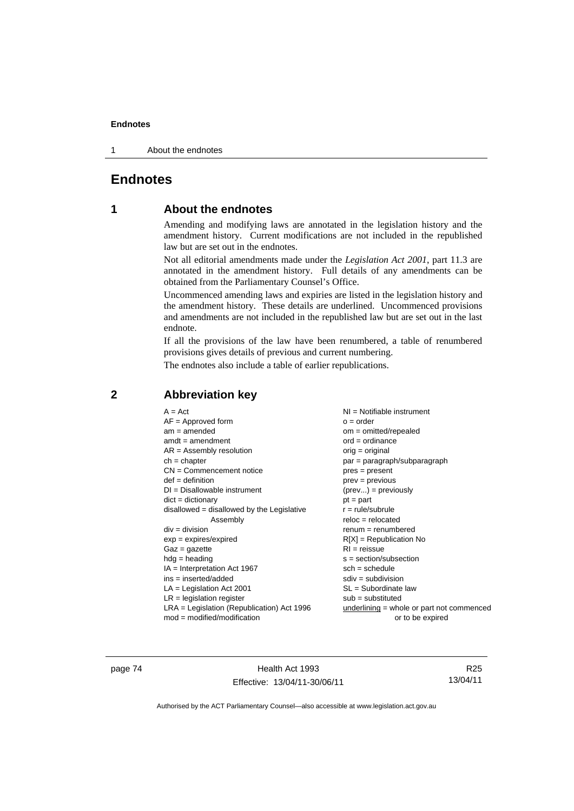1 About the endnotes

# **Endnotes**

# **1 About the endnotes**

Amending and modifying laws are annotated in the legislation history and the amendment history. Current modifications are not included in the republished law but are set out in the endnotes.

Not all editorial amendments made under the *Legislation Act 2001*, part 11.3 are annotated in the amendment history. Full details of any amendments can be obtained from the Parliamentary Counsel's Office.

Uncommenced amending laws and expiries are listed in the legislation history and the amendment history. These details are underlined. Uncommenced provisions and amendments are not included in the republished law but are set out in the last endnote.

If all the provisions of the law have been renumbered, a table of renumbered provisions gives details of previous and current numbering.

The endnotes also include a table of earlier republications.

| $mod = modified/modification$<br>or to be expired | $A = Act$<br>$AF =$ Approved form<br>$am = amended$<br>$amdt = amendment$<br>$AR = Assembly resolution$<br>$ch = chapter$<br>$CN =$ Commencement notice<br>$def = definition$<br>$DI = Disallowable instrument$<br>$dict = dictionary$<br>disallowed = disallowed by the Legislative<br>Assembly<br>$div = division$<br>$exp = expires/expired$<br>$Gaz = gazette$<br>$hdg =$ heading<br>$IA = Interpretation Act 1967$<br>$ins = inserted/added$<br>$LA =$ Legislation Act 2001<br>$LR =$ legislation register<br>$LRA =$ Legislation (Republication) Act 1996 | NI = Notifiable instrument<br>$o = order$<br>$om = omitted/repealed$<br>$ord = ordinance$<br>$orig = original$<br>par = paragraph/subparagraph<br>$pres = present$<br>$prev = previous$<br>$(\text{prev}) = \text{previously}$<br>$pt = part$<br>$r = rule/subrule$<br>$reloc = relocated$<br>$renum = renumbered$<br>$R[X]$ = Republication No<br>$RI = reissue$<br>$s = section/subsection$<br>$sch = schedule$<br>$sdiv = subdivision$<br>$SL = Subordinate$ law<br>$sub =$ substituted<br>underlining = whole or part not commenced |
|---------------------------------------------------|-----------------------------------------------------------------------------------------------------------------------------------------------------------------------------------------------------------------------------------------------------------------------------------------------------------------------------------------------------------------------------------------------------------------------------------------------------------------------------------------------------------------------------------------------------------------|-----------------------------------------------------------------------------------------------------------------------------------------------------------------------------------------------------------------------------------------------------------------------------------------------------------------------------------------------------------------------------------------------------------------------------------------------------------------------------------------------------------------------------------------|
|                                                   |                                                                                                                                                                                                                                                                                                                                                                                                                                                                                                                                                                 |                                                                                                                                                                                                                                                                                                                                                                                                                                                                                                                                         |

# **2 Abbreviation key**

page 74 Health Act 1993 Effective: 13/04/11-30/06/11

R25 13/04/11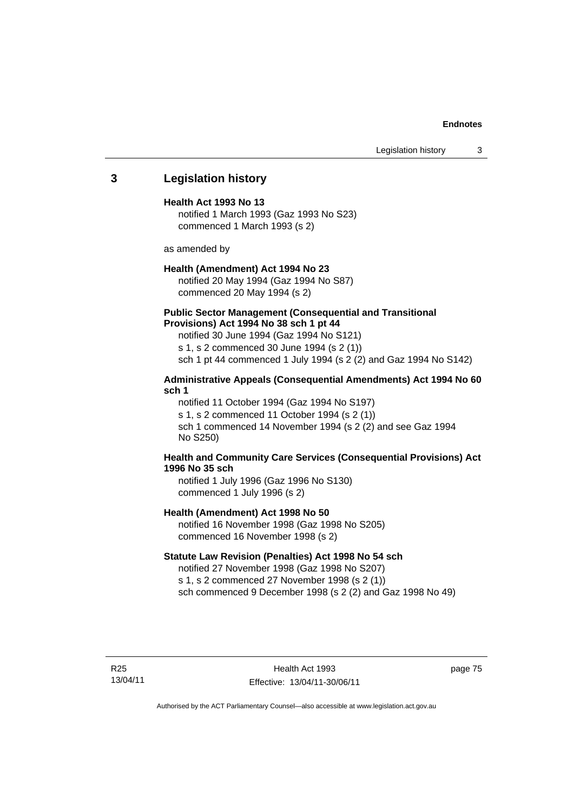Legislation history 3

## **3 Legislation history**

#### **Health Act 1993 No 13**

notified 1 March 1993 (Gaz 1993 No S23) commenced 1 March 1993 (s 2)

as amended by

### **Health (Amendment) Act 1994 No 23**

notified 20 May 1994 (Gaz 1994 No S87) commenced 20 May 1994 (s 2)

#### **Public Sector Management (Consequential and Transitional Provisions) Act 1994 No 38 sch 1 pt 44**

notified 30 June 1994 (Gaz 1994 No S121) s 1, s 2 commenced 30 June 1994 (s 2 (1)) sch 1 pt 44 commenced 1 July 1994 (s 2 (2) and Gaz 1994 No S142)

#### **Administrative Appeals (Consequential Amendments) Act 1994 No 60 sch 1**

notified 11 October 1994 (Gaz 1994 No S197) s 1, s 2 commenced 11 October 1994 (s 2 (1)) sch 1 commenced 14 November 1994 (s 2 (2) and see Gaz 1994 No S250)

#### **Health and Community Care Services (Consequential Provisions) Act 1996 No 35 sch**

notified 1 July 1996 (Gaz 1996 No S130) commenced 1 July 1996 (s 2)

#### **Health (Amendment) Act 1998 No 50**

notified 16 November 1998 (Gaz 1998 No S205) commenced 16 November 1998 (s 2)

# **Statute Law Revision (Penalties) Act 1998 No 54 sch**

notified 27 November 1998 (Gaz 1998 No S207) s 1, s 2 commenced 27 November 1998 (s 2 (1)) sch commenced 9 December 1998 (s 2 (2) and Gaz 1998 No 49)

R25 13/04/11 page 75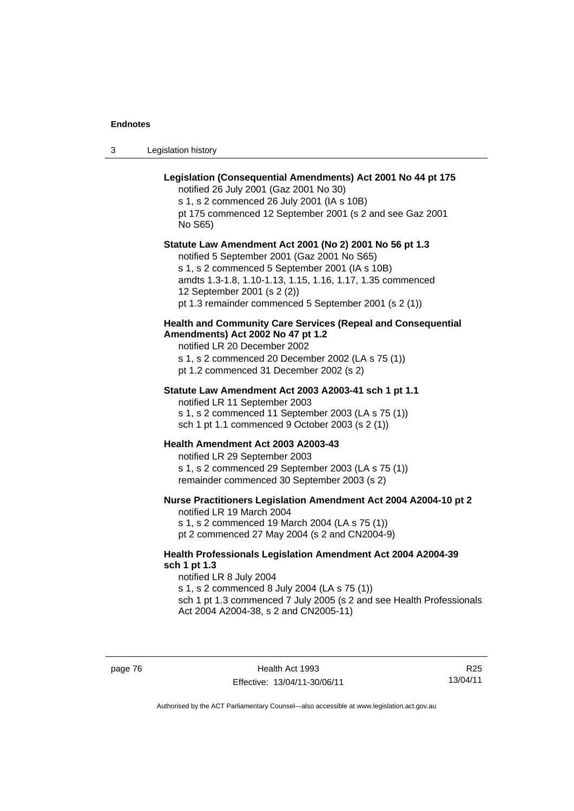3 Legislation history

# **Legislation (Consequential Amendments) Act 2001 No 44 pt 175**

notified 26 July 2001 (Gaz 2001 No 30)

s 1, s 2 commenced 26 July 2001 (IA s 10B) pt 175 commenced 12 September 2001 (s 2 and see Gaz 2001 No S65)

**Statute Law Amendment Act 2001 (No 2) 2001 No 56 pt 1.3** 

notified 5 September 2001 (Gaz 2001 No S65) s 1, s 2 commenced 5 September 2001 (IA s 10B) amdts 1.3-1.8, 1.10-1.13, 1.15, 1.16, 1.17, 1.35 commenced 12 September 2001 (s 2 (2)) pt 1.3 remainder commenced 5 September 2001 (s 2 (1))

#### **Health and Community Care Services (Repeal and Consequential Amendments) Act 2002 No 47 pt 1.2**

notified LR 20 December 2002

s 1, s 2 commenced 20 December 2002 (LA s 75 (1))

pt 1.2 commenced 31 December 2002 (s 2)

#### **Statute Law Amendment Act 2003 A2003-41 sch 1 pt 1.1**

notified LR 11 September 2003 s 1, s 2 commenced 11 September 2003 (LA s 75 (1)) sch 1 pt 1.1 commenced 9 October 2003 (s 2 (1))

#### **Health Amendment Act 2003 A2003-43**

notified LR 29 September 2003 s 1, s 2 commenced 29 September 2003 (LA s 75 (1)) remainder commenced 30 September 2003 (s 2)

#### **Nurse Practitioners Legislation Amendment Act 2004 A2004-10 pt 2**

notified LR 19 March 2004 s 1, s 2 commenced 19 March 2004 (LA s 75 (1)) pt 2 commenced 27 May 2004 (s 2 and CN2004-9)

#### **Health Professionals Legislation Amendment Act 2004 A2004-39 sch 1 pt 1.3**

notified LR 8 July 2004 s 1, s 2 commenced 8 July 2004 (LA s 75 (1)) sch 1 pt 1.3 commenced 7 July 2005 (s 2 and see Health Professionals Act 2004 A2004-38, s 2 and CN2005-11)

R25 13/04/11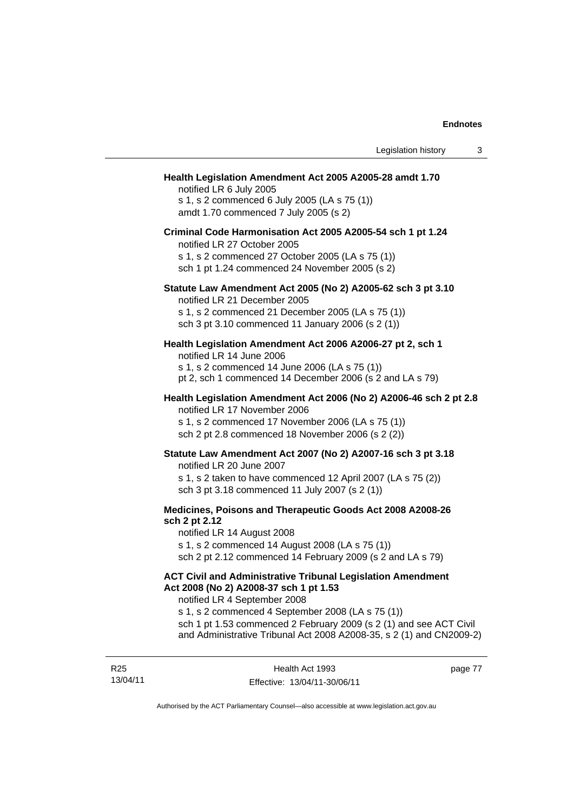#### **Health Legislation Amendment Act 2005 A2005-28 amdt 1.70**

notified LR 6 July 2005 s 1, s 2 commenced 6 July 2005 (LA s 75 (1)) amdt 1.70 commenced 7 July 2005 (s 2)

#### **Criminal Code Harmonisation Act 2005 A2005-54 sch 1 pt 1.24**

notified LR 27 October 2005 s 1, s 2 commenced 27 October 2005 (LA s 75 (1)) sch 1 pt 1.24 commenced 24 November 2005 (s 2)

# **Statute Law Amendment Act 2005 (No 2) A2005-62 sch 3 pt 3.10**

notified LR 21 December 2005

s 1, s 2 commenced 21 December 2005 (LA s 75 (1)) sch 3 pt 3.10 commenced 11 January 2006 (s 2 (1))

#### **Health Legislation Amendment Act 2006 A2006-27 pt 2, sch 1**

notified LR 14 June 2006 s 1, s 2 commenced 14 June 2006 (LA s 75 (1)) pt 2, sch 1 commenced 14 December 2006 (s 2 and LA s 79)

#### **Health Legislation Amendment Act 2006 (No 2) A2006-46 sch 2 pt 2.8**  notified LR 17 November 2006

s 1, s 2 commenced 17 November 2006 (LA s 75 (1)) sch 2 pt 2.8 commenced 18 November 2006 (s 2 (2))

# **Statute Law Amendment Act 2007 (No 2) A2007-16 sch 3 pt 3.18**

notified LR 20 June 2007 s 1, s 2 taken to have commenced 12 April 2007 (LA s 75 (2)) sch 3 pt 3.18 commenced 11 July 2007 (s 2 (1))

#### **Medicines, Poisons and Therapeutic Goods Act 2008 A2008-26 sch 2 pt 2.12**

notified LR 14 August 2008

s 1, s 2 commenced 14 August 2008 (LA s 75 (1))

sch 2 pt 2.12 commenced 14 February 2009 (s 2 and LA s 79)

# **ACT Civil and Administrative Tribunal Legislation Amendment Act 2008 (No 2) A2008-37 sch 1 pt 1.53**

notified LR 4 September 2008

s 1, s 2 commenced 4 September 2008 (LA s 75 (1)) sch 1 pt 1.53 commenced 2 February 2009 (s 2 (1) and see ACT Civil and Administrative Tribunal Act 2008 A2008-35, s 2 (1) and CN2009-2)

R25 13/04/11 page 77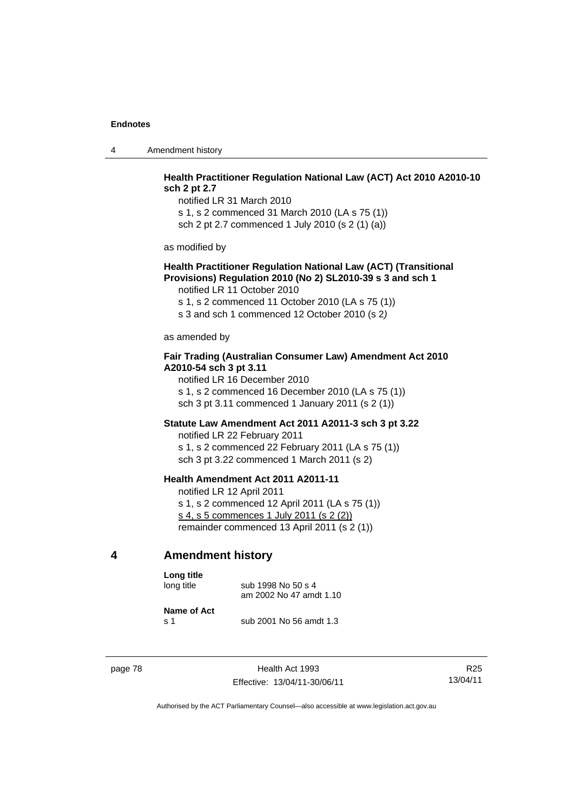4 Amendment history

### **Health Practitioner Regulation National Law (ACT) Act 2010 A2010-10 sch 2 pt 2.7**

notified LR 31 March 2010 s 1, s 2 commenced 31 March 2010 (LA s 75 (1)) sch 2 pt 2.7 commenced 1 July 2010 (s 2 (1) (a))

as modified by

#### **Health Practitioner Regulation National Law (ACT) (Transitional Provisions) Regulation 2010 (No 2) SL2010-39 s 3 and sch 1**

notified LR 11 October 2010

s 1, s 2 commenced 11 October 2010 (LA s 75 (1))

s 3 and sch 1 commenced 12 October 2010 (s 2*)*

as amended by

#### **Fair Trading (Australian Consumer Law) Amendment Act 2010 A2010-54 sch 3 pt 3.11**

notified LR 16 December 2010 s 1, s 2 commenced 16 December 2010 (LA s 75 (1)) sch 3 pt 3.11 commenced 1 January 2011 (s 2 (1))

#### **Statute Law Amendment Act 2011 A2011-3 sch 3 pt 3.22**

notified LR 22 February 2011 s 1, s 2 commenced 22 February 2011 (LA s 75 (1)) sch 3 pt 3.22 commenced 1 March 2011 (s 2)

#### **Health Amendment Act 2011 A2011-11**

notified LR 12 April 2011 s 1, s 2 commenced 12 April 2011 (LA s 75 (1)) s 4, s 5 commences 1 July 2011 (s 2 (2)) remainder commenced 13 April 2011 (s 2 (1))

### **4 Amendment history**

| Long title           | sub 1998 No 50 s 4      |
|----------------------|-------------------------|
| long title           | am 2002 No 47 amdt 1.10 |
| Name of Act<br>.s. 1 | sub 2001 No 56 amdt 1.3 |

page 78 Health Act 1993 Effective: 13/04/11-30/06/11

R25 13/04/11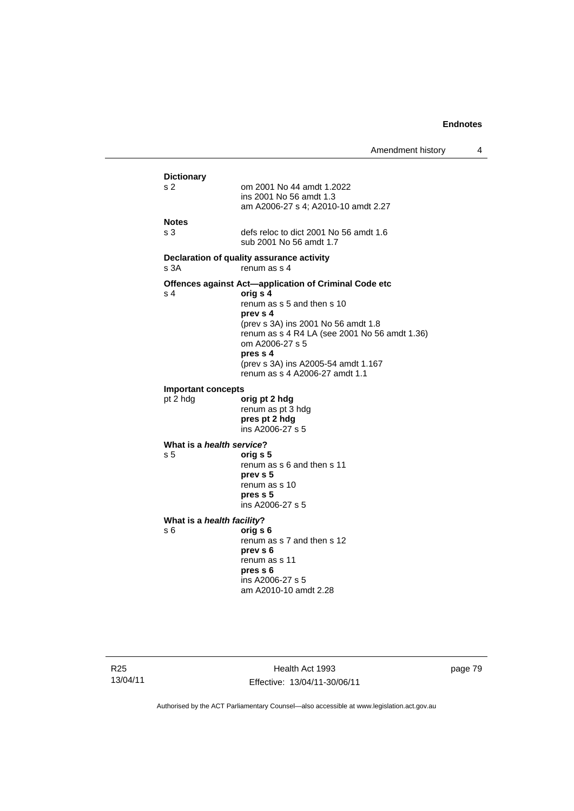|                                       | Amendment history                                                                                                                                                                                                                                                                                           | 4 |
|---------------------------------------|-------------------------------------------------------------------------------------------------------------------------------------------------------------------------------------------------------------------------------------------------------------------------------------------------------------|---|
| <b>Dictionary</b><br>s 2              | om 2001 No 44 amdt 1.2022<br>ins 2001 No 56 amdt 1.3<br>am A2006-27 s 4; A2010-10 amdt 2.27                                                                                                                                                                                                                 |   |
| <b>Notes</b><br>s 3                   | defs reloc to dict 2001 No 56 amdt 1.6<br>sub 2001 No 56 amdt 1.7                                                                                                                                                                                                                                           |   |
| s 3A                                  | Declaration of quality assurance activity<br>renum as s 4                                                                                                                                                                                                                                                   |   |
| s 4                                   | Offences against Act—application of Criminal Code etc<br>orig s 4<br>renum as s 5 and then s 10<br>prev s 4<br>(prev s 3A) ins 2001 No 56 amdt 1.8<br>renum as s 4 R4 LA (see 2001 No 56 amdt 1.36)<br>om A2006-27 s 5<br>pres s 4<br>(prev s 3A) ins A2005-54 amdt 1.167<br>renum as s 4 A2006-27 amdt 1.1 |   |
| <b>Important concepts</b><br>pt 2 hdg | orig pt 2 hdg<br>renum as pt 3 hdg<br>pres pt 2 hdg<br>ins A2006-27 s 5                                                                                                                                                                                                                                     |   |
| What is a health service?<br>s 5      | orig s 5<br>renum as s 6 and then s 11<br>prev s 5<br>renum as s 10<br>pres s 5<br>ins A2006-27 s 5                                                                                                                                                                                                         |   |
| What is a health facility?<br>s 6     | orig s 6<br>renum as s 7 and then s 12<br>prev s 6<br>renum as s 11<br>pres s 6<br>ins A2006-27 s 5<br>am A2010-10 amdt 2.28                                                                                                                                                                                |   |

Health Act 1993 Effective: 13/04/11-30/06/11 page 79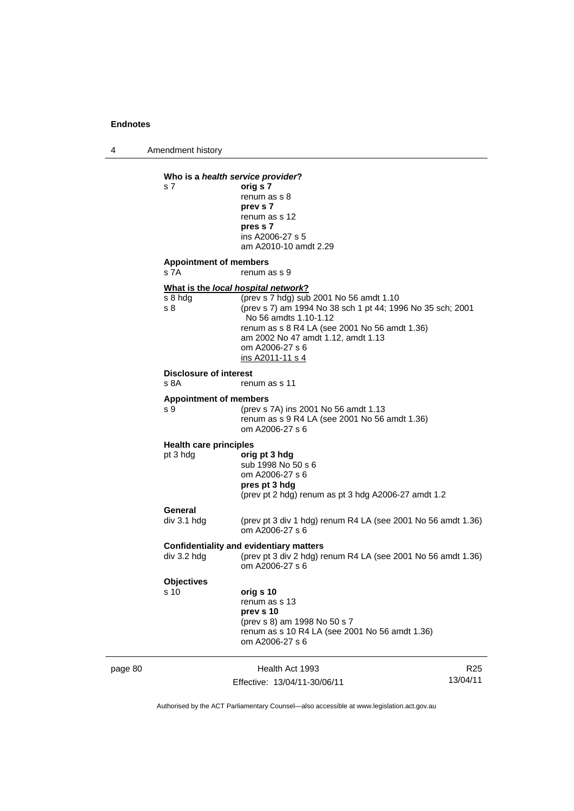4 Amendment history

#### page 80 Health Act 1993 Effective: 13/04/11-30/06/11 R25 13/04/11 **Who is a** *health service provider***?**  s 7 **orig s 7**  renum as s 8 **prev s 7**  renum as s 12  **pres s 7**  ins A2006-27 s 5 am A2010-10 amdt 2.29 **Appointment of members**  s 7A renum as s 9 **What is the** *local hospital network***?** s 8 hdg (prev s 7 hdg) sub 2001 No 56 amdt 1.10 s 8 (prev s 7) am 1994 No 38 sch 1 pt 44; 1996 No 35 sch; 2001 No 56 amdts 1.10-1.12 renum as s 8 R4 LA (see 2001 No 56 amdt 1.36) am 2002 No 47 amdt 1.12, amdt 1.13 om A2006-27 s 6 ins A2011-11 s 4 **Disclosure of interest**  s 8A renum as s 11 **Appointment of members**  s 9 (prev s 7A) ins 2001 No 56 amdt 1.13 renum as s 9 R4 LA (see 2001 No 56 amdt 1.36) om A2006-27 s 6 **Health care principles** pt 3 hdg **orig pt 3 hdg** sub 1998 No 50 s 6 om A2006-27 s 6 **pres pt 3 hdg**  (prev pt 2 hdg) renum as pt 3 hdg A2006-27 amdt 1.2 **General**  div 3.1 hdg (prev pt 3 div 1 hdg) renum R4 LA (see 2001 No 56 amdt 1.36) om A2006-27 s 6 **Confidentiality and evidentiary matters**  div 3.2 hdg (prev pt 3 div 2 hdg) renum R4 LA (see 2001 No 56 amdt 1.36) om A2006-27 s 6 **Objectives** s 10 **orig s 10**  renum as s 13 **prev s 10**  (prev s 8) am 1998 No 50 s 7 renum as s 10 R4 LA (see 2001 No 56 amdt 1.36) om A2006-27 s 6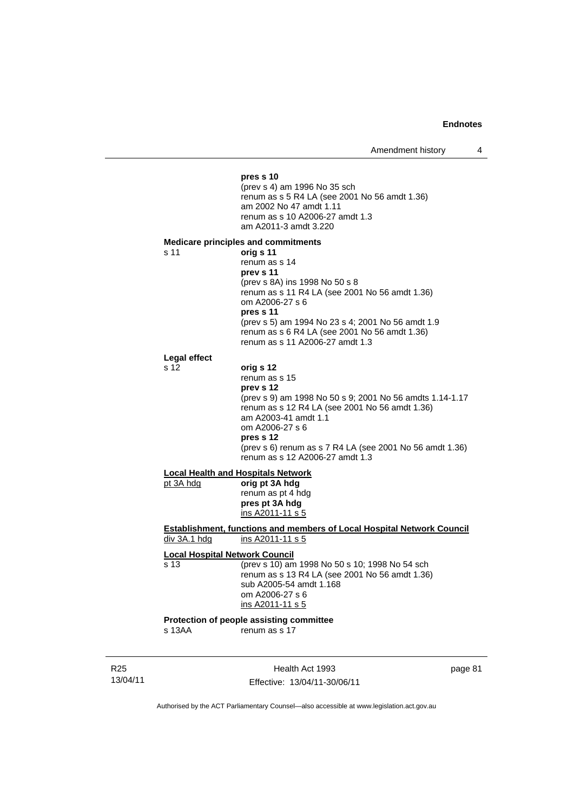#### **pres s 10**  (prev s 4) am 1996 No 35 sch renum as s 5 R4 LA (see 2001 No 56 amdt 1.36) am 2002 No 47 amdt 1.11 renum as s 10 A2006-27 amdt 1.3 am A2011-3 amdt 3.220 **Medicare principles and commitments** s 11 **orig s 11**  renum as s 14 **prev s 11**  (prev s 8A) ins 1998 No 50 s 8 renum as s 11 R4 LA (see 2001 No 56 amdt 1.36) om A2006-27 s 6 **pres s 11**  (prev s 5) am 1994 No 23 s 4; 2001 No 56 amdt 1.9 renum as s 6 R4 LA (see 2001 No 56 amdt 1.36) renum as s 11 A2006-27 amdt 1.3 **Legal effect** s 12 **orig s 12**  renum as s 15 **prev s 12**  (prev s 9) am 1998 No 50 s 9; 2001 No 56 amdts 1.14-1.17 renum as s 12 R4 LA (see 2001 No 56 amdt 1.36) am A2003-41 amdt 1.1 om A2006-27 s 6 **pres s 12**  (prev s 6) renum as s 7 R4 LA (see 2001 No 56 amdt 1.36) renum as s 12 A2006-27 amdt 1.3 **Local Health and Hospitals Network** pt 3A hdg **orig pt 3A hdg** renum as pt 4 hdg **pres pt 3A hdg**  ins A2011-11 s 5 **Establishment, functions and members of Local Hospital Network Council** div 3A.1 hdg ins A2011-11 s 5 **Local Hospital Network Council** s 13 (prev s 10) am 1998 No 50 s 10; 1998 No 54 sch renum as s 13 R4 LA (see 2001 No 56 amdt 1.36) sub A2005-54 amdt 1.168 om A2006-27 s 6 ins A2011-11 s 5 **Protection of people assisting committee**  renum as s 17

R25 13/04/11

Health Act 1993 Effective: 13/04/11-30/06/11 page 81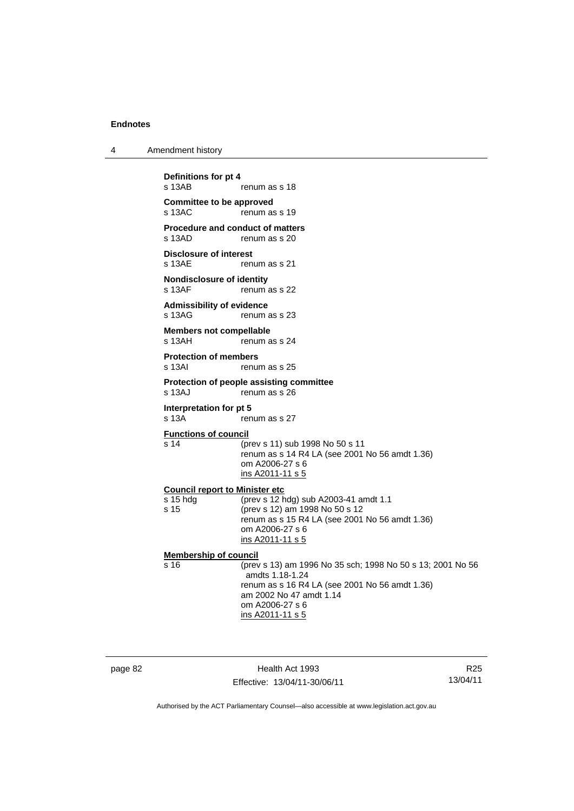| 4 | Amendment history |
|---|-------------------|
|---|-------------------|

**Definitions for pt 4**  renum as s 18 **Committee to be approved**  s 13AC renum as s 19 **Procedure and conduct of matters**<br>s 13AD renum as s 20 renum as s 20 **Disclosure of interest**  s 13AE renum as s 21 **Nondisclosure of identity**<br>s 13AF renum a renum as s 22 **Admissibility of evidence**  s 13AG renum as s 23 **Members not compellable**  s 13AH renum as s 24 **Protection of members**  s 13AI renum as s 25 **Protection of people assisting committee**  s 13AJ renum as s 26 **Interpretation for pt 5**<br>s 13A ren renum as s 27 **Functions of council** s 14 (prev s 11) sub 1998 No 50 s 11 renum as s 14 R4 LA (see 2001 No 56 amdt 1.36) om A2006-27 s 6 ins A2011-11 s 5 **Council report to Minister etc** s 15 hdg (prev s 12 hdg) sub A2003-41 amdt 1.1 s 15 (prev s 12) am 1998 No 50 s 12 renum as s 15 R4 LA (see 2001 No 56 amdt 1.36) om A2006-27 s 6 ins A2011-11 s 5 **Membership of council**<br>s 16 (prev (prev s 13) am 1996 No 35 sch; 1998 No 50 s 13; 2001 No 56 amdts 1.18-1.24 renum as s 16 R4 LA (see 2001 No 56 amdt 1.36) am 2002 No 47 amdt 1.14 om A2006-27 s 6 ins A2011-11 s 5

| page 8∠ |  |
|---------|--|
|---------|--|

page 82 Health Act 1993 Effective: 13/04/11-30/06/11

R25 13/04/11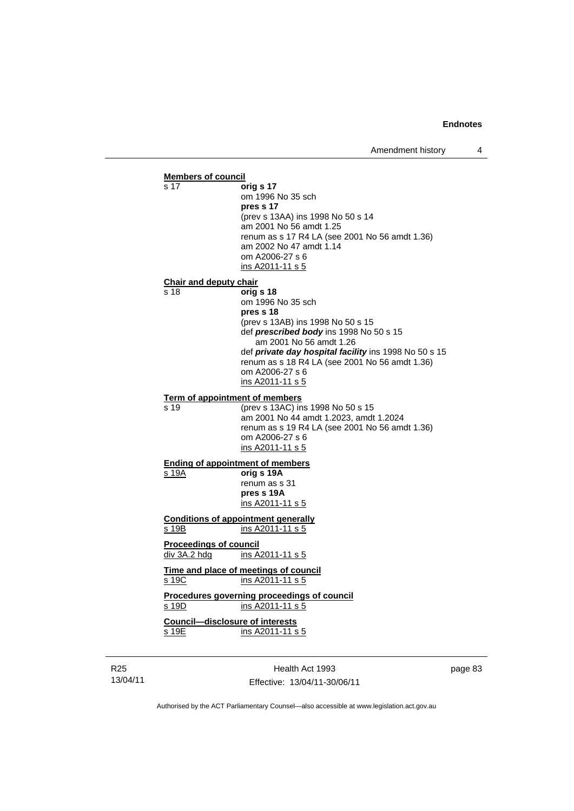#### **Members of council** s 17 **orig s 17** om 1996 No 35 sch **pres s 17**  (prev s 13AA) ins 1998 No 50 s 14 am 2001 No 56 amdt 1.25 renum as s 17 R4 LA (see 2001 No 56 amdt 1.36) am 2002 No 47 amdt 1.14 om A2006-27 s 6 ins A2011-11 s 5 **Chair and deputy chair**<br>s 18 **orig** s 18 **orig s 18** om 1996 No 35 sch **pres s 18**  (prev s 13AB) ins 1998 No 50 s 15 def *prescribed body* ins 1998 No 50 s 15 am 2001 No 56 amdt 1.26 def *private day hospital facility* ins 1998 No 50 s 15 renum as s 18 R4 LA (see 2001 No 56 amdt 1.36) om A2006-27 s 6 ins A2011-11 s 5 **Term of appointment of members** s 19 (prev s 13AC) ins 1998 No 50 s 15 am 2001 No 44 amdt 1.2023, amdt 1.2024 renum as s 19 R4 LA (see 2001 No 56 amdt 1.36) om A2006-27 s 6 ins A2011-11 s 5 **Ending of appointment of members** s 19A **orig s 19A** renum as s 31 **pres s 19A**  ins A2011-11 s 5 **Conditions of appointment generally** s 19B ins A2011-11 s 5 **Proceedings of council**<br>div 3A.2 hdg ins A  $\overline{\text{ins A}}$ 2011-11 s 5 **Time and place of meetings of council** s 19C ins A2011-11 s 5 **Procedures governing proceedings of council** s 19D ins A2011-11 s 5 **Council—disclosure of interests** s 19E ins A2011-11 s 5

R25 13/04/11

Health Act 1993 Effective: 13/04/11-30/06/11 page 83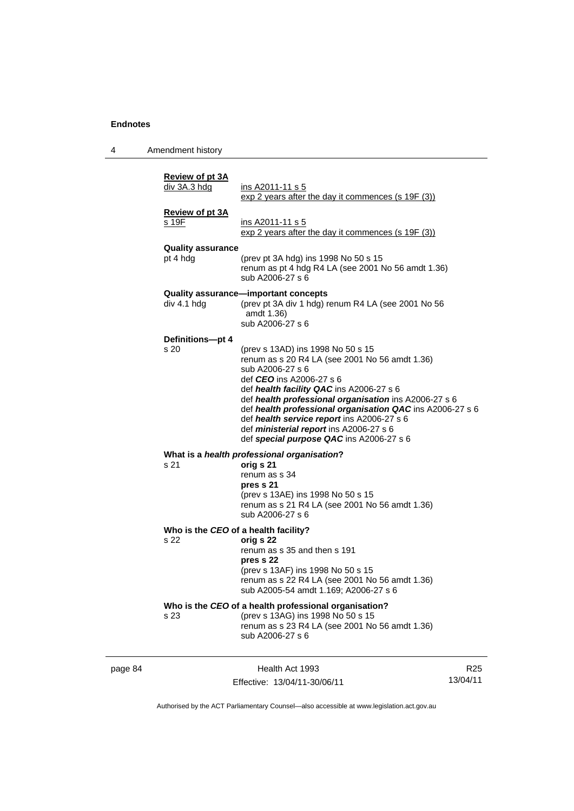| 4       | Amendment history                      |                                                                                                                                                                                                                                                                                                                                                                                                                                            |     |
|---------|----------------------------------------|--------------------------------------------------------------------------------------------------------------------------------------------------------------------------------------------------------------------------------------------------------------------------------------------------------------------------------------------------------------------------------------------------------------------------------------------|-----|
|         | <b>Review of pt 3A</b><br>div 3A.3 hdg | ins A2011-11 s 5<br>$\frac{exp 2 \text{ years}}{exp 2}$ or after the day it commences (s 19F (3))                                                                                                                                                                                                                                                                                                                                          |     |
|         | <b>Review of pt 3A</b><br><u>s 19F</u> | ins A2011-11 s 5<br>exp 2 years after the day it commences (s 19F (3))                                                                                                                                                                                                                                                                                                                                                                     |     |
|         | <b>Quality assurance</b><br>pt 4 hdg   | (prev pt 3A hdg) ins 1998 No 50 s 15<br>renum as pt 4 hdg R4 LA (see 2001 No 56 amdt 1.36)<br>sub A2006-27 s 6                                                                                                                                                                                                                                                                                                                             |     |
|         | div 4.1 h dg                           | Quality assurance—important concepts<br>(prev pt 3A div 1 hdg) renum R4 LA (see 2001 No 56<br>amdt 1.36)<br>sub A2006-27 s 6                                                                                                                                                                                                                                                                                                               |     |
|         | Definitions-pt 4<br>s 20               | (prev s 13AD) ins 1998 No 50 s 15<br>renum as s 20 R4 LA (see 2001 No 56 amdt 1.36)<br>sub A2006-27 s 6<br>def CEO ins A2006-27 s 6<br>def health facility QAC ins A2006-27 s 6<br>def health professional organisation ins A2006-27 s 6<br>def health professional organisation QAC ins A2006-27 s 6<br>def health service report ins A2006-27 s 6<br>def ministerial report ins A2006-27 s 6<br>def special purpose QAC ins A2006-27 s 6 |     |
|         | s 21                                   | What is a health professional organisation?<br>orig s 21<br>renum as s 34<br>pres s 21<br>(prev s 13AE) ins 1998 No 50 s 15<br>renum as s 21 R4 LA (see 2001 No 56 amdt 1.36)<br>sub A2006-27 s 6                                                                                                                                                                                                                                          |     |
|         | s 22                                   | Who is the CEO of a health facility?<br>orig s 22<br>renum as s 35 and then s 191<br>pres s 22<br>(prev s 13AF) ins 1998 No 50 s 15<br>renum as s 22 R4 LA (see 2001 No 56 amdt 1.36)<br>sub A2005-54 amdt 1.169; A2006-27 s 6                                                                                                                                                                                                             |     |
|         | s 23                                   | Who is the CEO of a health professional organisation?<br>(prev s 13AG) ins 1998 No 50 s 15<br>renum as s 23 R4 LA (see 2001 No 56 amdt 1.36)<br>sub A2006-27 s 6                                                                                                                                                                                                                                                                           |     |
| page 84 |                                        | Health Act 1993                                                                                                                                                                                                                                                                                                                                                                                                                            | R25 |

Authorised by the ACT Parliamentary Counsel—also accessible at www.legislation.act.gov.au

Effective: 13/04/11-30/06/11

R25 13/04/11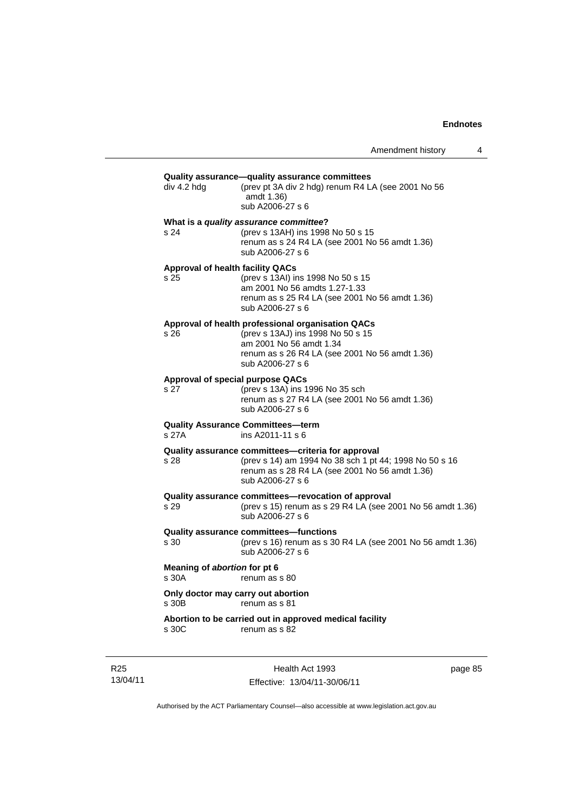| div 4.2 hdg                           | (prev pt 3A div 2 hdg) renum R4 LA (see 2001 No 56<br>amdt 1.36)<br>sub A2006-27 s 6                                                                                                    |
|---------------------------------------|-----------------------------------------------------------------------------------------------------------------------------------------------------------------------------------------|
| s 24                                  | What is a quality assurance committee?<br>(prev s 13AH) ins 1998 No 50 s 15<br>renum as s 24 R4 LA (see 2001 No 56 amdt 1.36)<br>sub A2006-27 s 6                                       |
| s 25                                  | <b>Approval of health facility QACs</b><br>(prev s 13AI) ins 1998 No 50 s 15<br>am 2001 No 56 amdts 1.27-1.33<br>renum as s 25 R4 LA (see 2001 No 56 amdt 1.36)<br>sub A2006-27 s 6     |
| s 26                                  | Approval of health professional organisation QACs<br>(prev s 13AJ) ins 1998 No 50 s 15<br>am 2001 No 56 amdt 1.34<br>renum as s 26 R4 LA (see 2001 No 56 amdt 1.36)<br>sub A2006-27 s 6 |
| s 27                                  | <b>Approval of special purpose QACs</b><br>(prev s 13A) ins 1996 No 35 sch<br>renum as s 27 R4 LA (see 2001 No 56 amdt 1.36)<br>sub A2006-27 s 6                                        |
| s 27A                                 | <b>Quality Assurance Committees-term</b><br>ins A2011-11 s 6                                                                                                                            |
| s 28                                  | Quality assurance committees-criteria for approval<br>(prev s 14) am 1994 No 38 sch 1 pt 44; 1998 No 50 s 16<br>renum as s 28 R4 LA (see 2001 No 56 amdt 1.36)<br>sub A2006-27 s 6      |
| s 29                                  | Quality assurance committees-revocation of approval<br>(prev s 15) renum as s 29 R4 LA (see 2001 No 56 amdt 1.36)<br>sub A2006-27 s 6                                                   |
| s 30                                  | Quality assurance committees—functions<br>(prev s 16) renum as s 30 R4 LA (see 2001 No 56 amdt 1.36)<br>sub A2006-27 s 6                                                                |
| Meaning of abortion for pt 6<br>s 30A | renum as s 80                                                                                                                                                                           |
| s 30B                                 | Only doctor may carry out abortion<br>renum as s 81                                                                                                                                     |
| s 30C                                 | Abortion to be carried out in approved medical facility<br>renum as s 82                                                                                                                |

R25 13/04/11

Health Act 1993 Effective: 13/04/11-30/06/11 page 85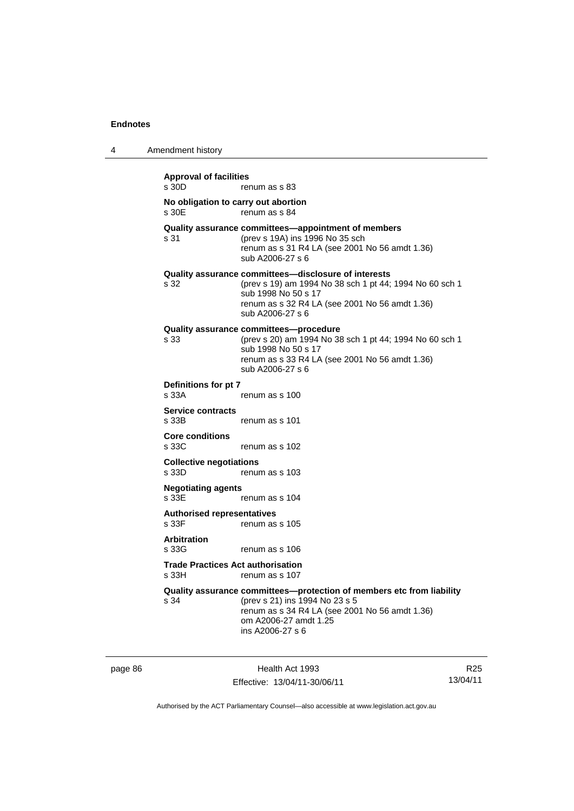| Amendment history                                                                                                                                                                                                    |  |
|----------------------------------------------------------------------------------------------------------------------------------------------------------------------------------------------------------------------|--|
| <b>Approval of facilities</b><br>s 30D<br>renum as s 83                                                                                                                                                              |  |
| No obligation to carry out abortion<br>s 30E<br>renum as s 84                                                                                                                                                        |  |
| Quality assurance committees—appointment of members<br>(prev s 19A) ins 1996 No 35 sch<br>s 31<br>renum as s 31 R4 LA (see 2001 No 56 amdt 1.36)<br>sub A2006-27 s 6                                                 |  |
| Quality assurance committees—disclosure of interests<br>(prev s 19) am 1994 No 38 sch 1 pt 44; 1994 No 60 sch 1<br>s 32<br>sub 1998 No 50 s 17<br>renum as s 32 R4 LA (see 2001 No 56 amdt 1.36)<br>sub A2006-27 s 6 |  |
| Quality assurance committees-procedure<br>s 33<br>(prev s 20) am 1994 No 38 sch 1 pt 44; 1994 No 60 sch 1<br>sub 1998 No 50 s 17<br>renum as s 33 R4 LA (see 2001 No 56 amdt 1.36)<br>sub A2006-27 s 6               |  |
| Definitions for pt 7<br>s 33A<br>renum as s 100                                                                                                                                                                      |  |
| <b>Service contracts</b><br>s 33B<br>renum as s 101                                                                                                                                                                  |  |
| <b>Core conditions</b><br>s 33C<br>renum as s 102                                                                                                                                                                    |  |
| <b>Collective negotiations</b><br>s 33D<br>renum as s 103                                                                                                                                                            |  |
| <b>Negotiating agents</b><br>s 33E<br>renum as s 104                                                                                                                                                                 |  |
| <b>Authorised representatives</b><br>s 33F<br>renum as s 105                                                                                                                                                         |  |
| <b>Arbitration</b><br>s 33G<br>renum as s 106                                                                                                                                                                        |  |
| <b>Trade Practices Act authorisation</b><br>s 33H<br>renum as s 107                                                                                                                                                  |  |
| Quality assurance committees-protection of members etc from liability<br>(prev s 21) ins 1994 No 23 s 5<br>s 34<br>renum as s 34 R4 LA (see 2001 No 56 amdt 1.36)<br>om A2006-27 amdt 1.25<br>ins A2006-27 s 6       |  |
|                                                                                                                                                                                                                      |  |

page 86 **Health Act 1993** Effective: 13/04/11-30/06/11

R25 13/04/11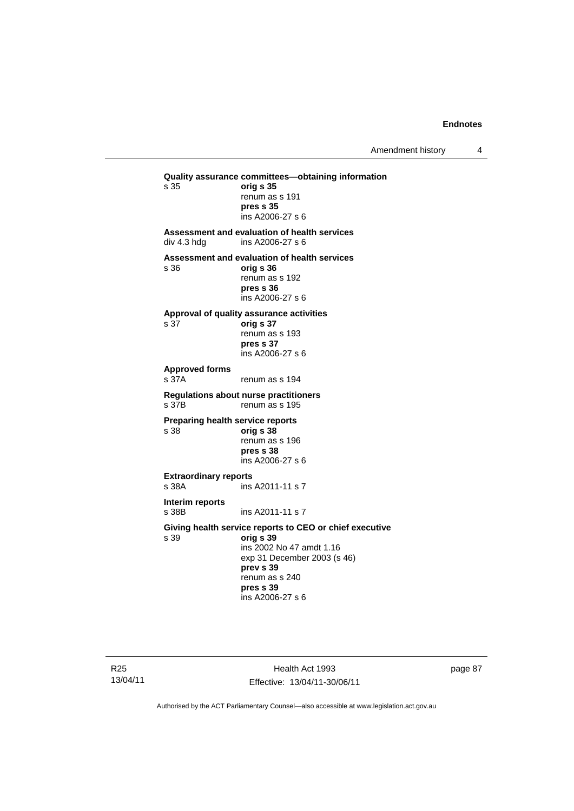Amendment history 4

**Quality assurance committees—obtaining information** s 35 **orig s 35**  renum as s 191 **pres s 35**  ins A2006-27 s 6 **Assessment and evaluation of health services**  div 4.3 hdg ins A2006-27 s 6 **Assessment and evaluation of health services**  s 36 **orig s 36**  renum as s 192 **pres s 36**  ins A2006-27 s 6 **Approval of quality assurance activities**  s 37 **orig s 37**  renum as s 193 **pres s 37**  ins A2006-27 s 6 **Approved forms**  s 37A renum as s 194 **Regulations about nurse practitioners**  s 37B renum as s 195 **Preparing health service reports**  s 38 **orig s 38** renum as s 196 **pres s 38**  ins A2006-27 s 6 **Extraordinary reports**  s 38A ins A2011-11 s 7 **Interim reports**  ins A2011-11 s 7 **Giving health service reports to CEO or chief executive**  s 39 **orig s 39**  ins 2002 No 47 amdt 1.16 exp 31 December 2003 (s 46) **prev s 39**  renum as s 240 **pres s 39**  ins A2006-27 s 6

R25 13/04/11

Health Act 1993 Effective: 13/04/11-30/06/11 page 87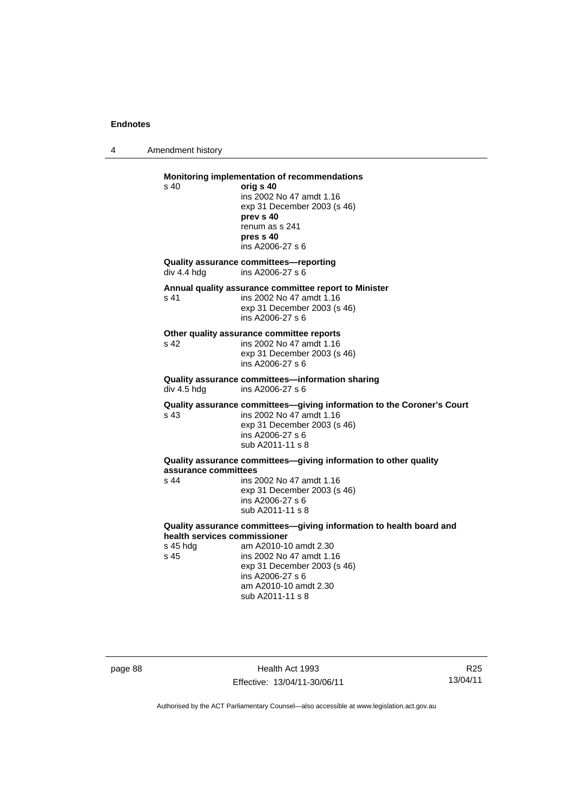4 Amendment history

# **Monitoring implementation of recommendations**

s 40 **orig s 40**  ins 2002 No 47 amdt 1.16 exp 31 December 2003 (s 46) **prev s 40**  renum as s 241 **pres s 40**  ins A2006-27 s 6

# **Quality assurance committees—reporting**  div 4.4 hdg ins A2006-27 s 6

#### **Annual quality assurance committee report to Minister**

s 41 ins 2002 No 47 amdt 1.16 exp 31 December 2003 (s 46) ins A2006-27 s 6

# **Other quality assurance committee reports**<br>s 42 **ins 2002** No 47 amdt 1.16

s 42 ins 2002 No 47 amdt 1.16 exp 31 December 2003 (s 46) ins A2006-27 s 6

#### **Quality assurance committees—information sharing**  div 4.5 hdg ins A2006-27 s 6

**Quality assurance committees—giving information to the Coroner's Court**  s 43 ins 2002 No 47 amdt 1.16

 exp 31 December 2003 (s 46) ins A2006-27 s 6 sub A2011-11 s 8

#### **Quality assurance committees—giving information to other quality assurance committees**  s 44 ins 2002 No 47 amdt 1.16

 exp 31 December 2003 (s 46) ins A2006-27 s 6 sub A2011-11 s 8

# **Quality assurance committees—giving information to health board and health services commissioner**

s 45 hdg am A2010-10 amdt 2.30<br>s 45 ins 2002 No 47 amdt 1.1 ins 2002 No 47 amdt 1.16 exp 31 December 2003 (s 46) ins A2006-27 s 6 am A2010-10 amdt 2.30 sub A2011-11 s 8

| page 88 |  |
|---------|--|
|---------|--|

Health Act 1993 Effective: 13/04/11-30/06/11

R25 13/04/11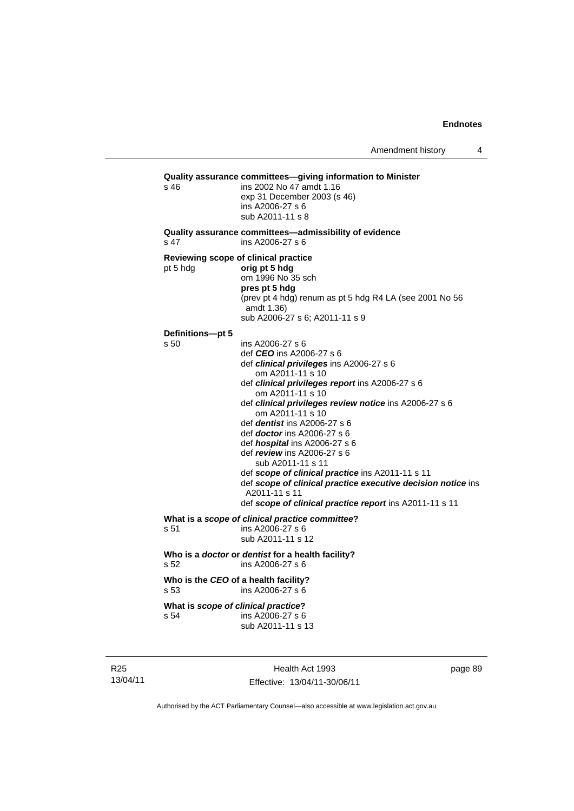Amendment history 4

```
Quality assurance committees—giving information to Minister 
s 46 ins 2002 No 47 amdt 1.16 
                   exp 31 December 2003 (s 46) 
                   ins A2006-27 s 6 
                   sub A2011-11 s 8 
Quality assurance committees—admissibility of evidence 
s 47 ins A2006-27 s 6 
Reviewing scope of clinical practice 
pt 5 hdg orig pt 5 hdg
                   om 1996 No 35 sch 
                  pres pt 5 hdg 
                   (prev pt 4 hdg) renum as pt 5 hdg R4 LA (see 2001 No 56 
                   amdt 1.36) 
                   sub A2006-27 s 6; A2011-11 s 9 
Definitions—pt 5 
                  ins A2006-27 s 6
                   def CEO ins A2006-27 s 6 
                   def clinical privileges ins A2006-27 s 6 
                      om A2011-11 s 10 
                   def clinical privileges report ins A2006-27 s 6 
                      om A2011-11 s 10 
                   def clinical privileges review notice ins A2006-27 s 6 
                      om A2011-11 s 10 
                   def dentist ins A2006-27 s 6 
                   def doctor ins A2006-27 s 6 
                   def hospital ins A2006-27 s 6 
                   def review ins A2006-27 s 6 
                      sub A2011-11 s 11 
                   def scope of clinical practice ins A2011-11 s 11 
                   def scope of clinical practice executive decision notice ins 
                   A2011-11 s 11 
                   def scope of clinical practice report ins A2011-11 s 11 
What is a scope of clinical practice committee? 
s 51 ins A2006-27 s 6 
                  sub A2011-11 s 12 
Who is a doctor or dentist for a health facility? 
s 52 ins A2006-27 s 6 
Who is the CEO of a health facility? 
s 53 ins A2006-27 s 6 
What is scope of clinical practice? 
s 54 ins A2006-27 s 6 
                  sub A2011-11 s 13
```
R25 13/04/11

Health Act 1993 Effective: 13/04/11-30/06/11 page 89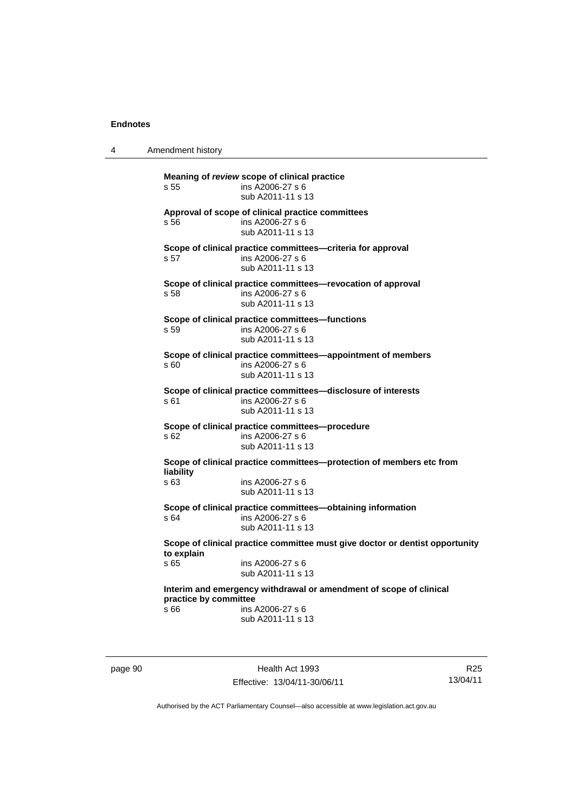4 Amendment history

**Meaning of** *review* **scope of clinical practice**  s 55 ins A2006-27 s 6 sub A2011-11 s 13 **Approval of scope of clinical practice committees**  s 56 ins A2006-27 s 6 sub A2011-11 s 13 **Scope of clinical practice committees—criteria for approval**  s 57 ins A2006-27 s 6 sub A2011-11 s 13 **Scope of clinical practice committees—revocation of approval**  s 58 ins A2006-27 s 6 sub A2011-11 s 13 **Scope of clinical practice committees—functions**  s 59 ins A2006-27 s 6 sub A2011-11 s 13 **Scope of clinical practice committees—appointment of members**  s 60 ins A2006-27 s 6 sub A2011-11 s 13 **Scope of clinical practice committees—disclosure of interests**  s 61 ins A2006-27 s 6 sub A2011-11 s 13 **Scope of clinical practice committees—procedure**  s 62 ins A2006-27 s 6 sub A2011-11 s 13 **Scope of clinical practice committees—protection of members etc from liability**  ins A2006-27 s 6 sub A2011-11 s 13 **Scope of clinical practice committees—obtaining information**  s 64 ins A2006-27 s 6 sub A2011-11 s 13 **Scope of clinical practice committee must give doctor or dentist opportunity to explain**  ins A2006-27 s 6 sub A2011-11 s 13 **Interim and emergency withdrawal or amendment of scope of clinical practice by committee**  ins A2006-27 s 6 sub A2011-11 s 13

page 90 Health Act 1993 Effective: 13/04/11-30/06/11

R25 13/04/11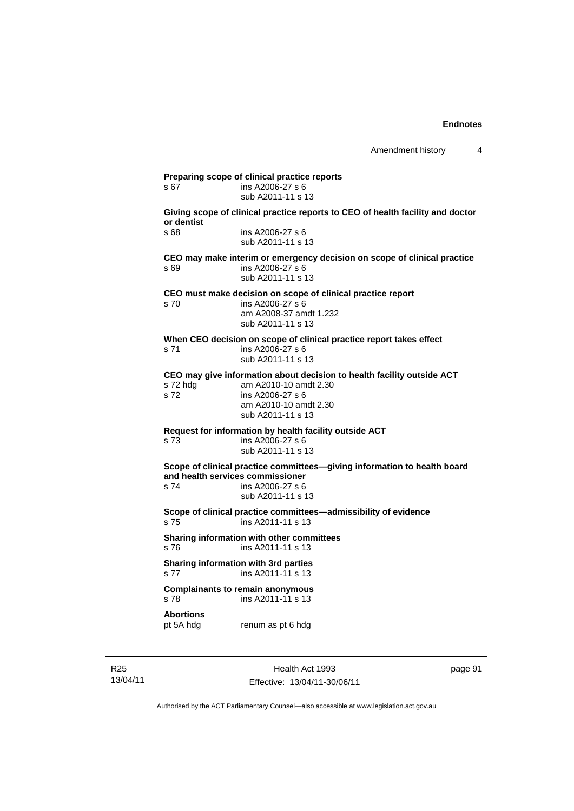|                                  | Preparing scope of clinical practice reports                                                                                   |
|----------------------------------|--------------------------------------------------------------------------------------------------------------------------------|
| s 67                             | ins A2006-27 s 6                                                                                                               |
|                                  | sub A2011-11 s 13                                                                                                              |
| or dentist                       | Giving scope of clinical practice reports to CEO of health facility and doctor                                                 |
| s 68                             | ins A2006-27 s 6<br>sub A2011-11 s 13                                                                                          |
| s 69                             | CEO may make interim or emergency decision on scope of clinical practice<br>ins A2006-27 s 6<br>sub A2011-11 s 13              |
| s 70                             | CEO must make decision on scope of clinical practice report<br>ins A2006-27 s 6<br>am A2008-37 amdt 1.232<br>sub A2011-11 s 13 |
| s 71                             | When CEO decision on scope of clinical practice report takes effect<br>ins A2006-27 s 6<br>sub A2011-11 s 13                   |
|                                  | CEO may give information about decision to health facility outside ACT                                                         |
| s 72 hdg<br>s 72                 | am A2010-10 amdt 2.30<br>ins A2006-27 s 6                                                                                      |
|                                  | am A2010-10 amdt 2.30<br>sub A2011-11 s 13                                                                                     |
|                                  | Request for information by health facility outside ACT                                                                         |
| s 73                             | ins A2006-27 s 6<br>sub A2011-11 s 13                                                                                          |
| and health services commissioner | Scope of clinical practice committees-giving information to health board                                                       |
| s 74                             | ins A2006-27 s 6                                                                                                               |
|                                  | sub A2011-11 s 13                                                                                                              |
| s 75                             | Scope of clinical practice committees-admissibility of evidence<br>ins A2011-11 s 13                                           |
| s76                              | Sharing information with other committees<br>ins A2011-11 s 13                                                                 |
| s 77                             | Sharing information with 3rd parties<br>ins A2011-11 s 13                                                                      |
| s 78                             | <b>Complainants to remain anonymous</b><br>ins A2011-11 s 13                                                                   |
| <b>Abortions</b><br>pt 5A hdg    | renum as pt 6 hdg                                                                                                              |
|                                  |                                                                                                                                |

R25 13/04/11

Health Act 1993 Effective: 13/04/11-30/06/11 page 91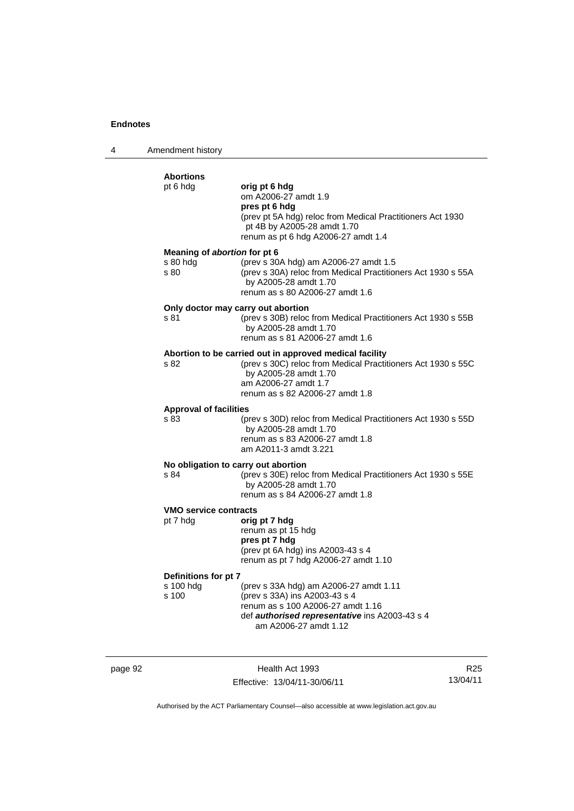4 Amendment history

#### **Abortions**  pt 6 hdg **orig pt 6 hdg**  om A2006-27 amdt 1.9 **pres pt 6 hdg**  (prev pt 5A hdg) reloc from Medical Practitioners Act 1930 pt 4B by A2005-28 amdt 1.70 renum as pt 6 hdg A2006-27 amdt 1.4 **Meaning of** *abortion* **for pt 6**  s 80 hdg (prev s 30A hdg) am A2006-27 amdt 1.5 s 80 (prev s 30A) reloc from Medical Practitioners Act 1930 s 55A by A2005-28 amdt 1.70 renum as s 80 A2006-27 amdt 1.6 **Only doctor may carry out abortion**  s 81 (prev s 30B) reloc from Medical Practitioners Act 1930 s 55B by A2005-28 amdt 1.70 renum as s 81 A2006-27 amdt 1.6 **Abortion to be carried out in approved medical facility**  s 82 (prev s 30C) reloc from Medical Practitioners Act 1930 s 55C by A2005-28 amdt 1.70 am A2006-27 amdt 1.7 renum as s 82 A2006-27 amdt 1.8 **Approval of facilities**  s 83 (prev s 30D) reloc from Medical Practitioners Act 1930 s 55D by A2005-28 amdt 1.70 renum as s 83 A2006-27 amdt 1.8 am A2011-3 amdt 3.221 **No obligation to carry out abortion**  s 84 (prev s 30E) reloc from Medical Practitioners Act 1930 s 55E by A2005-28 amdt 1.70 renum as s 84 A2006-27 amdt 1.8 **VMO service contracts**  pt 7 hdg **orig pt 7 hdg**  renum as pt 15 hdg **pres pt 7 hdg**  (prev pt 6A hdg) ins A2003-43 s 4 renum as pt 7 hdg A2006-27 amdt 1.10 **Definitions for pt 7**  s 100 hdg (prev s 33A hdg) am A2006-27 amdt 1.11 s 100 (prev s 33A) ins A2003-43 s 4 renum as s 100 A2006-27 amdt 1.16 def *authorised representative* ins A2003-43 s 4 am A2006-27 amdt 1.12

page 92 Health Act 1993 Effective: 13/04/11-30/06/11

R25 13/04/11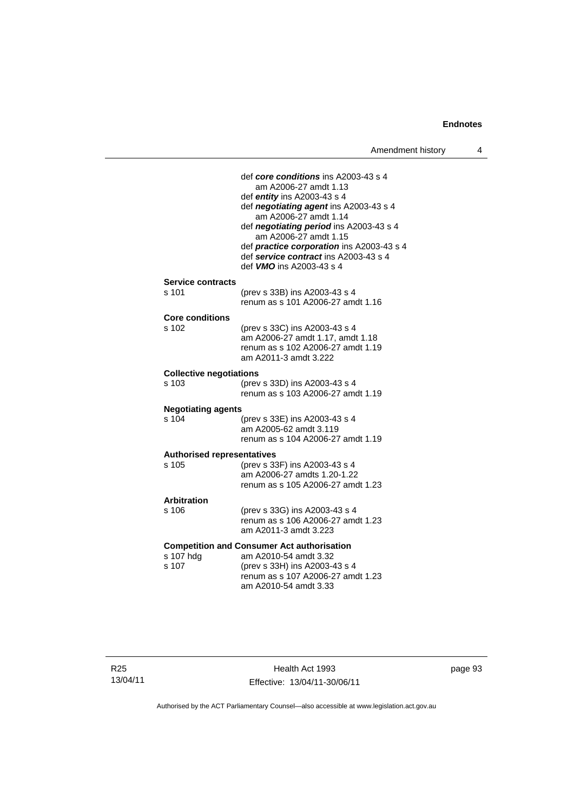|                                            | def core conditions ins A2003-43 s 4<br>am A2006-27 amdt 1.13<br>def $entity$ ins A2003-43 s 4<br>def negotiating agent ins A2003-43 s 4<br>am A2006-27 amdt 1.14<br>def negotiating period ins A2003-43 s 4<br>am A2006-27 amdt 1.15<br>def practice corporation ins A2003-43 s 4<br>def service contract ins A2003-43 s 4<br>def <b>VMO</b> ins A2003-43 s 4 |
|--------------------------------------------|----------------------------------------------------------------------------------------------------------------------------------------------------------------------------------------------------------------------------------------------------------------------------------------------------------------------------------------------------------------|
| <b>Service contracts</b><br>s 101          | (prev s 33B) ins A2003-43 s 4<br>renum as s 101 A2006-27 amdt 1.16                                                                                                                                                                                                                                                                                             |
| <b>Core conditions</b><br>s 102            | (prev s 33C) ins A2003-43 s 4<br>am A2006-27 amdt 1.17, amdt 1.18<br>renum as s 102 A2006-27 amdt 1.19<br>am A2011-3 amdt 3.222                                                                                                                                                                                                                                |
| <b>Collective negotiations</b><br>s 103    | (prev s 33D) ins A2003-43 s 4<br>renum as s 103 A2006-27 amdt 1.19                                                                                                                                                                                                                                                                                             |
| <b>Negotiating agents</b><br>s.104         | (prev s 33E) ins A2003-43 s 4<br>am A2005-62 amdt 3.119<br>renum as s 104 A2006-27 amdt 1.19                                                                                                                                                                                                                                                                   |
| <b>Authorised representatives</b><br>s 105 | (prev s 33F) ins A2003-43 s 4<br>am A2006-27 amdts 1.20-1.22<br>renum as s 105 A2006-27 amdt 1.23                                                                                                                                                                                                                                                              |
| <b>Arbitration</b><br>s 106                | (prev s 33G) ins A2003-43 s 4                                                                                                                                                                                                                                                                                                                                  |
|                                            | renum as s 106 A2006-27 amdt 1.23<br>am A2011-3 amdt 3.223                                                                                                                                                                                                                                                                                                     |
| s 107 hdg<br>s 107                         | <b>Competition and Consumer Act authorisation</b><br>am A2010-54 amdt 3.32<br>(prev s 33H) ins A2003-43 s 4<br>renum as s 107 A2006-27 amdt 1.23<br>am A2010-54 amdt 3.33                                                                                                                                                                                      |

page 93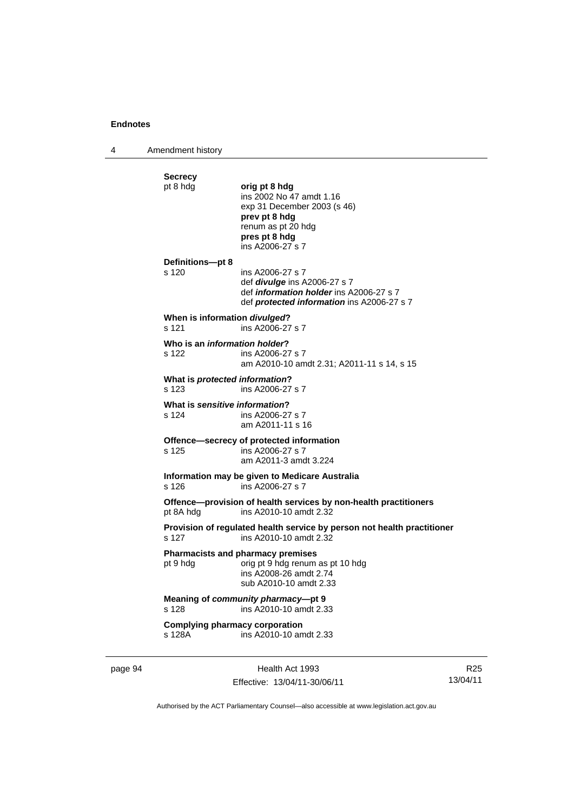4 Amendment history

```
Secrecy 
pt 8 hdg orig pt 8 hdg 
                 ins 2002 No 47 amdt 1.16 
                  exp 31 December 2003 (s 46) 
                 prev pt 8 hdg 
                 renum as pt 20 hdg 
                 pres pt 8 hdg 
                  ins A2006-27 s 7 
Definitions—pt 8 
s 120 ins A2006-27 s 7 
                  def divulge ins A2006-27 s 7 
                  def information holder ins A2006-27 s 7 
                  def protected information ins A2006-27 s 7 
When is information divulged? 
s 121 ins A2006-27 s 7
Who is an information holder? 
s 122 ins A2006-27 s 7 
                 am A2010-10 amdt 2.31; A2011-11 s 14, s 15 
What is protected information? 
s 123 ins A2006-27 s 7 
What is sensitive information? 
s 124 ins A2006-27 s 7 
                  am A2011-11 s 16 
Offence—secrecy of protected information 
s 125 ins A2006-27 s 7 
                  am A2011-3 amdt 3.224 
Information may be given to Medicare Australia 
s 126 ins A2006-27 s 7 
Offence—provision of health services by non-health practitioners 
pt 8A hdg ins A2010-10 amdt 2.32 
Provision of regulated health service by person not health practitioner 
s 127 ins A2010-10 amdt 2.32 
Pharmacists and pharmacy premises 
pt 9 hdg orig pt 9 hdg renum as pt 10 hdg
                  ins A2008-26 amdt 2.74 
                  sub A2010-10 amdt 2.33 
Meaning of community pharmacy—pt 9 
s 128 ins A2010-10 amdt 2.33 
Complying pharmacy corporation 
s 128A ins A2010-10 amdt 2.33
```
page 94 **Health Act 1993** Effective: 13/04/11-30/06/11

R25 13/04/11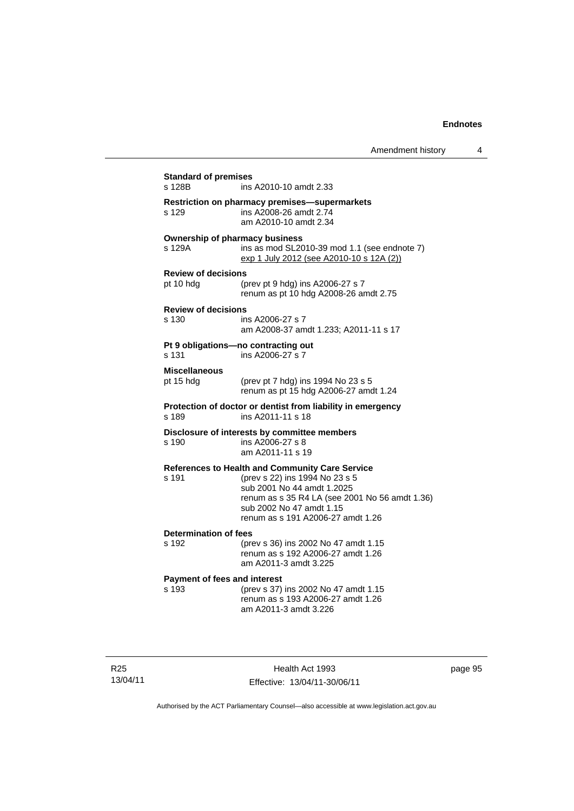| s 128B                                          | ins A2010-10 amdt 2.33                                                                                                                                                                                                                    |
|-------------------------------------------------|-------------------------------------------------------------------------------------------------------------------------------------------------------------------------------------------------------------------------------------------|
| s 129                                           | Restriction on pharmacy premises-supermarkets<br>ins A2008-26 amdt 2.74<br>am A2010-10 amdt 2.34                                                                                                                                          |
| <b>Ownership of pharmacy business</b><br>s 129A | ins as mod SL2010-39 mod 1.1 (see endnote 7)<br>exp 1 July 2012 (see A2010-10 s 12A (2))                                                                                                                                                  |
| <b>Review of decisions</b><br>pt 10 hdg         | (prev pt 9 hdg) ins A2006-27 s 7<br>renum as pt 10 hdg A2008-26 amdt 2.75                                                                                                                                                                 |
| <b>Review of decisions</b><br>s 130             | ins A2006-27 s 7<br>am A2008-37 amdt 1.233; A2011-11 s 17                                                                                                                                                                                 |
| s 131                                           | Pt 9 obligations-no contracting out<br>ins A2006-27 s 7                                                                                                                                                                                   |
| <b>Miscellaneous</b><br>pt 15 hdg               | (prev pt 7 hdg) ins 1994 No 23 s 5<br>renum as pt 15 hdg A2006-27 amdt 1.24                                                                                                                                                               |
| s 189                                           | Protection of doctor or dentist from liability in emergency<br>ins A2011-11 s 18                                                                                                                                                          |
| s 190                                           | Disclosure of interests by committee members<br>ins A2006-27 s 8<br>am A2011-11 s 19                                                                                                                                                      |
| s 191                                           | <b>References to Health and Community Care Service</b><br>(prev s 22) ins 1994 No 23 s 5<br>sub 2001 No 44 amdt 1.2025<br>renum as s 35 R4 LA (see 2001 No 56 amdt 1.36)<br>sub 2002 No 47 amdt 1.15<br>renum as s 191 A2006-27 amdt 1.26 |
| Determination of fees<br>s 192                  | (prev s 36) ins 2002 No 47 amdt 1.15<br>renum as s 192 A2006-27 amdt 1.26<br>am A2011-3 amdt 3.225                                                                                                                                        |
| <b>Payment of fees and interest</b><br>s 193    | (prev s 37) ins 2002 No 47 amdt 1.15<br>renum as s 193 A2006-27 amdt 1.26<br>am A2011-3 amdt 3.226                                                                                                                                        |

R25 13/04/11

Health Act 1993 Effective: 13/04/11-30/06/11 page 95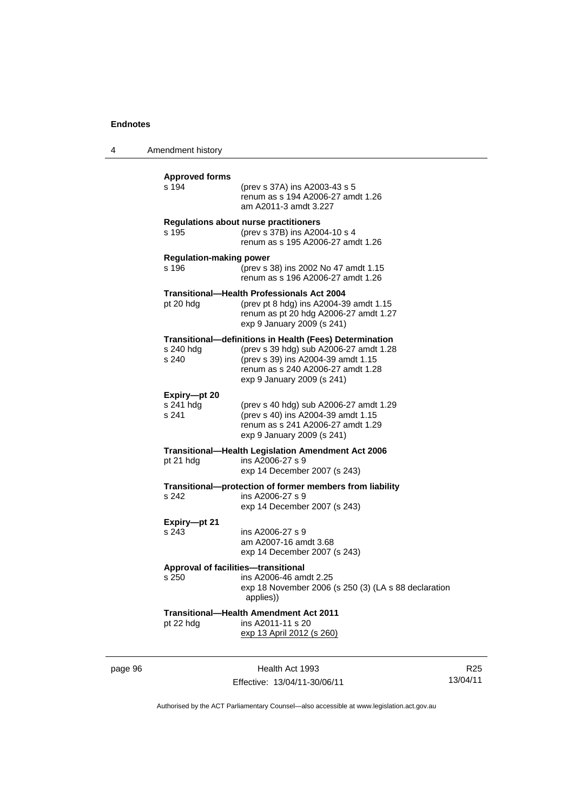4 Amendment history

|         | <b>Approved forms</b><br>s 194          | (prev s 37A) ins A2003-43 s 5<br>renum as s 194 A2006-27 amdt 1.26<br>am A2011-3 amdt 3.227                                                                                                                |
|---------|-----------------------------------------|------------------------------------------------------------------------------------------------------------------------------------------------------------------------------------------------------------|
|         | s 195                                   | <b>Regulations about nurse practitioners</b><br>(prev s 37B) ins A2004-10 s 4<br>renum as s 195 A2006-27 amdt 1.26                                                                                         |
|         | <b>Regulation-making power</b><br>s 196 | (prev s 38) ins 2002 No 47 amdt 1.15<br>renum as s 196 A2006-27 amdt 1.26                                                                                                                                  |
|         | pt 20 hdg                               | Transitional—Health Professionals Act 2004<br>(prev pt 8 hdg) ins A2004-39 amdt 1.15<br>renum as pt 20 hdg A2006-27 amdt 1.27<br>exp 9 January 2009 (s 241)                                                |
|         | s 240 hdg<br>s 240                      | Transitional-definitions in Health (Fees) Determination<br>(prev s 39 hdg) sub A2006-27 amdt 1.28<br>(prev s 39) ins A2004-39 amdt 1.15<br>renum as s 240 A2006-27 amdt 1.28<br>exp 9 January 2009 (s 241) |
|         | Expiry-pt 20<br>s 241 hdg<br>s 241      | (prev s 40 hdg) sub A2006-27 amdt 1.29<br>(prev s 40) ins A2004-39 amdt 1.15<br>renum as s 241 A2006-27 amdt 1.29<br>exp 9 January 2009 (s 241)                                                            |
|         | pt 21 hdg                               | Transitional-Health Legislation Amendment Act 2006<br>ins A2006-27 s 9<br>exp 14 December 2007 (s 243)                                                                                                     |
|         | s 242                                   | Transitional-protection of former members from liability<br>ins A2006-27 s 9<br>exp 14 December 2007 (s 243)                                                                                               |
|         | Expiry-pt 21<br>s 243                   | ins A2006-27 s 9<br>am A2007-16 amdt 3.68<br>exp 14 December 2007 (s 243)                                                                                                                                  |
|         | s 250                                   | Approval of facilities—transitional<br>ins A2006-46 amdt 2.25<br>exp 18 November 2006 (s 250 (3) (LA s 88 declaration<br>applies))                                                                         |
|         | pt 22 hdg                               | Transitional—Health Amendment Act 2011<br>ins A2011-11 s 20<br>exp 13 April 2012 (s 260)                                                                                                                   |
| page 96 |                                         | Health Act 1993                                                                                                                                                                                            |

Effective: 13/04/11-30/06/11

R25 13/04/11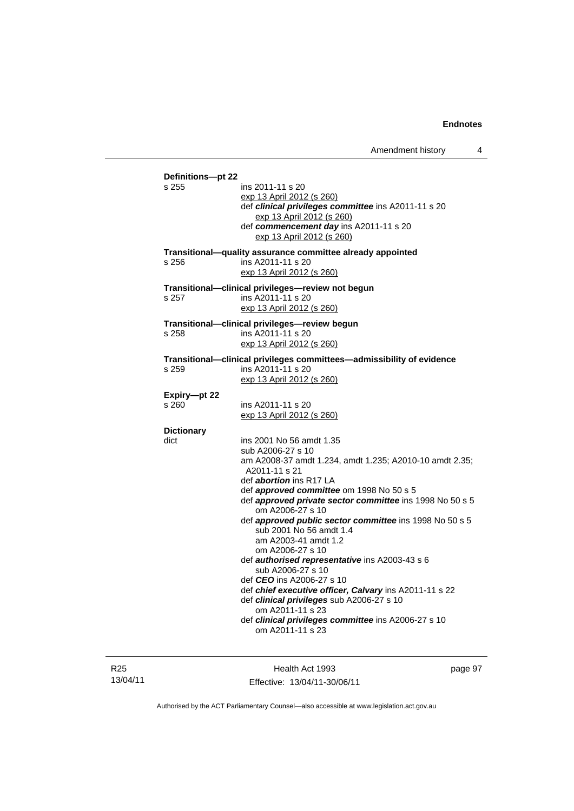| Definitions-pt 22 |                                                                                  |
|-------------------|----------------------------------------------------------------------------------|
| s 255             | ins 2011-11 s 20                                                                 |
|                   | exp 13 April 2012 (s 260)<br>def clinical privileges committee ins A2011-11 s 20 |
|                   | exp 13 April 2012 (s 260)                                                        |
|                   | def commencement day ins A2011-11 s 20                                           |
|                   | exp 13 April 2012 (s 260)                                                        |
|                   | Transitional-quality assurance committee already appointed                       |
| s 256             | ins A2011-11 s 20                                                                |
|                   | exp 13 April 2012 (s 260)                                                        |
|                   | Transitional-clinical privileges-review not begun                                |
| s 257             | ins A2011-11 s 20                                                                |
|                   | exp 13 April 2012 (s 260)                                                        |
|                   | Transitional-clinical privileges-review begun                                    |
| s 258             | ins A2011-11 s 20                                                                |
|                   | exp 13 April 2012 (s 260)                                                        |
|                   | Transitional-clinical privileges committees-admissibility of evidence            |
| s 259             | ins A2011-11 s 20                                                                |
|                   | exp 13 April 2012 (s 260)                                                        |
| Expiry-pt 22      |                                                                                  |
| s 260             | ins A2011-11 s 20                                                                |
|                   | exp 13 April 2012 (s 260)                                                        |
| <b>Dictionary</b> |                                                                                  |
| dict              | ins 2001 No 56 amdt 1.35                                                         |
|                   | sub A2006-27 s 10                                                                |
|                   | am A2008-37 amdt 1.234, amdt 1.235; A2010-10 amdt 2.35;                          |
|                   | A2011-11 s 21<br>def <i>abortion</i> ins R17 LA                                  |
|                   | def approved committee om 1998 No 50 s 5                                         |
|                   | def approved private sector committee ins 1998 No 50 s 5<br>om A2006-27 s 10     |
|                   | def approved public sector committee ins 1998 No 50 s 5                          |
|                   | sub 2001 No 56 amdt 1.4                                                          |
|                   | am A2003-41 amdt 1.2                                                             |
|                   | om A2006-27 s 10                                                                 |
|                   | def authorised representative ins A2003-43 s 6                                   |
|                   | sub A2006-27 s 10                                                                |
|                   | def CEO ins A2006-27 s 10                                                        |
|                   | def chief executive officer, Calvary ins A2011-11 s 22                           |
|                   | def clinical privileges sub A2006-27 s 10<br>om A2011-11 s 23                    |
|                   | def clinical privileges committee ins A2006-27 s 10                              |
|                   |                                                                                  |

R25 13/04/11

Health Act 1993 Effective: 13/04/11-30/06/11 page 97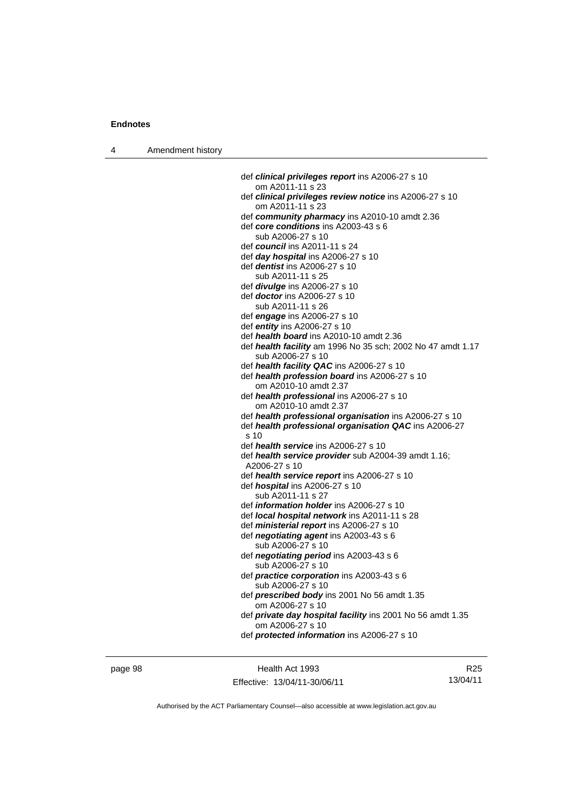4 Amendment history

| def <i>clinical privileges report</i> ins A2006-27 s 10                        |
|--------------------------------------------------------------------------------|
| om A2011-11 s 23                                                               |
| def clinical privileges review notice ins A2006-27 s 10<br>om A2011-11 s 23    |
| def community pharmacy ins A2010-10 amdt 2.36                                  |
| def core conditions ins A2003-43 s 6                                           |
| sub A2006-27 s 10                                                              |
| def council ins A2011-11 s 24                                                  |
| def day hospital ins A2006-27 s 10                                             |
| def <i>dentist</i> ins A2006-27 s 10                                           |
| sub A2011-11 s 25                                                              |
| def <i>divulge</i> ins A2006-27 s 10                                           |
| def <i>doctor</i> ins A2006-27 s 10                                            |
| sub A2011-11 s 26                                                              |
| def engage ins A2006-27 s 10                                                   |
| def entity ins A2006-27 s 10                                                   |
| def health board ins A2010-10 amdt 2.36                                        |
| def health facility am 1996 No 35 sch; 2002 No 47 amdt 1.17                    |
| sub A2006-27 s 10                                                              |
| def health facility QAC ins A2006-27 s 10                                      |
| def health profession board ins A2006-27 s 10                                  |
| om A2010-10 amdt 2.37                                                          |
| def health professional ins A2006-27 s 10                                      |
| om A2010-10 amdt 2.37                                                          |
| def health professional organisation ins A2006-27 s 10                         |
| def health professional organisation QAC ins A2006-27                          |
| s 10                                                                           |
| def health service ins A2006-27 s 10                                           |
| def health service provider sub A2004-39 amdt 1.16;                            |
| A2006-27 s 10                                                                  |
| def health service report ins A2006-27 s 10                                    |
| def hospital ins A2006-27 s 10                                                 |
| sub A2011-11 s 27                                                              |
| def <i>information holder</i> ins A2006-27 s 10                                |
| def local hospital network ins A2011-11 s 28                                   |
| def ministerial report ins A2006-27 s 10                                       |
| def negotiating agent ins A2003-43 s 6                                         |
| sub A2006-27 s 10                                                              |
| def negotiating period ins A2003-43 s 6                                        |
| sub A2006-27 s 10                                                              |
| def practice corporation ins A2003-43 s 6                                      |
| sub A2006-27 s 10                                                              |
| def prescribed body ins 2001 No 56 amdt 1.35<br>om A2006-27 s 10               |
| def private day hospital facility ins 2001 No 56 amdt 1.35<br>om A2006-27 s 10 |
| def <b>protected information</b> ins A2006-27 s 10                             |
|                                                                                |
|                                                                                |

page 98 Health Act 1993 Effective: 13/04/11-30/06/11

R25 13/04/11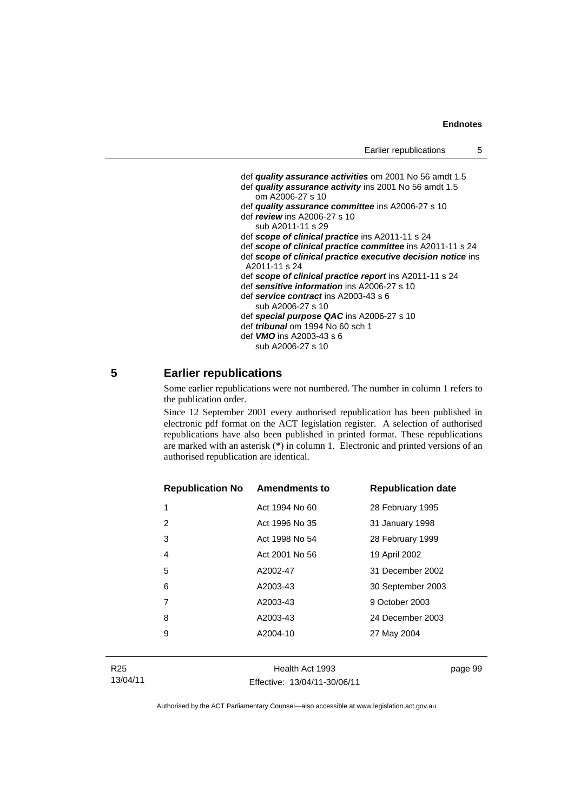```
 def quality assurance activities om 2001 No 56 amdt 1.5 
 def quality assurance activity ins 2001 No 56 amdt 1.5 
    om A2006-27 s 10 
 def quality assurance committee ins A2006-27 s 10 
 def review ins A2006-27 s 10 
    sub A2011-11 s 29 
 def scope of clinical practice ins A2011-11 s 24 
 def scope of clinical practice committee ins A2011-11 s 24 
 def scope of clinical practice executive decision notice ins 
 A2011-11 s 24 
 def scope of clinical practice report ins A2011-11 s 24 
 def sensitive information ins A2006-27 s 10 
 def service contract ins A2003-43 s 6 
    sub A2006-27 s 10 
 def special purpose QAC ins A2006-27 s 10 
 def tribunal om 1994 No 60 sch 1 
 def VMO ins A2003-43 s 6 
    sub A2006-27 s 10
```
# **5 Earlier republications**

Some earlier republications were not numbered. The number in column 1 refers to the publication order.

Since 12 September 2001 every authorised republication has been published in electronic pdf format on the ACT legislation register. A selection of authorised republications have also been published in printed format. These republications are marked with an asterisk (\*) in column 1. Electronic and printed versions of an authorised republication are identical.

| <b>Republication No</b> | <b>Amendments to</b> | <b>Republication date</b> |
|-------------------------|----------------------|---------------------------|
| 1                       | Act 1994 No 60       | 28 February 1995          |
| 2                       | Act 1996 No 35       | 31 January 1998           |
| 3                       | Act 1998 No 54       | 28 February 1999          |
| $\overline{4}$          | Act 2001 No 56       | 19 April 2002             |
| 5                       | A2002-47             | 31 December 2002          |
| 6                       | A2003-43             | 30 September 2003         |
| 7                       | A2003-43             | 9 October 2003            |
| 8                       | A2003-43             | 24 December 2003          |
| 9                       | A2004-10             | 27 May 2004               |
|                         |                      |                           |

Health Act 1993 Effective: 13/04/11-30/06/11 page 99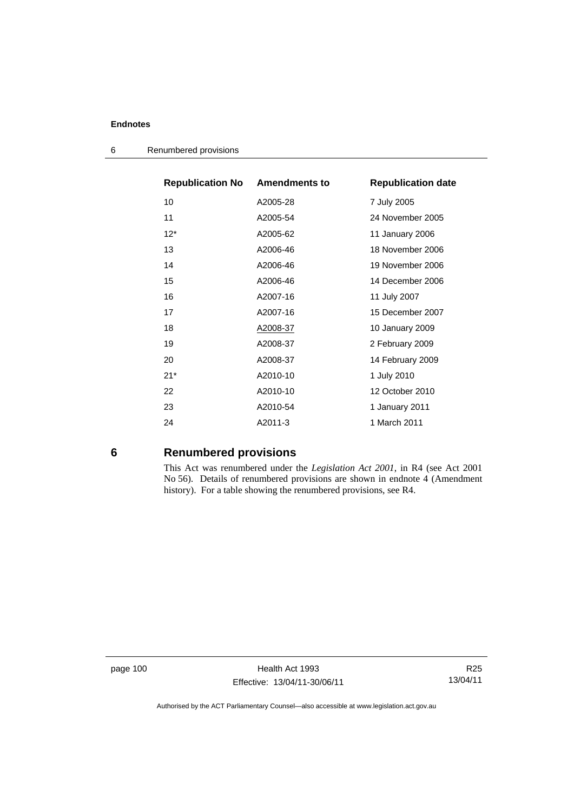| <b>Republication No</b> | <b>Amendments to</b> | <b>Republication date</b> |
|-------------------------|----------------------|---------------------------|
| 10                      | A2005-28             | 7 July 2005               |
| 11                      | A2005-54             | 24 November 2005          |
| $12*$                   | A2005-62             | 11 January 2006           |
| 13                      | A2006-46             | 18 November 2006          |
| 14                      | A2006-46             | 19 November 2006          |
| 15                      | A2006-46             | 14 December 2006          |
| 16                      | A2007-16             | 11 July 2007              |
| 17                      | A2007-16             | 15 December 2007          |
| 18                      | A2008-37             | 10 January 2009           |
| 19                      | A2008-37             | 2 February 2009           |
| 20                      | A2008-37             | 14 February 2009          |
| $21*$                   | A2010-10             | 1 July 2010               |
| 22                      | A2010-10             | 12 October 2010           |
| 23                      | A2010-54             | 1 January 2011            |
| 24                      | A2011-3              | 1 March 2011              |

6 Renumbered provisions

# **6 Renumbered provisions**

This Act was renumbered under the *Legislation Act 2001*, in R4 (see Act 2001 No 56). Details of renumbered provisions are shown in endnote 4 (Amendment history). For a table showing the renumbered provisions, see R4.

page 100 **Health Act 1993** Effective: 13/04/11-30/06/11

R25 13/04/11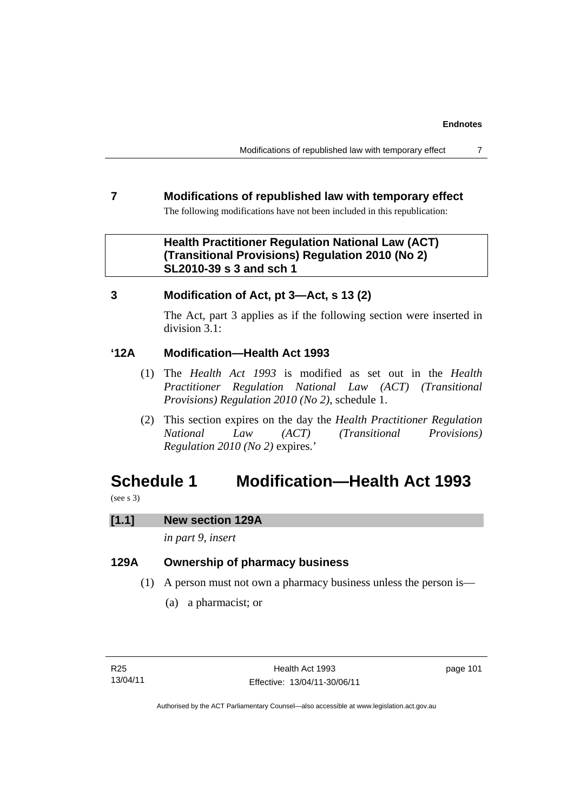Modifications of republished law with temporary effect 7

## **7 Modifications of republished law with temporary effect**

The following modifications have not been included in this republication:

## **Health Practitioner Regulation National Law (ACT) (Transitional Provisions) Regulation 2010 (No 2) SL2010-39 s 3 and sch 1**

## **3 Modification of Act, pt 3—Act, s 13 (2)**

The Act, part 3 applies as if the following section were inserted in division 3.1:

## **'12A Modification—Health Act 1993**

- (1) The *Health Act 1993* is modified as set out in the *Health Practitioner Regulation National Law (ACT) (Transitional Provisions) Regulation 2010 (No 2)*, schedule 1.
- (2) This section expires on the day the *Health Practitioner Regulation National Law (ACT) (Transitional Provisions) Regulation 2010 (No 2)* expires.'

# **Schedule 1 Modification—Health Act 1993**

(see s 3)

## **[1.1] New section 129A**

*in part 9, insert* 

## **129A Ownership of pharmacy business**

- (1) A person must not own a pharmacy business unless the person is—
	- (a) a pharmacist; or

page 101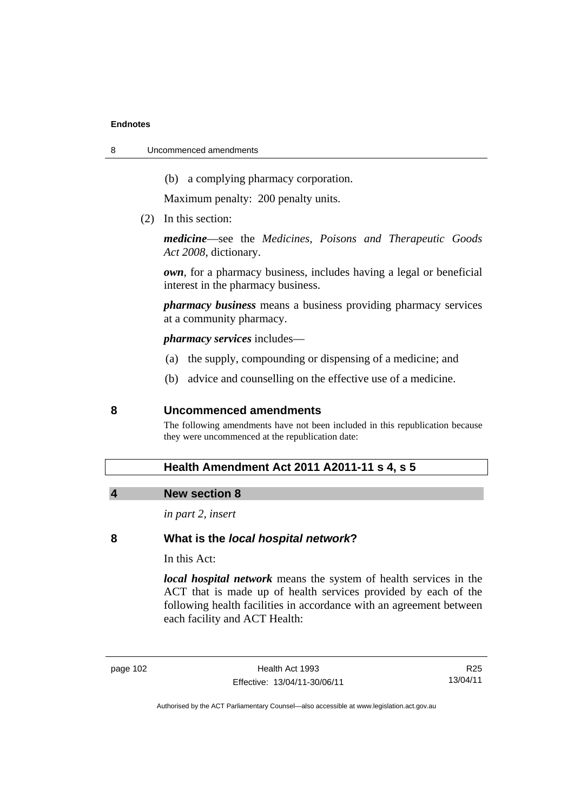8 Uncommenced amendments

(b) a complying pharmacy corporation.

Maximum penalty: 200 penalty units.

(2) In this section:

*medicine*—see the *Medicines, Poisons and Therapeutic Goods Act 2008*, dictionary.

*own*, for a pharmacy business, includes having a legal or beneficial interest in the pharmacy business.

*pharmacy business* means a business providing pharmacy services at a community pharmacy.

*pharmacy services* includes—

- (a) the supply, compounding or dispensing of a medicine; and
- (b) advice and counselling on the effective use of a medicine.

### **8 Uncommenced amendments**

The following amendments have not been included in this republication because they were uncommenced at the republication date:

## **Health Amendment Act 2011 A2011-11 s 4, s 5**

## **4 New section 8**

*in part 2, insert* 

### **8 What is the** *local hospital network***?**

In this Act:

*local hospital network* means the system of health services in the ACT that is made up of health services provided by each of the following health facilities in accordance with an agreement between each facility and ACT Health:

page 102 **Health Act 1993** Effective: 13/04/11-30/06/11

R25 13/04/11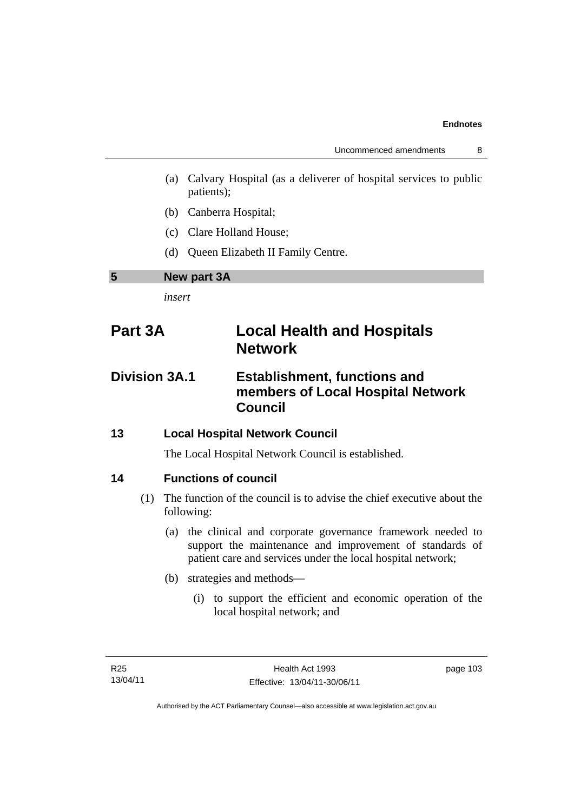- (a) Calvary Hospital (as a deliverer of hospital services to public patients);
- (b) Canberra Hospital;
- (c) Clare Holland House;
- (d) Queen Elizabeth II Family Centre.

## **5 New part 3A**

*insert* 

# **Part 3A Local Health and Hospitals Network**

## **Division 3A.1 Establishment, functions and members of Local Hospital Network Council**

## **13 Local Hospital Network Council**

The Local Hospital Network Council is established.

## **14 Functions of council**

- (1) The function of the council is to advise the chief executive about the following:
	- (a) the clinical and corporate governance framework needed to support the maintenance and improvement of standards of patient care and services under the local hospital network;
	- (b) strategies and methods—
		- (i) to support the efficient and economic operation of the local hospital network; and

page 103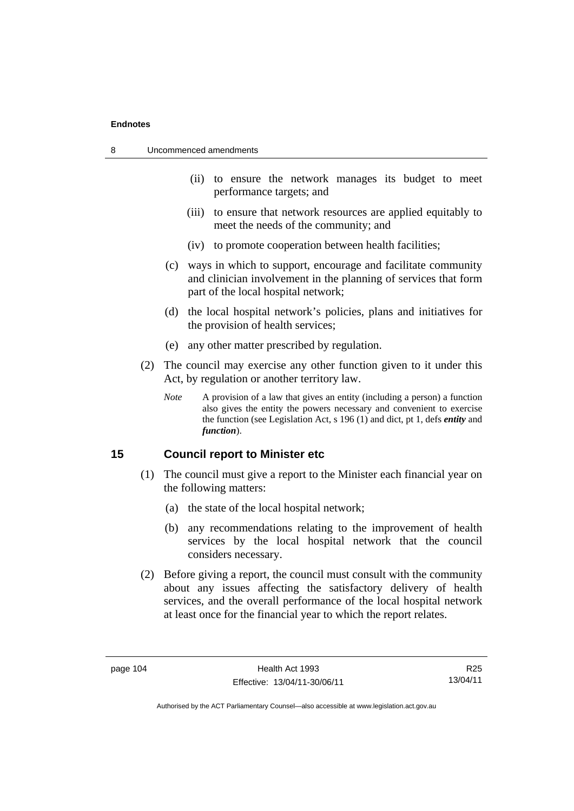| 8 | Uncommenced amendments |
|---|------------------------|
|---|------------------------|

- (ii) to ensure the network manages its budget to meet performance targets; and
- (iii) to ensure that network resources are applied equitably to meet the needs of the community; and
- (iv) to promote cooperation between health facilities;
- (c) ways in which to support, encourage and facilitate community and clinician involvement in the planning of services that form part of the local hospital network;
- (d) the local hospital network's policies, plans and initiatives for the provision of health services;
- (e) any other matter prescribed by regulation.
- (2) The council may exercise any other function given to it under this Act, by regulation or another territory law.
	- *Note* A provision of a law that gives an entity (including a person) a function also gives the entity the powers necessary and convenient to exercise the function (see Legislation Act, s 196 (1) and dict, pt 1, defs *entity* and *function*).

#### **15 Council report to Minister etc**

- (1) The council must give a report to the Minister each financial year on the following matters:
	- (a) the state of the local hospital network;
	- (b) any recommendations relating to the improvement of health services by the local hospital network that the council considers necessary.
- (2) Before giving a report, the council must consult with the community about any issues affecting the satisfactory delivery of health services, and the overall performance of the local hospital network at least once for the financial year to which the report relates.

R25 13/04/11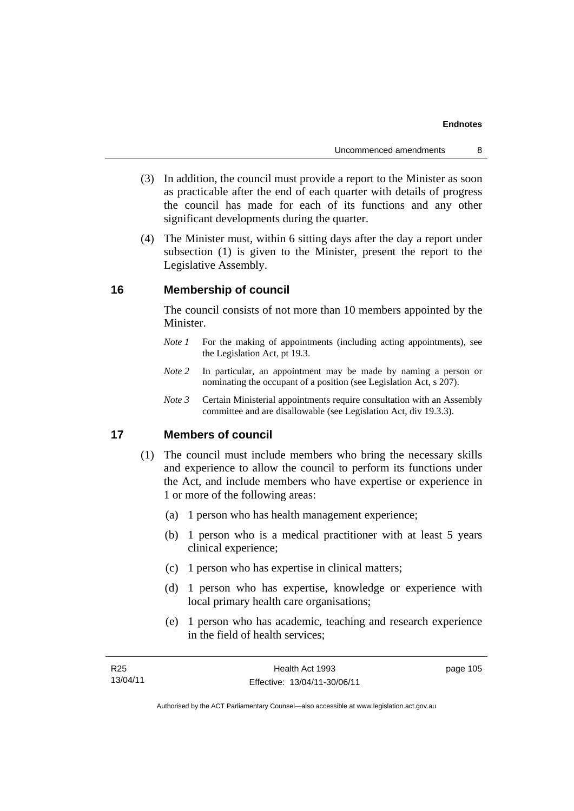- (3) In addition, the council must provide a report to the Minister as soon as practicable after the end of each quarter with details of progress the council has made for each of its functions and any other significant developments during the quarter.
- (4) The Minister must, within 6 sitting days after the day a report under subsection (1) is given to the Minister, present the report to the Legislative Assembly.

## **16 Membership of council**

The council consists of not more than 10 members appointed by the Minister.

- *Note 1* For the making of appointments (including acting appointments), see the Legislation Act, pt 19.3.
- *Note 2* In particular, an appointment may be made by naming a person or nominating the occupant of a position (see Legislation Act, s 207).
- *Note 3* Certain Ministerial appointments require consultation with an Assembly committee and are disallowable (see Legislation Act, div 19.3.3).

## **17 Members of council**

- (1) The council must include members who bring the necessary skills and experience to allow the council to perform its functions under the Act, and include members who have expertise or experience in 1 or more of the following areas:
	- (a) 1 person who has health management experience;
	- (b) 1 person who is a medical practitioner with at least 5 years clinical experience;
	- (c) 1 person who has expertise in clinical matters;
	- (d) 1 person who has expertise, knowledge or experience with local primary health care organisations;
	- (e) 1 person who has academic, teaching and research experience in the field of health services;

| R <sub>25</sub> | Health Act 1993              | page 105 |
|-----------------|------------------------------|----------|
| 13/04/11        | Effective: 13/04/11-30/06/11 |          |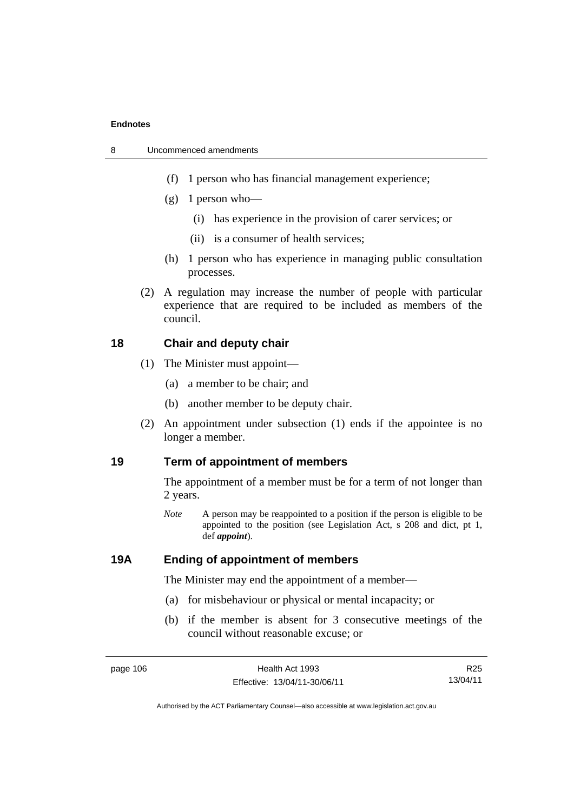- 8 Uncommenced amendments
	- (f) 1 person who has financial management experience;
	- $(g)$  1 person who—
		- (i) has experience in the provision of carer services; or
		- (ii) is a consumer of health services;
	- (h) 1 person who has experience in managing public consultation processes.
	- (2) A regulation may increase the number of people with particular experience that are required to be included as members of the council.

### **18 Chair and deputy chair**

- (1) The Minister must appoint—
	- (a) a member to be chair; and
	- (b) another member to be deputy chair.
- (2) An appointment under subsection (1) ends if the appointee is no longer a member.

## **19 Term of appointment of members**

The appointment of a member must be for a term of not longer than 2 years.

*Note* A person may be reappointed to a position if the person is eligible to be appointed to the position (see Legislation Act, s 208 and dict, pt 1, def *appoint*).

## **19A Ending of appointment of members**

The Minister may end the appointment of a member—

- (a) for misbehaviour or physical or mental incapacity; or
- (b) if the member is absent for 3 consecutive meetings of the council without reasonable excuse; or

R25 13/04/11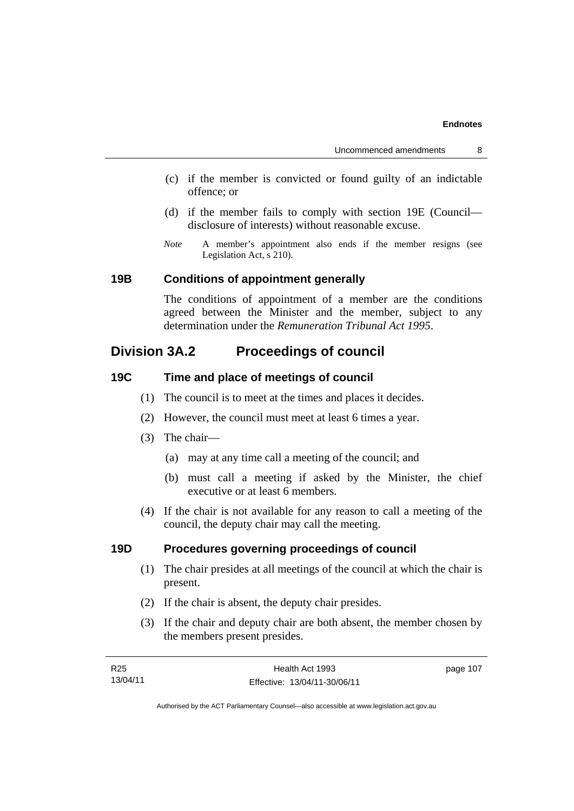- (c) if the member is convicted or found guilty of an indictable offence; or
- (d) if the member fails to comply with section 19E (Council disclosure of interests) without reasonable excuse.
- *Note* A member's appointment also ends if the member resigns (see Legislation Act, s 210).

## **19B Conditions of appointment generally**

The conditions of appointment of a member are the conditions agreed between the Minister and the member, subject to any determination under the *Remuneration Tribunal Act 1995*.

## **Division 3A.2 Proceedings of council**

## **19C Time and place of meetings of council**

- (1) The council is to meet at the times and places it decides.
- (2) However, the council must meet at least 6 times a year.
- (3) The chair—
	- (a) may at any time call a meeting of the council; and
	- (b) must call a meeting if asked by the Minister, the chief executive or at least 6 members.
- (4) If the chair is not available for any reason to call a meeting of the council, the deputy chair may call the meeting.

## **19D Procedures governing proceedings of council**

- (1) The chair presides at all meetings of the council at which the chair is present.
- (2) If the chair is absent, the deputy chair presides.
- (3) If the chair and deputy chair are both absent, the member chosen by the members present presides.

| R25      | Health Act 1993              | page 107 |
|----------|------------------------------|----------|
| 13/04/11 | Effective: 13/04/11-30/06/11 |          |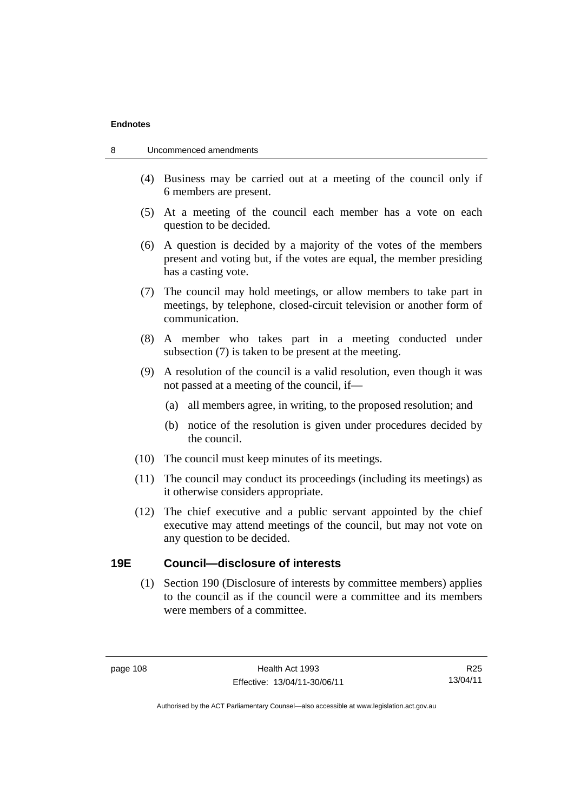| 8 | Uncommenced amendments |  |
|---|------------------------|--|
|   |                        |  |

- (4) Business may be carried out at a meeting of the council only if 6 members are present.
- (5) At a meeting of the council each member has a vote on each question to be decided.
- (6) A question is decided by a majority of the votes of the members present and voting but, if the votes are equal, the member presiding has a casting vote.
- (7) The council may hold meetings, or allow members to take part in meetings, by telephone, closed-circuit television or another form of communication.
- (8) A member who takes part in a meeting conducted under subsection (7) is taken to be present at the meeting.
- (9) A resolution of the council is a valid resolution, even though it was not passed at a meeting of the council, if—
	- (a) all members agree, in writing, to the proposed resolution; and
	- (b) notice of the resolution is given under procedures decided by the council.
- (10) The council must keep minutes of its meetings.
- (11) The council may conduct its proceedings (including its meetings) as it otherwise considers appropriate.
- (12) The chief executive and a public servant appointed by the chief executive may attend meetings of the council, but may not vote on any question to be decided.

## **19E Council—disclosure of interests**

 (1) Section 190 (Disclosure of interests by committee members) applies to the council as if the council were a committee and its members were members of a committee.

R25 13/04/11